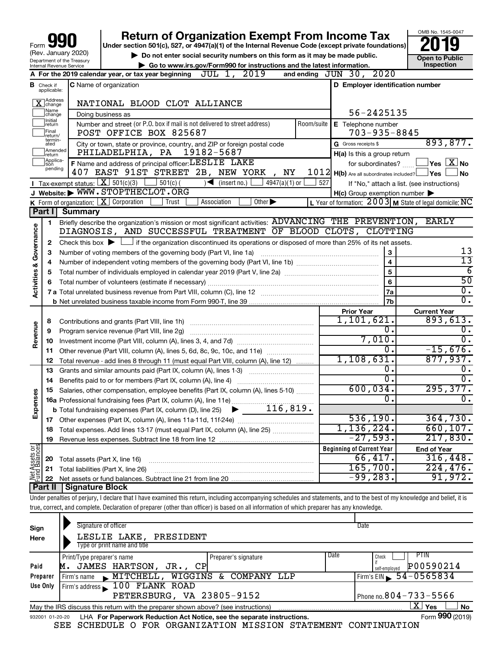|                                |                            |                                                                                                                                                                                                                       | <b>Return of Organization Exempt From Income Tax</b><br>Under section 501(c), 527, or 4947(a)(1) of the Internal Revenue Code (except private foundations)                 |                                                           | OMB No. 1545-0047                                                  |  |  |
|--------------------------------|----------------------------|-----------------------------------------------------------------------------------------------------------------------------------------------------------------------------------------------------------------------|----------------------------------------------------------------------------------------------------------------------------------------------------------------------------|-----------------------------------------------------------|--------------------------------------------------------------------|--|--|
| Form JY<br>(Rev. January 2020) |                            |                                                                                                                                                                                                                       | Do not enter social security numbers on this form as it may be made public.                                                                                                |                                                           |                                                                    |  |  |
| Department of the Treasury     |                            |                                                                                                                                                                                                                       | Go to www.irs.gov/Form990 for instructions and the latest information.                                                                                                     |                                                           | Open to Public<br>Inspection                                       |  |  |
|                                |                            | Internal Revenue Service                                                                                                                                                                                              | 2019<br>JUL 1,<br>A For the 2019 calendar year, or tax year beginning                                                                                                      | and ending JUN 30, 2020                                   |                                                                    |  |  |
|                                | <b>B</b> Check if          |                                                                                                                                                                                                                       | <b>C</b> Name of organization                                                                                                                                              | D Employer identification number                          |                                                                    |  |  |
|                                | applicable:                |                                                                                                                                                                                                                       |                                                                                                                                                                            |                                                           |                                                                    |  |  |
|                                | Address<br>Change<br>Name  |                                                                                                                                                                                                                       | NATIONAL BLOOD CLOT ALLIANCE                                                                                                                                               |                                                           |                                                                    |  |  |
|                                | change<br> Initial         |                                                                                                                                                                                                                       | Doing business as                                                                                                                                                          | 56-2425135                                                |                                                                    |  |  |
|                                | return<br>Final<br>return/ |                                                                                                                                                                                                                       | Number and street (or P.O. box if mail is not delivered to street address)<br>Room/suite<br>POST OFFICE BOX 825687                                                         | E Telephone number<br>$703 - 935 - 8845$                  |                                                                    |  |  |
|                                | termin-<br>ated            |                                                                                                                                                                                                                       | City or town, state or province, country, and ZIP or foreign postal code                                                                                                   | G Gross receipts \$                                       | 893,877.                                                           |  |  |
|                                | Amended<br>return          |                                                                                                                                                                                                                       | PHILADELPHIA, PA<br>19182-5687                                                                                                                                             | H(a) Is this a group return                               |                                                                    |  |  |
|                                | Applica-                   |                                                                                                                                                                                                                       | F Name and address of principal officer: LESLIE LAKE                                                                                                                       | for subordinates?                                         | $\sqrt{\mathsf{Yes}\mathord{\;\mathbb{X}}\mathord{\;\mathsf{No}}}$ |  |  |
|                                | pending                    |                                                                                                                                                                                                                       | 407 EAST 91ST STREET 2B, NEW YORK, NY                                                                                                                                      | $1012$ H(b) Are all subordinates included?                | _lYes ↓<br>No                                                      |  |  |
|                                |                            | Tax-exempt status: $X \mid 501(c)(3)$                                                                                                                                                                                 | $501(c)$ (<br>$\rightarrow$<br>(insert no.)<br>$4947(a)(1)$ or<br>527                                                                                                      | If "No," attach a list. (see instructions)                |                                                                    |  |  |
|                                |                            |                                                                                                                                                                                                                       | J Website: WWW.STOPTHECLOT.ORG                                                                                                                                             | $H(c)$ Group exemption number $\blacktriangleright$       |                                                                    |  |  |
|                                |                            |                                                                                                                                                                                                                       | K Form of organization: X Corporation<br>Other $\blacktriangleright$<br>Trust<br>Association                                                                               | L Year of formation: $2003$ M State of legal domicile: NC |                                                                    |  |  |
|                                | Part I                     | <b>Summary</b>                                                                                                                                                                                                        |                                                                                                                                                                            |                                                           |                                                                    |  |  |
|                                | 1                          |                                                                                                                                                                                                                       | Briefly describe the organization's mission or most significant activities: ADVANCING THE PREVENTION, EARLY                                                                |                                                           |                                                                    |  |  |
|                                |                            |                                                                                                                                                                                                                       | DIAGNOSIS, AND SUCCESSFUL TREATMENT OF BLOOD CLOTS, CLOTTING                                                                                                               |                                                           |                                                                    |  |  |
|                                | $\mathbf{2}$               |                                                                                                                                                                                                                       |                                                                                                                                                                            |                                                           |                                                                    |  |  |
| Governance                     | 3                          | Check this box $\blacktriangleright$ $\Box$ if the organization discontinued its operations or disposed of more than 25% of its net assets.<br>3<br>Number of voting members of the governing body (Part VI, line 1a) |                                                                                                                                                                            |                                                           |                                                                    |  |  |
|                                | 4                          |                                                                                                                                                                                                                       |                                                                                                                                                                            | $\overline{\mathbf{4}}$                                   | 13<br>13                                                           |  |  |
| <b>Activities &amp;</b>        | 5                          |                                                                                                                                                                                                                       |                                                                                                                                                                            | 5                                                         | 6                                                                  |  |  |
|                                | 6                          |                                                                                                                                                                                                                       |                                                                                                                                                                            | 6                                                         | $\overline{50}$                                                    |  |  |
|                                |                            |                                                                                                                                                                                                                       |                                                                                                                                                                            | 7a                                                        | О.                                                                 |  |  |
|                                |                            |                                                                                                                                                                                                                       |                                                                                                                                                                            | 7b                                                        | $\overline{0}$ .                                                   |  |  |
|                                |                            |                                                                                                                                                                                                                       |                                                                                                                                                                            | <b>Prior Year</b>                                         | <b>Current Year</b>                                                |  |  |
|                                | 8                          |                                                                                                                                                                                                                       |                                                                                                                                                                            | 1,101,621.                                                | 893,613.                                                           |  |  |
| Revenue                        | 9                          |                                                                                                                                                                                                                       | Program service revenue (Part VIII, line 2g)                                                                                                                               | 0                                                         | О.                                                                 |  |  |
|                                | 10                         |                                                                                                                                                                                                                       |                                                                                                                                                                            | 7,010.                                                    | 0.                                                                 |  |  |
|                                | 11                         |                                                                                                                                                                                                                       | Other revenue (Part VIII, column (A), lines 5, 6d, 8c, 9c, 10c, and 11e)                                                                                                   | 0                                                         | $-15,676.$                                                         |  |  |
|                                | 12                         |                                                                                                                                                                                                                       | Total revenue - add lines 8 through 11 (must equal Part VIII, column (A), line 12)                                                                                         | 1,108,631.                                                | 877,937.                                                           |  |  |
|                                | 13                         |                                                                                                                                                                                                                       | Grants and similar amounts paid (Part IX, column (A), lines 1-3)                                                                                                           | 0.                                                        | О.                                                                 |  |  |
|                                |                            |                                                                                                                                                                                                                       |                                                                                                                                                                            | 0                                                         | 0.                                                                 |  |  |
|                                | 14                         |                                                                                                                                                                                                                       | 15 Salaries, other compensation, employee benefits (Part IX, column (A), lines 5-10)                                                                                       | 600,034                                                   | 295, 377.                                                          |  |  |
|                                |                            |                                                                                                                                                                                                                       |                                                                                                                                                                            | 0                                                         | О.                                                                 |  |  |
| Expense                        |                            |                                                                                                                                                                                                                       | 16a Professional fundraising fees (Part IX, column (A), line 11e)<br>116,819.                                                                                              |                                                           |                                                                    |  |  |
|                                |                            |                                                                                                                                                                                                                       | <b>b</b> Total fundraising expenses (Part IX, column (D), line 25)                                                                                                         | 536, 190.                                                 | 364,730.                                                           |  |  |
|                                |                            |                                                                                                                                                                                                                       |                                                                                                                                                                            | 1,136,224.                                                | 660, 107.                                                          |  |  |
|                                | 18                         |                                                                                                                                                                                                                       | Total expenses. Add lines 13-17 (must equal Part IX, column (A), line 25)                                                                                                  | $-27,593.$                                                | 217,830.                                                           |  |  |
|                                | 19                         |                                                                                                                                                                                                                       |                                                                                                                                                                            |                                                           |                                                                    |  |  |
| Net Assets or<br>Fund Balances |                            |                                                                                                                                                                                                                       |                                                                                                                                                                            | <b>Beginning of Current Year</b><br>66,417.               | <b>End of Year</b>                                                 |  |  |
|                                | 20                         |                                                                                                                                                                                                                       | Total assets (Part X, line 16)                                                                                                                                             | 165,700.                                                  | 316,448.<br>224,476.                                               |  |  |
|                                | 21                         |                                                                                                                                                                                                                       | Total liabilities (Part X, line 26)                                                                                                                                        | $-99,283.$                                                |                                                                    |  |  |
|                                | 22                         |                                                                                                                                                                                                                       |                                                                                                                                                                            |                                                           | 91,972.                                                            |  |  |
|                                | Part II                    | Signature Block                                                                                                                                                                                                       |                                                                                                                                                                            |                                                           |                                                                    |  |  |
|                                |                            |                                                                                                                                                                                                                       | Under penalties of perjury, I declare that I have examined this return, including accompanying schedules and statements, and to the best of my knowledge and belief, it is |                                                           |                                                                    |  |  |
|                                |                            |                                                                                                                                                                                                                       | true, correct, and complete. Declaration of preparer (other than officer) is based on all information of which preparer has any knowledge.                                 |                                                           |                                                                    |  |  |

| Sign<br>Here | Signature of officer<br>LESLIE LAKE, PRESIDENT<br>Type or print name and title                               | Date                                                |  |  |  |  |  |  |
|--------------|--------------------------------------------------------------------------------------------------------------|-----------------------------------------------------|--|--|--|--|--|--|
| Paid         | Print/Type preparer's name<br>Preparer's signature<br>JAMES HARTSON,<br>JR., CP<br>М.                        | PTIN<br>Date<br>Check<br>P00590214<br>self-emploved |  |  |  |  |  |  |
| Preparer     | WIGGINS & COMPANY LLP<br>MITCHELL,<br>Firm's name                                                            | $54 - 0565834$<br>Firm's EIN                        |  |  |  |  |  |  |
| Use Only     | Firm's address 100 FLANK ROAD<br>PETERSBURG, VA 23805-9152                                                   | Phone no. $804 - 733 - 5566$                        |  |  |  |  |  |  |
|              | x.<br>Yes<br><b>No</b><br>May the IRS discuss this return with the preparer shown above? (see instructions)  |                                                     |  |  |  |  |  |  |
|              | Form 990 (2019)<br>LHA For Paperwork Reduction Act Notice, see the separate instructions.<br>932001 01-20-20 |                                                     |  |  |  |  |  |  |

SEE SCHEDULE O FOR ORGANIZATION MISSION STATEMENT CONTINUATION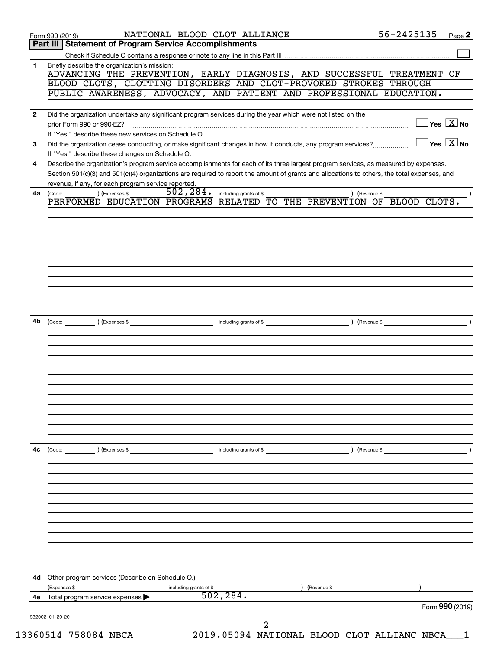| 1            | Briefly describe the organization's mission:<br>ADVANCING THE PREVENTION, EARLY DIAGNOSIS, AND SUCCESSFUL TREATMENT OF                                                                                     |
|--------------|------------------------------------------------------------------------------------------------------------------------------------------------------------------------------------------------------------|
|              | BLOOD CLOTS, CLOTTING DISORDERS AND CLOT-PROVOKED STROKES THROUGH                                                                                                                                          |
|              | PUBLIC AWARENESS, ADVOCACY, AND PATIENT AND PROFESSIONAL EDUCATION.                                                                                                                                        |
| $\mathbf{2}$ | Did the organization undertake any significant program services during the year which were not listed on the                                                                                               |
|              | $\overline{\ }$ Yes $\overline{\ \ \ }$ No<br>prior Form 990 or 990-EZ?                                                                                                                                    |
|              | If "Yes," describe these new services on Schedule O.                                                                                                                                                       |
| 3            | $\overline{\mathsf{Yes} \mathbf{X}}$ No<br>Did the organization cease conducting, or make significant changes in how it conducts, any program services?<br>If "Yes," describe these changes on Schedule O. |
| 4            | Describe the organization's program service accomplishments for each of its three largest program services, as measured by expenses.                                                                       |
|              | Section 501(c)(3) and 501(c)(4) organizations are required to report the amount of grants and allocations to others, the total expenses, and                                                               |
| 4a           | revenue, if any, for each program service reported.<br>502, 284.<br>) (Expenses \$<br>including grants of \$<br>) (Revenue \$<br>(Code:                                                                    |
|              | PERFORMED EDUCATION PROGRAMS RELATED<br>TO THE PREVENTION OF BLOOD CLOTS.                                                                                                                                  |
|              |                                                                                                                                                                                                            |
|              |                                                                                                                                                                                                            |
|              |                                                                                                                                                                                                            |
|              |                                                                                                                                                                                                            |
|              |                                                                                                                                                                                                            |
|              |                                                                                                                                                                                                            |
|              |                                                                                                                                                                                                            |
|              |                                                                                                                                                                                                            |
| 4b           | including grants of \$<br>) (Revenue \$<br>$\left(\text{Code:} \right)$ $\left(\text{Expenses $}\right)$                                                                                                   |
|              |                                                                                                                                                                                                            |
|              |                                                                                                                                                                                                            |
|              |                                                                                                                                                                                                            |
|              |                                                                                                                                                                                                            |
|              |                                                                                                                                                                                                            |
|              |                                                                                                                                                                                                            |
|              |                                                                                                                                                                                                            |
|              |                                                                                                                                                                                                            |
|              |                                                                                                                                                                                                            |
| 4с           | $\left(\text{Code:} \right)$ $\left(\text{Expenses $}\right)$<br>including grants of \$<br>) (Revenue \$                                                                                                   |
|              |                                                                                                                                                                                                            |
|              |                                                                                                                                                                                                            |
|              |                                                                                                                                                                                                            |
|              |                                                                                                                                                                                                            |
|              |                                                                                                                                                                                                            |
|              |                                                                                                                                                                                                            |
|              |                                                                                                                                                                                                            |
|              |                                                                                                                                                                                                            |
|              |                                                                                                                                                                                                            |
|              |                                                                                                                                                                                                            |
| 4d           | Other program services (Describe on Schedule O.)                                                                                                                                                           |
| 4e           | (Expenses \$<br>(Revenue \$<br>including grants of \$<br>502, 284.<br>Total program service expenses                                                                                                       |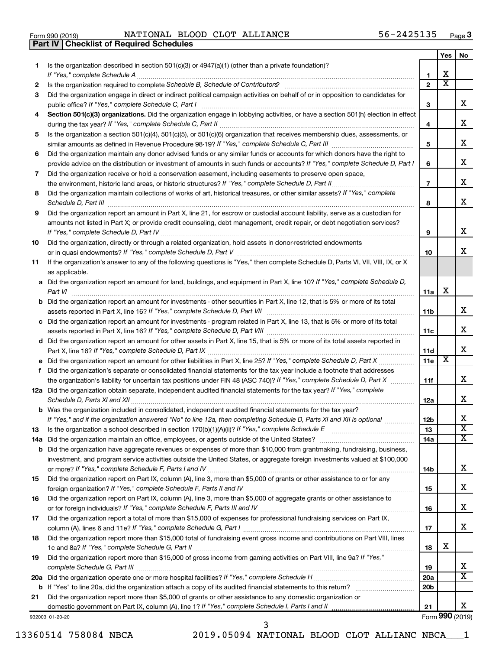| Form 990 (2019) |  |  |
|-----------------|--|--|

Form 990 (2019) Page NATIONAL BLOOD CLOT ALLIANCE 56-2425135 **Part IV Checklist of Required Schedules**

|     |                                                                                                                                                                                                                                                           |                        | Yes                     | No                      |
|-----|-----------------------------------------------------------------------------------------------------------------------------------------------------------------------------------------------------------------------------------------------------------|------------------------|-------------------------|-------------------------|
| 1   | Is the organization described in section 501(c)(3) or 4947(a)(1) (other than a private foundation)?                                                                                                                                                       |                        |                         |                         |
|     |                                                                                                                                                                                                                                                           | 1                      | х                       |                         |
| 2   |                                                                                                                                                                                                                                                           | $\mathbf{2}$           | $\overline{\mathbf{X}}$ |                         |
| З   | Did the organization engage in direct or indirect political campaign activities on behalf of or in opposition to candidates for                                                                                                                           |                        |                         |                         |
|     | public office? If "Yes," complete Schedule C, Part I                                                                                                                                                                                                      | 3                      |                         | X.                      |
| 4   | Section 501(c)(3) organizations. Did the organization engage in lobbying activities, or have a section 501(h) election in effect                                                                                                                          |                        |                         | x                       |
|     |                                                                                                                                                                                                                                                           | 4                      |                         |                         |
| 5   | Is the organization a section 501(c)(4), 501(c)(5), or 501(c)(6) organization that receives membership dues, assessments, or                                                                                                                              |                        |                         | x                       |
|     |                                                                                                                                                                                                                                                           | 5                      |                         |                         |
| 6   | Did the organization maintain any donor advised funds or any similar funds or accounts for which donors have the right to<br>provide advice on the distribution or investment of amounts in such funds or accounts? If "Yes," complete Schedule D, Part I | 6                      |                         | x                       |
| 7   | Did the organization receive or hold a conservation easement, including easements to preserve open space,                                                                                                                                                 |                        |                         |                         |
|     |                                                                                                                                                                                                                                                           | $\overline{7}$         |                         | х                       |
| 8   | Did the organization maintain collections of works of art, historical treasures, or other similar assets? If "Yes," complete                                                                                                                              |                        |                         |                         |
|     |                                                                                                                                                                                                                                                           | 8                      |                         | х                       |
| 9   | Did the organization report an amount in Part X, line 21, for escrow or custodial account liability, serve as a custodian for                                                                                                                             |                        |                         |                         |
|     | amounts not listed in Part X; or provide credit counseling, debt management, credit repair, or debt negotiation services?                                                                                                                                 |                        |                         |                         |
|     |                                                                                                                                                                                                                                                           | 9                      |                         | x                       |
| 10  | Did the organization, directly or through a related organization, hold assets in donor-restricted endowments                                                                                                                                              |                        |                         |                         |
|     |                                                                                                                                                                                                                                                           | 10                     |                         | x                       |
| 11  | If the organization's answer to any of the following questions is "Yes," then complete Schedule D, Parts VI, VII, VIII, IX, or X                                                                                                                          |                        |                         |                         |
|     | as applicable.                                                                                                                                                                                                                                            |                        |                         |                         |
|     | a Did the organization report an amount for land, buildings, and equipment in Part X, line 10? If "Yes," complete Schedule D,                                                                                                                             |                        |                         |                         |
|     |                                                                                                                                                                                                                                                           | 11a                    | X                       |                         |
|     | <b>b</b> Did the organization report an amount for investments - other securities in Part X, line 12, that is 5% or more of its total                                                                                                                     |                        |                         |                         |
|     |                                                                                                                                                                                                                                                           | 11b                    |                         | x                       |
|     | c Did the organization report an amount for investments - program related in Part X, line 13, that is 5% or more of its total                                                                                                                             |                        |                         |                         |
|     |                                                                                                                                                                                                                                                           | 11c                    |                         | х                       |
|     | d Did the organization report an amount for other assets in Part X, line 15, that is 5% or more of its total assets reported in                                                                                                                           |                        |                         |                         |
|     |                                                                                                                                                                                                                                                           | 11d                    |                         | х                       |
|     |                                                                                                                                                                                                                                                           | 11e                    | х                       |                         |
| f.  | Did the organization's separate or consolidated financial statements for the tax year include a footnote that addresses                                                                                                                                   |                        |                         | x.                      |
|     | the organization's liability for uncertain tax positions under FIN 48 (ASC 740)? If "Yes," complete Schedule D, Part X<br>12a Did the organization obtain separate, independent audited financial statements for the tax year? If "Yes," complete         | 11f                    |                         |                         |
|     |                                                                                                                                                                                                                                                           | 12a                    |                         | x                       |
|     | <b>b</b> Was the organization included in consolidated, independent audited financial statements for the tax year?                                                                                                                                        |                        |                         |                         |
|     | If "Yes." and if the organization answered "No" to line 12a, then completing Schedule D. Parts XI and XII is optional                                                                                                                                     | 12b                    |                         | х                       |
| 13  |                                                                                                                                                                                                                                                           | 13                     |                         | $\overline{\textbf{x}}$ |
| 14a |                                                                                                                                                                                                                                                           | 14a                    |                         | x                       |
|     | <b>b</b> Did the organization have aggregate revenues or expenses of more than \$10,000 from grantmaking, fundraising, business,                                                                                                                          |                        |                         |                         |
|     | investment, and program service activities outside the United States, or aggregate foreign investments valued at \$100,000                                                                                                                                |                        |                         |                         |
|     |                                                                                                                                                                                                                                                           | 14b                    |                         | х                       |
| 15  | Did the organization report on Part IX, column (A), line 3, more than \$5,000 of grants or other assistance to or for any                                                                                                                                 |                        |                         |                         |
|     |                                                                                                                                                                                                                                                           | 15                     |                         | х                       |
| 16  | Did the organization report on Part IX, column (A), line 3, more than \$5,000 of aggregate grants or other assistance to                                                                                                                                  |                        |                         |                         |
|     |                                                                                                                                                                                                                                                           | 16                     |                         | х                       |
| 17  | Did the organization report a total of more than \$15,000 of expenses for professional fundraising services on Part IX,                                                                                                                                   |                        |                         |                         |
|     |                                                                                                                                                                                                                                                           | 17                     |                         | x                       |
| 18  | Did the organization report more than \$15,000 total of fundraising event gross income and contributions on Part VIII, lines                                                                                                                              |                        |                         |                         |
|     |                                                                                                                                                                                                                                                           | 18                     | х                       |                         |
| 19  | Did the organization report more than \$15,000 of gross income from gaming activities on Part VIII, line 9a? If "Yes,"                                                                                                                                    |                        |                         | х                       |
|     |                                                                                                                                                                                                                                                           | 19                     |                         | $\overline{\mathbf{X}}$ |
|     |                                                                                                                                                                                                                                                           | 20a<br>20 <sub>b</sub> |                         |                         |
| 21  | Did the organization report more than \$5,000 of grants or other assistance to any domestic organization or                                                                                                                                               |                        |                         |                         |
|     |                                                                                                                                                                                                                                                           | 21                     |                         | х                       |
|     | 932003 01-20-20                                                                                                                                                                                                                                           |                        |                         | Form 990 (2019)         |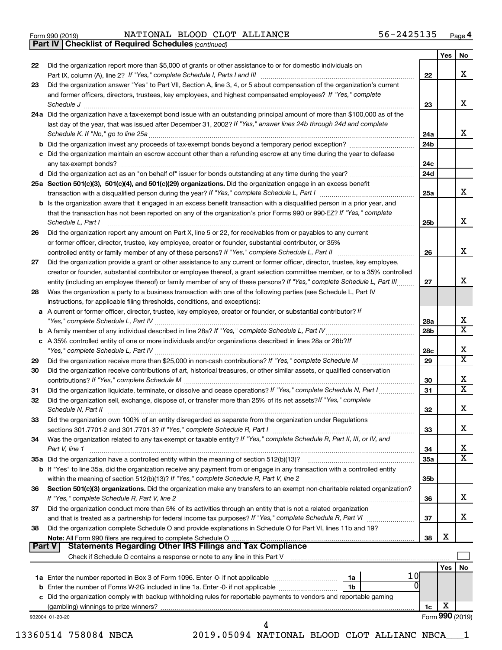|  | Form 990 (2019) |
|--|-----------------|
|  |                 |

Form 990 (2019) Page NATIONAL BLOOD CLOT ALLIANCE 56-2425135

*(continued)* **Part IV Checklist of Required Schedules**

| 22       |                                                                                                                                                                                                                                    |          | Yes      | No                      |
|----------|------------------------------------------------------------------------------------------------------------------------------------------------------------------------------------------------------------------------------------|----------|----------|-------------------------|
|          | Did the organization report more than \$5,000 of grants or other assistance to or for domestic individuals on                                                                                                                      | 22       |          | х                       |
| 23       | Did the organization answer "Yes" to Part VII, Section A, line 3, 4, or 5 about compensation of the organization's current                                                                                                         |          |          |                         |
|          | and former officers, directors, trustees, key employees, and highest compensated employees? If "Yes," complete                                                                                                                     |          |          |                         |
|          | Schedule J <b>Execute J Execute Contract Contract Contract Contract Contract Contract Contract Contract Contract Contract Contract Contract Contract Contract Contract Contract Contract Contract Contract Contract Contract C</b> | 23       |          | х                       |
|          | 24a Did the organization have a tax-exempt bond issue with an outstanding principal amount of more than \$100,000 as of the                                                                                                        |          |          |                         |
|          | last day of the year, that was issued after December 31, 2002? If "Yes," answer lines 24b through 24d and complete                                                                                                                 |          |          |                         |
|          |                                                                                                                                                                                                                                    | 24a      |          | x                       |
|          |                                                                                                                                                                                                                                    | 24b      |          |                         |
|          | c Did the organization maintain an escrow account other than a refunding escrow at any time during the year to defease                                                                                                             | 24с      |          |                         |
|          |                                                                                                                                                                                                                                    | 24d      |          |                         |
|          | 25a Section 501(c)(3), 501(c)(4), and 501(c)(29) organizations. Did the organization engage in an excess benefit                                                                                                                   |          |          |                         |
|          |                                                                                                                                                                                                                                    | 25a      |          | x                       |
|          | <b>b</b> Is the organization aware that it engaged in an excess benefit transaction with a disqualified person in a prior year, and                                                                                                |          |          |                         |
|          | that the transaction has not been reported on any of the organization's prior Forms 990 or 990-EZ? If "Yes," complete                                                                                                              |          |          |                         |
|          | Schedule L, Part I                                                                                                                                                                                                                 | 25b      |          | х                       |
| 26       | Did the organization report any amount on Part X, line 5 or 22, for receivables from or payables to any current<br>or former officer, director, trustee, key employee, creator or founder, substantial contributor, or 35%         |          |          |                         |
|          |                                                                                                                                                                                                                                    | 26       |          | х                       |
| 27       | Did the organization provide a grant or other assistance to any current or former officer, director, trustee, key employee,                                                                                                        |          |          |                         |
|          | creator or founder, substantial contributor or employee thereof, a grant selection committee member, or to a 35% controlled                                                                                                        |          |          |                         |
|          | entity (including an employee thereof) or family member of any of these persons? If "Yes," complete Schedule L, Part III                                                                                                           | 27       |          | х                       |
| 28       | Was the organization a party to a business transaction with one of the following parties (see Schedule L, Part IV                                                                                                                  |          |          |                         |
|          | instructions, for applicable filing thresholds, conditions, and exceptions):                                                                                                                                                       |          |          |                         |
|          | a A current or former officer, director, trustee, key employee, creator or founder, or substantial contributor? If                                                                                                                 |          |          |                         |
|          |                                                                                                                                                                                                                                    | 28a      |          | х                       |
|          |                                                                                                                                                                                                                                    | 28b      |          | $\overline{\mathbf{x}}$ |
|          | c A 35% controlled entity of one or more individuals and/or organizations described in lines 28a or 28b? If                                                                                                                        |          |          |                         |
|          |                                                                                                                                                                                                                                    | 28c      |          | х                       |
| 29       |                                                                                                                                                                                                                                    | 29       |          | $\overline{\texttt{x}}$ |
| 30       | Did the organization receive contributions of art, historical treasures, or other similar assets, or qualified conservation                                                                                                        |          |          | х                       |
|          | Did the organization liquidate, terminate, or dissolve and cease operations? If "Yes," complete Schedule N, Part I                                                                                                                 | 30<br>31 |          | $\overline{\mathbf{X}}$ |
| 31<br>32 | Did the organization sell, exchange, dispose of, or transfer more than 25% of its net assets? If "Yes," complete                                                                                                                   |          |          |                         |
|          |                                                                                                                                                                                                                                    | 32       |          | Χ                       |
| 33       | Did the organization own 100% of an entity disregarded as separate from the organization under Regulations                                                                                                                         |          |          |                         |
|          |                                                                                                                                                                                                                                    | 33       |          | x                       |
| 34       | Was the organization related to any tax-exempt or taxable entity? If "Yes," complete Schedule R, Part II, III, or IV, and                                                                                                          |          |          |                         |
|          | Part V, line 1                                                                                                                                                                                                                     | 34       |          | х<br>$\mathbf x$        |
|          |                                                                                                                                                                                                                                    | 35a      |          |                         |
|          | b If "Yes" to line 35a, did the organization receive any payment from or engage in any transaction with a controlled entity                                                                                                        | 35b      |          |                         |
| 36       | Section 501(c)(3) organizations. Did the organization make any transfers to an exempt non-charitable related organization?                                                                                                         |          |          |                         |
|          |                                                                                                                                                                                                                                    | 36       |          | x                       |
| 37       | Did the organization conduct more than 5% of its activities through an entity that is not a related organization                                                                                                                   |          |          |                         |
|          |                                                                                                                                                                                                                                    | 37       |          | x                       |
| 38       | Did the organization complete Schedule O and provide explanations in Schedule O for Part VI, lines 11b and 19?                                                                                                                     |          |          |                         |
|          |                                                                                                                                                                                                                                    | 38       | х        |                         |
| Part V   | <b>Statements Regarding Other IRS Filings and Tax Compliance</b>                                                                                                                                                                   |          |          |                         |
|          |                                                                                                                                                                                                                                    |          | Yes   No |                         |
|          | 1 OI                                                                                                                                                                                                                               |          |          |                         |
|          | 0                                                                                                                                                                                                                                  |          |          |                         |
|          | c Did the organization comply with backup withholding rules for reportable payments to vendors and reportable gaming                                                                                                               |          |          |                         |
|          |                                                                                                                                                                                                                                    |          |          |                         |
|          |                                                                                                                                                                                                                                    | 1c       | х        |                         |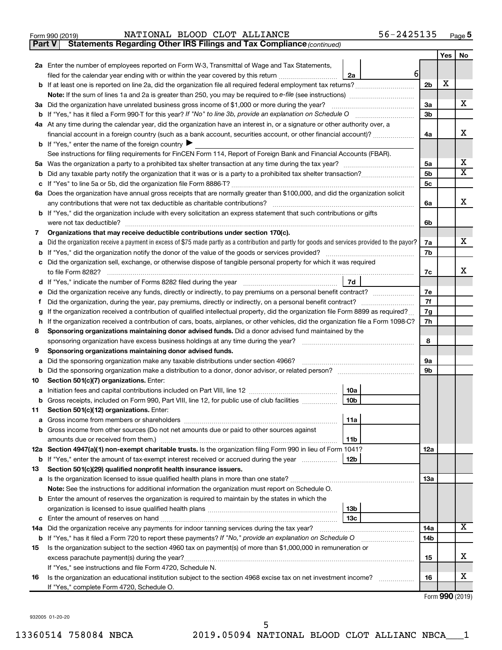|  | Form 990 (2019) |
|--|-----------------|
|  |                 |

**Part V** Statements Regarding Other IRS Filings and Tax Compliance (continued)

|    |                                                                                                                                                                                                       |                | Yes | No                           |
|----|-------------------------------------------------------------------------------------------------------------------------------------------------------------------------------------------------------|----------------|-----|------------------------------|
|    | 2a Enter the number of employees reported on Form W-3, Transmittal of Wage and Tax Statements,                                                                                                        |                |     |                              |
|    | $6 \mid$<br>filed for the calendar year ending with or within the year covered by this return<br>2a                                                                                                   |                |     |                              |
|    |                                                                                                                                                                                                       | 2 <sub>b</sub> | Х   |                              |
|    |                                                                                                                                                                                                       |                |     |                              |
|    | 3a Did the organization have unrelated business gross income of \$1,000 or more during the year?                                                                                                      | За             |     | x                            |
|    |                                                                                                                                                                                                       | 3b             |     |                              |
|    | 4a At any time during the calendar year, did the organization have an interest in, or a signature or other authority over, a                                                                          |                |     |                              |
|    | financial account in a foreign country (such as a bank account, securities account, or other financial account)?                                                                                      | 4a             |     | x                            |
|    | <b>b</b> If "Yes," enter the name of the foreign country $\blacktriangleright$                                                                                                                        |                |     |                              |
|    | See instructions for filing requirements for FinCEN Form 114, Report of Foreign Bank and Financial Accounts (FBAR).                                                                                   |                |     |                              |
| 5а |                                                                                                                                                                                                       | 5a             |     | х<br>$\overline{\textbf{X}}$ |
| b  |                                                                                                                                                                                                       | 5b             |     |                              |
|    |                                                                                                                                                                                                       | 5c             |     |                              |
|    | 6a Does the organization have annual gross receipts that are normally greater than \$100,000, and did the organization solicit                                                                        | 6a             |     | х                            |
|    | any contributions that were not tax deductible as charitable contributions?<br>b If "Yes," did the organization include with every solicitation an express statement that such contributions or gifts |                |     |                              |
|    | were not tax deductible?                                                                                                                                                                              | 6b             |     |                              |
| 7  | Organizations that may receive deductible contributions under section 170(c).                                                                                                                         |                |     |                              |
|    | Did the organization receive a payment in excess of \$75 made partly as a contribution and partly for goods and services provided to the payor?                                                       | 7a             |     | х                            |
|    |                                                                                                                                                                                                       | 7b             |     |                              |
|    | Did the organization sell, exchange, or otherwise dispose of tangible personal property for which it was required                                                                                     |                |     |                              |
|    |                                                                                                                                                                                                       | 7c             |     | x                            |
|    | 7d                                                                                                                                                                                                    |                |     |                              |
|    | Did the organization receive any funds, directly or indirectly, to pay premiums on a personal benefit contract?                                                                                       | 7e             |     |                              |
| t  |                                                                                                                                                                                                       |                |     |                              |
|    | If the organization received a contribution of qualified intellectual property, did the organization file Form 8899 as required?                                                                      |                |     |                              |
| h  | If the organization received a contribution of cars, boats, airplanes, or other vehicles, did the organization file a Form 1098-C?                                                                    |                |     |                              |
| 8  | Sponsoring organizations maintaining donor advised funds. Did a donor advised fund maintained by the                                                                                                  |                |     |                              |
|    |                                                                                                                                                                                                       |                |     |                              |
| 9  | Sponsoring organizations maintaining donor advised funds.                                                                                                                                             |                |     |                              |
| а  | Did the sponsoring organization make any taxable distributions under section 4966?                                                                                                                    | 9а             |     |                              |
| b  |                                                                                                                                                                                                       | 9b             |     |                              |
| 10 | Section 501(c)(7) organizations. Enter:                                                                                                                                                               |                |     |                              |
| а  | 10a                                                                                                                                                                                                   |                |     |                              |
| b  | 10 <sub>b</sub><br>Gross receipts, included on Form 990, Part VIII, line 12, for public use of club facilities                                                                                        |                |     |                              |
| 11 | Section 501(c)(12) organizations. Enter:<br> 11a                                                                                                                                                      |                |     |                              |
|    |                                                                                                                                                                                                       |                |     |                              |
|    | b Gross income from other sources (Do not net amounts due or paid to other sources against                                                                                                            |                |     |                              |
|    | 11 <sub>b</sub><br>12a Section 4947(a)(1) non-exempt charitable trusts. Is the organization filing Form 990 in lieu of Form 1041?                                                                     | 12a            |     |                              |
|    | b If "Yes," enter the amount of tax-exempt interest received or accrued during the year<br>12 <sub>b</sub>                                                                                            |                |     |                              |
| 13 | Section 501(c)(29) qualified nonprofit health insurance issuers.                                                                                                                                      |                |     |                              |
|    | a Is the organization licensed to issue qualified health plans in more than one state?                                                                                                                | 13a            |     |                              |
|    | Note: See the instructions for additional information the organization must report on Schedule O.                                                                                                     |                |     |                              |
|    | <b>b</b> Enter the amount of reserves the organization is required to maintain by the states in which the                                                                                             |                |     |                              |
|    | 13b                                                                                                                                                                                                   |                |     |                              |
|    | 13 <sub>c</sub>                                                                                                                                                                                       |                |     |                              |
|    | 14a Did the organization receive any payments for indoor tanning services during the tax year?                                                                                                        | 14a            |     | x                            |
|    | <b>b</b> If "Yes," has it filed a Form 720 to report these payments? If "No," provide an explanation on Schedule O                                                                                    | 14b            |     |                              |
| 15 | Is the organization subject to the section 4960 tax on payment(s) of more than \$1,000,000 in remuneration or                                                                                         |                |     |                              |
|    | excess parachute payment(s) during the year?                                                                                                                                                          | 15             |     | х                            |
|    | If "Yes," see instructions and file Form 4720, Schedule N.                                                                                                                                            |                |     |                              |
| 16 | Is the organization an educational institution subject to the section 4968 excise tax on net investment income?                                                                                       | 16             |     | x                            |
|    | If "Yes," complete Form 4720, Schedule O.                                                                                                                                                             |                |     |                              |

Form (2019) **990**

932005 01-20-20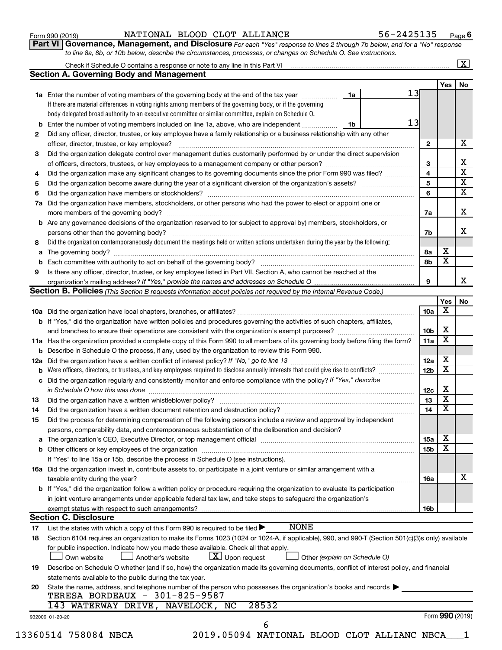## Form 990 (2019) Page NATIONAL BLOOD CLOT ALLIANCE 56-2425135

**Part VI** Governance, Management, and Disclosure For each "Yes" response to lines 2 through 7b below, and for a "No" response *to line 8a, 8b, or 10b below, describe the circumstances, processes, or changes on Schedule O. See instructions.*

|     | Check if Schedule O contains a response or note to any line in this Part VI [11] [12] Check if Schedule O contains a response or note to any line in this Part VI |                               |    |                 |                         | $\overline{\mathbf{X}}$ |
|-----|-------------------------------------------------------------------------------------------------------------------------------------------------------------------|-------------------------------|----|-----------------|-------------------------|-------------------------|
|     | <b>Section A. Governing Body and Management</b>                                                                                                                   |                               |    |                 |                         |                         |
|     |                                                                                                                                                                   |                               |    |                 | <b>Yes</b>              | No                      |
|     | 1a Enter the number of voting members of the governing body at the end of the tax year                                                                            | 1a                            | 13 |                 |                         |                         |
|     | If there are material differences in voting rights among members of the governing body, or if the governing                                                       |                               |    |                 |                         |                         |
|     | body delegated broad authority to an executive committee or similar committee, explain on Schedule O.                                                             |                               |    |                 |                         |                         |
| b   | Enter the number of voting members included on line 1a, above, who are independent                                                                                | 1b                            | 13 |                 |                         |                         |
| 2   | Did any officer, director, trustee, or key employee have a family relationship or a business relationship with any other                                          |                               |    |                 |                         | x                       |
|     | officer, director, trustee, or key employee?                                                                                                                      |                               |    | $\mathbf{2}$    |                         |                         |
| 3   | Did the organization delegate control over management duties customarily performed by or under the direct supervision                                             |                               |    |                 |                         |                         |
|     |                                                                                                                                                                   |                               |    | 3               |                         |                         |
| 4   | Did the organization make any significant changes to its governing documents since the prior Form 990 was filed?                                                  |                               |    | $\overline{4}$  |                         |                         |
| 5   |                                                                                                                                                                   |                               |    | 5               |                         |                         |
| 6   |                                                                                                                                                                   |                               |    | 6               |                         |                         |
| 7a  | Did the organization have members, stockholders, or other persons who had the power to elect or appoint one or                                                    |                               |    |                 |                         |                         |
|     |                                                                                                                                                                   |                               |    | 7a              |                         |                         |
|     | <b>b</b> Are any governance decisions of the organization reserved to (or subject to approval by) members, stockholders, or                                       |                               |    |                 |                         |                         |
|     | persons other than the governing body?                                                                                                                            |                               |    | 7b              |                         |                         |
| 8   | Did the organization contemporaneously document the meetings held or written actions undertaken during the year by the following:                                 |                               |    |                 |                         |                         |
|     |                                                                                                                                                                   |                               |    | 8а              | х                       |                         |
|     |                                                                                                                                                                   |                               |    | 8b              | $\overline{\mathbf{x}}$ |                         |
| 9   | Is there any officer, director, trustee, or key employee listed in Part VII, Section A, who cannot be reached at the                                              |                               |    |                 |                         |                         |
|     |                                                                                                                                                                   |                               |    | 9               |                         |                         |
|     | Section B. Policies (This Section B requests information about policies not required by the Internal Revenue Code.)                                               |                               |    |                 |                         |                         |
|     |                                                                                                                                                                   |                               |    |                 | Yes                     |                         |
|     |                                                                                                                                                                   |                               |    | 10a             | х                       |                         |
|     | b If "Yes," did the organization have written policies and procedures governing the activities of such chapters, affiliates,                                      |                               |    |                 |                         |                         |
|     | and branches to ensure their operations are consistent with the organization's exempt purposes? <i>managereconominion</i>                                         |                               |    | 10b             | х                       |                         |
|     | 11a Has the organization provided a complete copy of this Form 990 to all members of its governing body before filing the form?                                   |                               |    | 11a             | $\overline{\text{x}}$   |                         |
|     | <b>b</b> Describe in Schedule O the process, if any, used by the organization to review this Form 990.                                                            |                               |    |                 |                         |                         |
| 12a |                                                                                                                                                                   |                               |    | 12a             | х                       |                         |
| b   | Were officers, directors, or trustees, and key employees required to disclose annually interests that could give rise to conflicts?                               |                               |    | 12 <sub>b</sub> | $\overline{\text{x}}$   |                         |
|     | c Did the organization regularly and consistently monitor and enforce compliance with the policy? If "Yes," describe                                              |                               |    |                 |                         |                         |
|     | in Schedule O how this was done manufactured and continuum and contact the way to be a set of the set of the s                                                    |                               |    | 12c             | х                       |                         |
| 13  |                                                                                                                                                                   |                               |    | 13              | $\overline{\textbf{x}}$ |                         |
| 14  | Did the organization have a written document retention and destruction policy? [11] manufaction manufaction in                                                    |                               |    | 14              | $\overline{\textbf{x}}$ |                         |
|     | Did the process for determining compensation of the following persons include a review and approval by independent                                                |                               |    |                 |                         |                         |
| 15  |                                                                                                                                                                   |                               |    |                 |                         |                         |
|     | persons, comparability data, and contemporaneous substantiation of the deliberation and decision?                                                                 |                               |    |                 | х                       |                         |
|     |                                                                                                                                                                   |                               |    | 15a             | $\overline{\textbf{x}}$ |                         |
|     |                                                                                                                                                                   |                               |    | 15b             |                         |                         |
|     | If "Yes" to line 15a or 15b, describe the process in Schedule O (see instructions).                                                                               |                               |    |                 |                         |                         |
|     | 16a Did the organization invest in, contribute assets to, or participate in a joint venture or similar arrangement with a                                         |                               |    |                 |                         |                         |
|     | taxable entity during the year?                                                                                                                                   |                               |    | 16a             |                         |                         |
|     | <b>b</b> If "Yes," did the organization follow a written policy or procedure requiring the organization to evaluate its participation                             |                               |    |                 |                         |                         |
|     | in joint venture arrangements under applicable federal tax law, and take steps to safeguard the organization's                                                    |                               |    |                 |                         |                         |
|     | exempt status with respect to such arrangements?                                                                                                                  |                               |    | 16b             |                         |                         |
|     | <b>Section C. Disclosure</b>                                                                                                                                      |                               |    |                 |                         |                         |
| 17  | <b>NONE</b><br>List the states with which a copy of this Form 990 is required to be filed >                                                                       |                               |    |                 |                         |                         |
| 18  | Section 6104 requires an organization to make its Forms 1023 (1024 or 1024-A, if applicable), 990, and 990-T (Section 501(c)(3)s only) available                  |                               |    |                 |                         |                         |
|     | for public inspection. Indicate how you made these available. Check all that apply.                                                                               |                               |    |                 |                         |                         |
|     | $ \underline{X} $ Upon request<br>Own website<br>Another's website                                                                                                | Other (explain on Schedule O) |    |                 |                         |                         |
| 19  | Describe on Schedule O whether (and if so, how) the organization made its governing documents, conflict of interest policy, and financial                         |                               |    |                 |                         |                         |
|     | statements available to the public during the tax year.                                                                                                           |                               |    |                 |                         |                         |
|     |                                                                                                                                                                   |                               |    |                 |                         |                         |
| 20  | State the name, address, and telephone number of the person who possesses the organization's books and records                                                    |                               |    |                 |                         |                         |
|     | TERESA BORDEAUX - 301-825-9587                                                                                                                                    |                               |    |                 |                         |                         |
|     | WATERWAY DRIVE, NAVELOCK, NC<br>28532<br>143                                                                                                                      |                               |    |                 |                         |                         |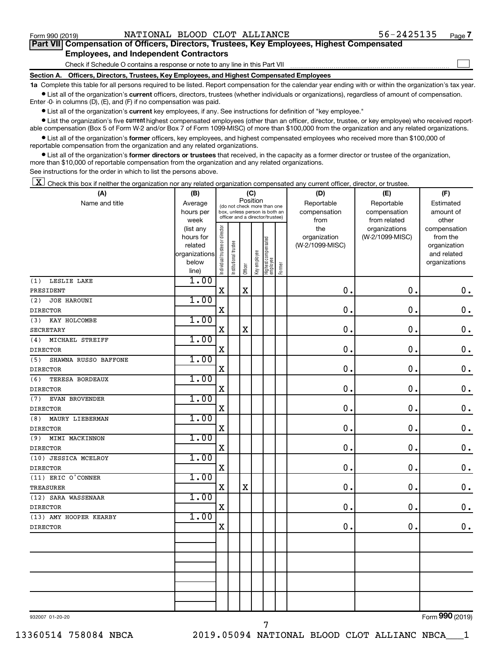$\Box$ 

| Part VII Compensation of Officers, Directors, Trustees, Key Employees, Highest Compensated |  |
|--------------------------------------------------------------------------------------------|--|
| <b>Employees, and Independent Contractors</b>                                              |  |

Check if Schedule O contains a response or note to any line in this Part VII

**Section A. Officers, Directors, Trustees, Key Employees, and Highest Compensated Employees**

**1a**  Complete this table for all persons required to be listed. Report compensation for the calendar year ending with or within the organization's tax year.  $\bullet$  List all of the organization's current officers, directors, trustees (whether individuals or organizations), regardless of amount of compensation.

Enter -0- in columns (D), (E), and (F) if no compensation was paid.

**•** List all of the organization's current key employees, if any. See instructions for definition of "key employee."

**•** List the organization's five *current* highest compensated employees (other than an officer, director, trustee, or key employee) who received reportable compensation (Box 5 of Form W-2 and/or Box 7 of Form 1099-MISC) of more than \$100,000 from the organization and any related organizations.

 $\bullet$  List all of the organization's former officers, key employees, and highest compensated employees who received more than \$100,000 of reportable compensation from the organization and any related organizations.

**•** List all of the organization's former directors or trustees that received, in the capacity as a former director or trustee of the organization, more than \$10,000 of reportable compensation from the organization and any related organizations.

See instructions for the order in which to list the persons above.

 $\boxed{\textbf{X}}$  Check this box if neither the organization nor any related organization compensated any current officer, director, or trustee.

| (A)                          | (B)               | (C)                            |                                                                  |             |              |                                 |        | (D)                  | (E)                          | (F)                |
|------------------------------|-------------------|--------------------------------|------------------------------------------------------------------|-------------|--------------|---------------------------------|--------|----------------------|------------------------------|--------------------|
| Name and title               | Average           |                                | Position<br>(do not check more than one                          |             |              |                                 |        | Reportable           | Reportable                   | Estimated          |
|                              | hours per<br>week |                                | box, unless person is both an<br>officer and a director/trustee) |             |              |                                 |        | compensation<br>from | compensation<br>from related | amount of<br>other |
|                              | (list any         |                                |                                                                  |             |              |                                 |        | the                  | organizations                | compensation       |
|                              | hours for         |                                |                                                                  |             |              |                                 |        | organization         | (W-2/1099-MISC)              | from the           |
|                              | related           |                                |                                                                  |             |              |                                 |        | (W-2/1099-MISC)      |                              | organization       |
|                              | organizations     |                                |                                                                  |             |              |                                 |        |                      |                              | and related        |
|                              | below             | Individual trustee or director | Institutional trustee                                            | Officer     | Key employee | Highest compensated<br>employee | Former |                      |                              | organizations      |
|                              | line)             |                                |                                                                  |             |              |                                 |        |                      |                              |                    |
| LESLIE LAKE<br>(1)           | 1.00              |                                |                                                                  |             |              |                                 |        |                      |                              |                    |
| PRESIDENT                    |                   | $\mathbf X$                    |                                                                  | $\mathbf x$ |              |                                 |        | $\mathbf 0$ .        | 0.                           | $\mathbf 0$ .      |
| (2)<br>JOE HAROUNI           | 1.00              |                                |                                                                  |             |              |                                 |        |                      |                              |                    |
| <b>DIRECTOR</b>              |                   | $\mathbf X$                    |                                                                  |             |              |                                 |        | 0                    | $\mathbf 0$ .                | $\mathbf 0$ .      |
| KAY HOLCOMBE<br>(3)          | 1.00              |                                |                                                                  |             |              |                                 |        |                      |                              |                    |
| <b>SECRETARY</b>             |                   | $\mathbf X$                    |                                                                  | $\mathbf X$ |              |                                 |        | 0                    | 0.                           | $\mathbf 0$ .      |
| MICHAEL STREIFF<br>(4)       | 1.00              |                                |                                                                  |             |              |                                 |        |                      |                              |                    |
| <b>DIRECTOR</b>              |                   | $\mathbf X$                    |                                                                  |             |              |                                 |        | 0.                   | 0.                           | $\mathbf 0$ .      |
| (5)<br>SHAWNA RUSSO BAFFONE  | 1.00              |                                |                                                                  |             |              |                                 |        |                      |                              |                    |
| <b>DIRECTOR</b>              |                   | $\mathbf X$                    |                                                                  |             |              |                                 |        | $\mathbf 0$          | 0.                           | $\mathbf 0$ .      |
| (6)<br>TERESA BORDEAUX       | 1.00              |                                |                                                                  |             |              |                                 |        |                      |                              |                    |
| <b>DIRECTOR</b>              |                   | $\mathbf X$                    |                                                                  |             |              |                                 |        | 0                    | $\mathbf 0$ .                | $\mathbf 0$ .      |
| <b>EVAN BROVENDER</b><br>(7) | 1.00              |                                |                                                                  |             |              |                                 |        |                      |                              |                    |
| <b>DIRECTOR</b>              |                   | $\mathbf X$                    |                                                                  |             |              |                                 |        | $\mathbf 0$          | $\mathbf 0$ .                | $\mathbf 0$ .      |
| (8)<br>MAURY LIEBERMAN       | 1.00              |                                |                                                                  |             |              |                                 |        |                      |                              |                    |
| <b>DIRECTOR</b>              |                   | $\mathbf X$                    |                                                                  |             |              |                                 |        | 0.                   | 0.                           | $0$ .              |
| (9) MIMI MACKINNON           | 1.00              |                                |                                                                  |             |              |                                 |        |                      |                              |                    |
| <b>DIRECTOR</b>              |                   | $\mathbf X$                    |                                                                  |             |              |                                 |        | 0.                   | $\mathbf 0$ .                | $\mathbf 0$ .      |
| (10) JESSICA MCELROY         | 1.00              |                                |                                                                  |             |              |                                 |        |                      |                              |                    |
| <b>DIRECTOR</b>              |                   | $\mathbf X$                    |                                                                  |             |              |                                 |        | $\mathbf 0$          | $\mathbf 0$ .                | $\mathbf 0$ .      |
| (11) ERIC O'CONNER           | 1.00              |                                |                                                                  |             |              |                                 |        |                      |                              |                    |
| <b>TREASURER</b>             |                   | $\mathbf X$                    |                                                                  | $\mathbf X$ |              |                                 |        | $\mathbf 0$ .        | $\mathbf 0$ .                | $\mathbf 0$ .      |
| (12) SARA WASSENAAR          | 1.00              |                                |                                                                  |             |              |                                 |        |                      |                              |                    |
| <b>DIRECTOR</b>              |                   | $\mathbf X$                    |                                                                  |             |              |                                 |        | $\mathbf 0$ .        | $\mathbf 0$ .                | $\mathbf 0$ .      |
| (13) AMY HOOPER KEARBY       | 1.00              |                                |                                                                  |             |              |                                 |        |                      |                              |                    |
| <b>DIRECTOR</b>              |                   | $\mathbf X$                    |                                                                  |             |              |                                 |        | $\mathbf 0$ .        | $\mathbf 0$ .                | $\mathbf 0$ .      |
|                              |                   |                                |                                                                  |             |              |                                 |        |                      |                              |                    |
|                              |                   |                                |                                                                  |             |              |                                 |        |                      |                              |                    |
|                              |                   |                                |                                                                  |             |              |                                 |        |                      |                              |                    |
|                              |                   |                                |                                                                  |             |              |                                 |        |                      |                              |                    |
|                              |                   |                                |                                                                  |             |              |                                 |        |                      |                              |                    |
|                              |                   |                                |                                                                  |             |              |                                 |        |                      |                              |                    |
|                              |                   |                                |                                                                  |             |              |                                 |        |                      |                              |                    |
|                              |                   |                                |                                                                  |             |              |                                 |        |                      |                              |                    |

7

932007 01-20-20

Form (2019) **990**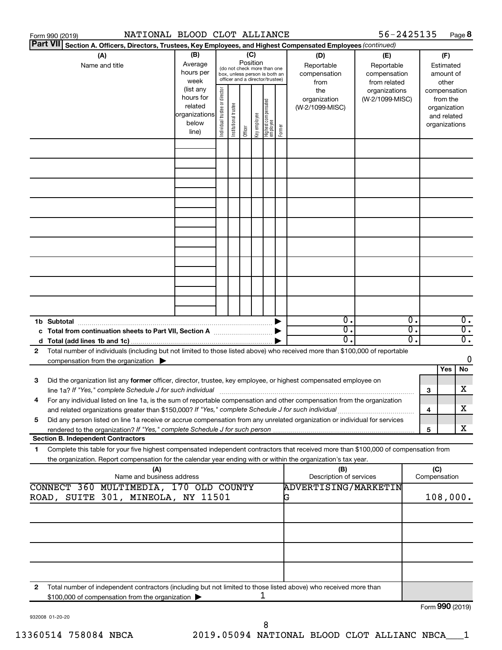|   | Form 990 (2019)                                                                                                                                                                                                                                                                                                                                   | NATIONAL BLOOD CLOT ALLIANCE                            |                                |                                                                                                 |                 |              |                                   |        |                                           | 56-2425135                                        |                                                          |                     |                                                        | Page 8                               |  |
|---|---------------------------------------------------------------------------------------------------------------------------------------------------------------------------------------------------------------------------------------------------------------------------------------------------------------------------------------------------|---------------------------------------------------------|--------------------------------|-------------------------------------------------------------------------------------------------|-----------------|--------------|-----------------------------------|--------|-------------------------------------------|---------------------------------------------------|----------------------------------------------------------|---------------------|--------------------------------------------------------|--------------------------------------|--|
|   | <b>Part VII</b><br>Section A. Officers, Directors, Trustees, Key Employees, and Highest Compensated Employees (continued)                                                                                                                                                                                                                         |                                                         |                                |                                                                                                 |                 |              |                                   |        |                                           |                                                   |                                                          |                     |                                                        |                                      |  |
|   | (A)<br>Name and title                                                                                                                                                                                                                                                                                                                             | (B)<br>Average<br>hours per<br>week<br>(list any        |                                | (do not check more than one<br>box, unless person is both an<br>officer and a director/trustee) | (C)<br>Position |              |                                   |        | (D)<br>Reportable<br>compensation<br>from | (E)<br>Reportable<br>compensation<br>from related |                                                          |                     | (F)<br>Estimated<br>amount of<br>other<br>compensation |                                      |  |
|   |                                                                                                                                                                                                                                                                                                                                                   | hours for<br>related<br>organizations<br>below<br>line) | Individual trustee or director | Institutional trustee                                                                           | Officer         | Key employee | Highest compensated<br>  employee | Former | the<br>organization<br>(W-2/1099-MISC)    | organizations<br>(W-2/1099-MISC)                  | from the<br>organization<br>and related<br>organizations |                     |                                                        |                                      |  |
|   |                                                                                                                                                                                                                                                                                                                                                   |                                                         |                                |                                                                                                 |                 |              |                                   |        |                                           |                                                   |                                                          |                     |                                                        |                                      |  |
|   |                                                                                                                                                                                                                                                                                                                                                   |                                                         |                                |                                                                                                 |                 |              |                                   |        |                                           |                                                   |                                                          |                     |                                                        |                                      |  |
|   |                                                                                                                                                                                                                                                                                                                                                   |                                                         |                                |                                                                                                 |                 |              |                                   |        |                                           |                                                   |                                                          |                     |                                                        |                                      |  |
|   |                                                                                                                                                                                                                                                                                                                                                   |                                                         |                                |                                                                                                 |                 |              |                                   |        |                                           |                                                   |                                                          |                     |                                                        |                                      |  |
|   |                                                                                                                                                                                                                                                                                                                                                   |                                                         |                                |                                                                                                 |                 |              |                                   |        |                                           |                                                   |                                                          |                     |                                                        |                                      |  |
|   |                                                                                                                                                                                                                                                                                                                                                   |                                                         |                                |                                                                                                 |                 |              |                                   |        |                                           |                                                   |                                                          |                     |                                                        |                                      |  |
|   |                                                                                                                                                                                                                                                                                                                                                   |                                                         |                                |                                                                                                 |                 |              |                                   |        |                                           |                                                   |                                                          |                     |                                                        |                                      |  |
|   |                                                                                                                                                                                                                                                                                                                                                   |                                                         |                                |                                                                                                 |                 |              |                                   |        |                                           |                                                   |                                                          |                     |                                                        |                                      |  |
|   |                                                                                                                                                                                                                                                                                                                                                   |                                                         |                                |                                                                                                 |                 |              |                                   |        | $\mathbf 0$ .<br>$\overline{0}$ .         |                                                   | о.<br>σ.                                                 |                     |                                                        | $\overline{0}$ .<br>$\overline{0}$ . |  |
|   |                                                                                                                                                                                                                                                                                                                                                   |                                                         |                                |                                                                                                 |                 |              |                                   |        | 0.                                        |                                                   | о.                                                       |                     |                                                        | $\overline{0}$ .                     |  |
| 2 | Total number of individuals (including but not limited to those listed above) who received more than \$100,000 of reportable                                                                                                                                                                                                                      |                                                         |                                |                                                                                                 |                 |              |                                   |        |                                           |                                                   |                                                          |                     |                                                        |                                      |  |
|   | compensation from the organization $\blacktriangleright$                                                                                                                                                                                                                                                                                          |                                                         |                                |                                                                                                 |                 |              |                                   |        |                                           |                                                   |                                                          |                     |                                                        | 0                                    |  |
| 3 | Did the organization list any former officer, director, trustee, key employee, or highest compensated employee on                                                                                                                                                                                                                                 |                                                         |                                |                                                                                                 |                 |              |                                   |        |                                           |                                                   |                                                          |                     | Yes                                                    | No<br>х                              |  |
|   | line 1a? If "Yes," complete Schedule J for such individual manufacture content to the set of the set of the su<br>For any individual listed on line 1a, is the sum of reportable compensation and other compensation from the organization<br>and related organizations greater than \$150,000? If "Yes," complete Schedule J for such individual |                                                         |                                |                                                                                                 |                 |              |                                   |        |                                           |                                                   |                                                          | 3<br>4              |                                                        | х                                    |  |
| 5 | Did any person listed on line 1a receive or accrue compensation from any unrelated organization or individual for services                                                                                                                                                                                                                        |                                                         |                                |                                                                                                 |                 |              |                                   |        |                                           |                                                   |                                                          | 5                   |                                                        | х                                    |  |
|   | <b>Section B. Independent Contractors</b>                                                                                                                                                                                                                                                                                                         |                                                         |                                |                                                                                                 |                 |              |                                   |        |                                           |                                                   |                                                          |                     |                                                        |                                      |  |
| 1 | Complete this table for your five highest compensated independent contractors that received more than \$100,000 of compensation from<br>the organization. Report compensation for the calendar year ending with or within the organization's tax year.                                                                                            |                                                         |                                |                                                                                                 |                 |              |                                   |        |                                           |                                                   |                                                          |                     |                                                        |                                      |  |
|   | (A)                                                                                                                                                                                                                                                                                                                                               | Name and business address                               |                                |                                                                                                 |                 |              |                                   |        | (B)<br>Description of services            |                                                   |                                                          | (C)<br>Compensation |                                                        |                                      |  |
|   | CONNECT 360 MULTIMEDIA, 170 OLD COUNTY<br>ROAD, SUITE 301, MINEOLA, NY 11501                                                                                                                                                                                                                                                                      |                                                         |                                |                                                                                                 |                 |              |                                   |        | <b>ADVERTISING/MARKETIN</b><br>G          |                                                   |                                                          |                     | 108,000.                                               |                                      |  |
|   |                                                                                                                                                                                                                                                                                                                                                   |                                                         |                                |                                                                                                 |                 |              |                                   |        |                                           |                                                   |                                                          |                     |                                                        |                                      |  |
|   |                                                                                                                                                                                                                                                                                                                                                   |                                                         |                                |                                                                                                 |                 |              |                                   |        |                                           |                                                   |                                                          |                     |                                                        |                                      |  |
|   |                                                                                                                                                                                                                                                                                                                                                   |                                                         |                                |                                                                                                 |                 |              |                                   |        |                                           |                                                   |                                                          |                     |                                                        |                                      |  |
| 2 | Total number of independent contractors (including but not limited to those listed above) who received more than                                                                                                                                                                                                                                  |                                                         |                                |                                                                                                 |                 |              | 1                                 |        |                                           |                                                   |                                                          |                     |                                                        |                                      |  |
|   | \$100,000 of compensation from the organization                                                                                                                                                                                                                                                                                                   |                                                         |                                |                                                                                                 |                 |              |                                   |        |                                           |                                                   |                                                          | Form 990 (2019)     |                                                        |                                      |  |

932008 01-20-20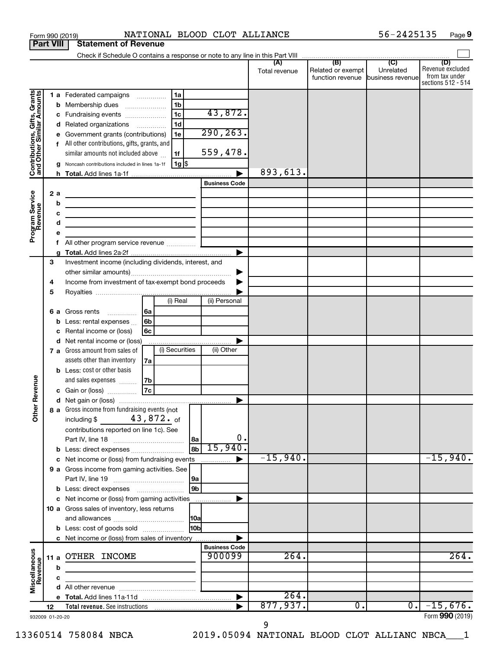| 56-2425135<br>NATIONAL BLOOD CLOT ALLIANCE<br>Page 9<br>Form 990 (2019) |                  |        |                                                                                                                                                                     |                                |               |                                                        |                  |                                                                 |  |
|-------------------------------------------------------------------------|------------------|--------|---------------------------------------------------------------------------------------------------------------------------------------------------------------------|--------------------------------|---------------|--------------------------------------------------------|------------------|-----------------------------------------------------------------|--|
|                                                                         | <b>Part VIII</b> |        | <b>Statement of Revenue</b>                                                                                                                                         |                                |               |                                                        |                  |                                                                 |  |
|                                                                         |                  |        |                                                                                                                                                                     |                                |               |                                                        |                  |                                                                 |  |
|                                                                         |                  |        |                                                                                                                                                                     |                                | Total revenue | Related or exempt<br>function revenue business revenue | Unrelated        | (D)<br>Revenue excluded<br>from tax under<br>sections 512 - 514 |  |
|                                                                         |                  | b      | 1 a Federated campaigns<br>l 1a<br>1 <sub>b</sub><br>Membership dues<br>1c<br>c Fundraising events                                                                  | 43,872.                        |               |                                                        |                  |                                                                 |  |
| Contributions, Gifts, Grants<br>and Other Similar Amounts               |                  | d      | 1d<br>Related organizations<br>Government grants (contributions)<br>1e<br>f All other contributions, gifts, grants, and<br>similar amounts not included above<br>1f | 290, 263.<br>559,478.          |               |                                                        |                  |                                                                 |  |
|                                                                         |                  |        | 1g <br>Noncash contributions included in lines 1a-1f                                                                                                                |                                |               |                                                        |                  |                                                                 |  |
|                                                                         |                  | h.     |                                                                                                                                                                     | <b>Business Code</b>           | 893,613.      |                                                        |                  |                                                                 |  |
| Program Service                                                         | 2a               |        | the control of the control of the control of the control of the control of                                                                                          |                                |               |                                                        |                  |                                                                 |  |
|                                                                         |                  | b      | the control of the control of the control of the control of the control of                                                                                          |                                |               |                                                        |                  |                                                                 |  |
|                                                                         |                  | с<br>d | the contract of the contract of the contract of the contract of the contract of                                                                                     |                                |               |                                                        |                  |                                                                 |  |
|                                                                         |                  | е      | the control of the control of the control of the control of the control of                                                                                          |                                |               |                                                        |                  |                                                                 |  |
|                                                                         |                  | f      |                                                                                                                                                                     |                                |               |                                                        |                  |                                                                 |  |
|                                                                         |                  |        |                                                                                                                                                                     |                                |               |                                                        |                  |                                                                 |  |
|                                                                         | 3                |        | Investment income (including dividends, interest, and                                                                                                               |                                |               |                                                        |                  |                                                                 |  |
|                                                                         | 4                |        | Income from investment of tax-exempt bond proceeds                                                                                                                  | ▶                              |               |                                                        |                  |                                                                 |  |
|                                                                         | 5                |        |                                                                                                                                                                     |                                |               |                                                        |                  |                                                                 |  |
|                                                                         |                  |        | (i) Real<br><b>6 a</b> Gross rents<br>6a                                                                                                                            | (ii) Personal                  |               |                                                        |                  |                                                                 |  |
|                                                                         |                  | b      | 6b<br>Less: rental expenses                                                                                                                                         |                                |               |                                                        |                  |                                                                 |  |
|                                                                         |                  | с      | Rental income or (loss)<br>6с                                                                                                                                       |                                |               |                                                        |                  |                                                                 |  |
|                                                                         |                  | d      | Net rental income or (loss)                                                                                                                                         |                                |               |                                                        |                  |                                                                 |  |
|                                                                         |                  |        | (i) Securities<br>7 a Gross amount from sales of                                                                                                                    | (ii) Other                     |               |                                                        |                  |                                                                 |  |
|                                                                         |                  |        | assets other than inventory<br>7a<br><b>b</b> Less: cost or other basis                                                                                             |                                |               |                                                        |                  |                                                                 |  |
|                                                                         |                  |        | and sales expenses<br>7b                                                                                                                                            |                                |               |                                                        |                  |                                                                 |  |
| evenue                                                                  |                  |        | 7c<br>c Gain or (loss)                                                                                                                                              |                                |               |                                                        |                  |                                                                 |  |
| ᄄ                                                                       |                  |        |                                                                                                                                                                     |                                |               |                                                        |                  |                                                                 |  |
| Other                                                                   |                  |        | 8 a Gross income from fundraising events (not<br>including \$ $43,872.$ of<br>contributions reported on line 1c). See                                               |                                |               |                                                        |                  |                                                                 |  |
|                                                                         |                  |        | 8a                                                                                                                                                                  | $\mathbf 0$ .                  |               |                                                        |                  |                                                                 |  |
|                                                                         |                  | b      | $ \mathbf{a}_{\mathbf{b}} $<br>Less: direct expenses                                                                                                                | 15,940.<br>▶                   | $-15,940.$    |                                                        |                  | $-15,940.$                                                      |  |
|                                                                         |                  | с      | Net income or (loss) from fundraising events<br>9 a Gross income from gaming activities. See                                                                        |                                |               |                                                        |                  |                                                                 |  |
|                                                                         |                  |        | 9a                                                                                                                                                                  |                                |               |                                                        |                  |                                                                 |  |
|                                                                         |                  |        | lg <sub>b</sub>                                                                                                                                                     |                                |               |                                                        |                  |                                                                 |  |
|                                                                         |                  |        | c Net income or (loss) from gaming activities<br>10 a Gross sales of inventory, less returns                                                                        |                                |               |                                                        |                  |                                                                 |  |
|                                                                         |                  |        | 10a                                                                                                                                                                 |                                |               |                                                        |                  |                                                                 |  |
|                                                                         |                  |        | <b>HOb</b><br><b>b</b> Less: cost of goods sold                                                                                                                     |                                |               |                                                        |                  |                                                                 |  |
|                                                                         |                  |        | c Net income or (loss) from sales of inventory                                                                                                                      |                                |               |                                                        |                  |                                                                 |  |
| Miscellaneous<br>Revenue                                                |                  |        | 11 a OTHER INCOME                                                                                                                                                   | <b>Business Code</b><br>900099 | 264.          |                                                        |                  | 264.                                                            |  |
|                                                                         |                  | b      |                                                                                                                                                                     |                                |               |                                                        |                  |                                                                 |  |
|                                                                         |                  | с      |                                                                                                                                                                     |                                |               |                                                        |                  |                                                                 |  |
|                                                                         |                  | d      |                                                                                                                                                                     |                                | 264.          |                                                        |                  |                                                                 |  |
|                                                                         | 12               |        |                                                                                                                                                                     |                                | 877,937.      | $\overline{0}$ .                                       | $\overline{0}$ . | $-15,676.$                                                      |  |
| 932009 01-20-20                                                         |                  |        |                                                                                                                                                                     |                                |               |                                                        |                  | Form 990 (2019)                                                 |  |

56-2425135 Page 9

932009 01-20-20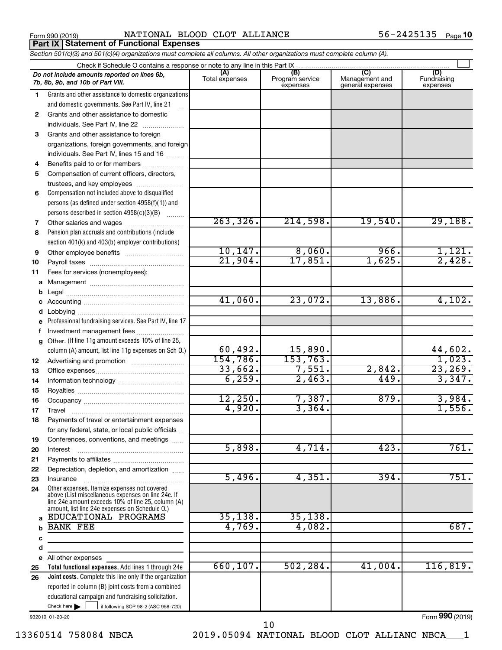**Part IX Statement of Functional Expenses**

Form 990 (2019) Page NATIONAL BLOOD CLOT ALLIANCE 56-2425135

|              | Section 501(c)(3) and 501(c)(4) organizations must complete all columns. All other organizations must complete column (A).                                                                                 |                       |                                    |                                           |                                |
|--------------|------------------------------------------------------------------------------------------------------------------------------------------------------------------------------------------------------------|-----------------------|------------------------------------|-------------------------------------------|--------------------------------|
|              | Check if Schedule O contains a response or note to any line in this Part IX                                                                                                                                |                       |                                    |                                           |                                |
|              | Do not include amounts reported on lines 6b,<br>7b, 8b, 9b, and 10b of Part VIII.                                                                                                                          | (A)<br>Total expenses | (B)<br>Program service<br>expenses | (C)<br>Management and<br>general expenses | (D)<br>Fundraising<br>expenses |
| 1.           | Grants and other assistance to domestic organizations                                                                                                                                                      |                       |                                    |                                           |                                |
|              | and domestic governments. See Part IV, line 21                                                                                                                                                             |                       |                                    |                                           |                                |
| $\mathbf{2}$ | Grants and other assistance to domestic                                                                                                                                                                    |                       |                                    |                                           |                                |
|              | individuals. See Part IV, line 22                                                                                                                                                                          |                       |                                    |                                           |                                |
| 3            | Grants and other assistance to foreign                                                                                                                                                                     |                       |                                    |                                           |                                |
|              | organizations, foreign governments, and foreign                                                                                                                                                            |                       |                                    |                                           |                                |
|              | individuals. See Part IV, lines 15 and 16                                                                                                                                                                  |                       |                                    |                                           |                                |
| 4            | Benefits paid to or for members                                                                                                                                                                            |                       |                                    |                                           |                                |
| 5            | Compensation of current officers, directors,                                                                                                                                                               |                       |                                    |                                           |                                |
|              | trustees, and key employees                                                                                                                                                                                |                       |                                    |                                           |                                |
| 6            | Compensation not included above to disqualified                                                                                                                                                            |                       |                                    |                                           |                                |
|              | persons (as defined under section 4958(f)(1)) and                                                                                                                                                          |                       |                                    |                                           |                                |
|              | persons described in section 4958(c)(3)(B)                                                                                                                                                                 |                       |                                    |                                           |                                |
| 7            | Other salaries and wages                                                                                                                                                                                   | 263,326.              | 214,598.                           | 19,540.                                   | 29,188.                        |
| 8            | Pension plan accruals and contributions (include                                                                                                                                                           |                       |                                    |                                           |                                |
|              | section 401(k) and 403(b) employer contributions)                                                                                                                                                          |                       |                                    |                                           |                                |
| 9            | Other employee benefits                                                                                                                                                                                    | 10, 147.              | 8,060.                             | 966.                                      | $\frac{1,121}{2,428}$          |
| 10           |                                                                                                                                                                                                            | 21,904.               | 17,851.                            | 1,625.                                    |                                |
| 11           | Fees for services (nonemployees):                                                                                                                                                                          |                       |                                    |                                           |                                |
| а            |                                                                                                                                                                                                            |                       |                                    |                                           |                                |
|              |                                                                                                                                                                                                            |                       |                                    |                                           |                                |
|              |                                                                                                                                                                                                            | 41,060.               | 23,072.                            | 13,886.                                   | 4,102.                         |
|              |                                                                                                                                                                                                            |                       |                                    |                                           |                                |
| е            | Professional fundraising services. See Part IV, line 17                                                                                                                                                    |                       |                                    |                                           |                                |
|              | Investment management fees                                                                                                                                                                                 |                       |                                    |                                           |                                |
| g            | Other. (If line 11g amount exceeds 10% of line 25,                                                                                                                                                         | 60,492.               |                                    |                                           | 44,602.                        |
|              | column (A) amount, list line 11g expenses on Sch O.)                                                                                                                                                       | 154,786.              | 15,890.<br>153, 763.               |                                           |                                |
| 12           |                                                                                                                                                                                                            | 33,662.               | 7,551.                             | 2,842.                                    | $\frac{1,023}{23,269}$         |
| 13           |                                                                                                                                                                                                            | 6, 259.               | 2,463.                             | 449.                                      | 3,347.                         |
| 14           |                                                                                                                                                                                                            |                       |                                    |                                           |                                |
| 15           |                                                                                                                                                                                                            | 12,250.               | 7,387.                             | 879.                                      | 3,984.                         |
| 16<br>17     |                                                                                                                                                                                                            | 4,920.                | 3,364.                             |                                           | 1,556.                         |
| 18           | Payments of travel or entertainment expenses                                                                                                                                                               |                       |                                    |                                           |                                |
|              | for any federal, state, or local public officials                                                                                                                                                          |                       |                                    |                                           |                                |
| 19           | Conferences, conventions, and meetings                                                                                                                                                                     |                       |                                    |                                           |                                |
| 20           | Interest                                                                                                                                                                                                   | 5,898.                | 4,714.                             | 423.                                      | 761.                           |
| 21           |                                                                                                                                                                                                            |                       |                                    |                                           |                                |
| 22           | Depreciation, depletion, and amortization                                                                                                                                                                  |                       |                                    |                                           |                                |
| 23           | Insurance                                                                                                                                                                                                  | 5,496.                | 4,351.                             | 394.                                      | 751.                           |
| 24           | Other expenses. Itemize expenses not covered<br>above (List miscellaneous expenses on line 24e. If<br>line 24e amount exceeds 10% of line 25, column (A)<br>amount, list line 24e expenses on Schedule O.) |                       |                                    |                                           |                                |
| a            | EDUCATIONAL PROGRAMS                                                                                                                                                                                       | 35, 138.              | 35, 138.                           |                                           |                                |
|              | <b>BANK FEE</b>                                                                                                                                                                                            | 4,769.                | 4,082.                             |                                           | 687.                           |
| с            |                                                                                                                                                                                                            |                       |                                    |                                           |                                |
| d            |                                                                                                                                                                                                            |                       |                                    |                                           |                                |
| е            | All other expenses                                                                                                                                                                                         |                       |                                    |                                           |                                |
| 25           | Total functional expenses. Add lines 1 through 24e                                                                                                                                                         | 660, 107.             | 502, 284.                          | 41,004.                                   | 116, 819.                      |
| 26           | Joint costs. Complete this line only if the organization                                                                                                                                                   |                       |                                    |                                           |                                |
|              | reported in column (B) joint costs from a combined                                                                                                                                                         |                       |                                    |                                           |                                |
|              | educational campaign and fundraising solicitation.                                                                                                                                                         |                       |                                    |                                           |                                |
|              | Check here $\blacktriangleright$<br>if following SOP 98-2 (ASC 958-720)                                                                                                                                    |                       |                                    |                                           |                                |

932010 01-20-20

Form (2019) **990**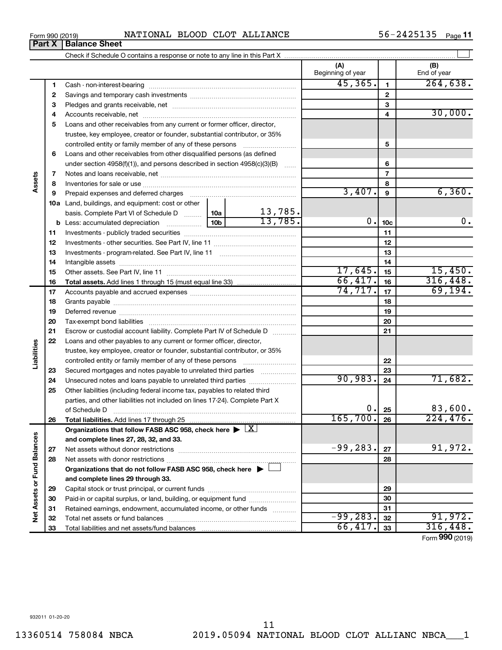Check if Schedule O contains a response or note to any line in this Part X

**Total liabilities.**  Add lines 17 through 25

Net assets without donor restrictions ~~~~~~~~~~~~~~~~~~~~ Net assets with donor restrictions ~~~~~~~~~~~~~~~~~~~~~~

Capital stock or trust principal, or current funds ~~~~~~~~~~~~~~~ Paid-in or capital surplus, or land, building, or equipment fund ....................... Retained earnings, endowment, accumulated income, or other funds ............ Total net assets or fund balances ~~~~~~~~~~~~~~~~~~~~~~

Grants payable ~~~~~~~~~~~~~~~~~~~~~~~~~~~~~~~ Deferred revenue ~~~~~~~~~~~~~~~~~~~~~~~~~~~~~~ Tax-exempt bond liabilities ~~~~~~~~~~~~~~~~~~~~~~~~~ Escrow or custodial account liability. Complete Part IV of Schedule D ...........

**Organizations that do not follow FASB ASC 958, check here** | †

Organizations that follow FASB ASC 958, check here  $\blacktriangleright \boxed{\text{X}}$ 

Loans and other payables to any current or former officer, director, trustee, key employee, creator or founder, substantial contributor, or 35% controlled entity or family member of any of these persons ~~~~~~~~~ Secured mortgages and notes payable to unrelated third parties  $\ldots$ ................. Unsecured notes and loans payable to unrelated third parties .................. Other liabilities (including federal income tax, payables to related third parties, and other liabilities not included on lines 17-24). Complete Part X of Schedule D ~~~~~~~~~~~~~~~~~~~~~~~~~~~~~~~

**and complete lines 27, 28, 32, and 33.**

**and complete lines 29 through 33.**

Total liabilities and net assets/fund balances

|     |                                                                            |  |         | . .<br>Beginning of year |                 | End of year |
|-----|----------------------------------------------------------------------------|--|---------|--------------------------|-----------------|-------------|
| 1   | Cash - non-interest-bearing                                                |  |         | 45,365.                  | 1.              | 264,638.    |
| 2   |                                                                            |  |         |                          | $\mathbf{2}$    |             |
| 3   |                                                                            |  |         |                          | 3               |             |
| 4   |                                                                            |  |         |                          | 4               | 30,000.     |
| 5   | Loans and other receivables from any current or former officer, director,  |  |         |                          |                 |             |
|     | trustee, key employee, creator or founder, substantial contributor, or 35% |  |         |                          |                 |             |
|     | controlled entity or family member of any of these persons                 |  |         |                          | 5               |             |
| 6   | Loans and other receivables from other disqualified persons (as defined    |  |         |                          |                 |             |
|     | under section 4958(f)(1)), and persons described in section 4958(c)(3)(B)  |  | 6       |                          |                 |             |
| 7   |                                                                            |  | 7       |                          |                 |             |
| 8   |                                                                            |  |         | 8                        |                 |             |
| 9   |                                                                            |  |         | 3,407.                   | 9               | 6, 360.     |
| 10a | Land, buildings, and equipment: cost or other                              |  |         |                          |                 |             |
|     | basis. Complete Part VI of Schedule D  10a                                 |  | 13,785. |                          |                 |             |
| b   |                                                                            |  | 13,785. | 0.1                      | 10 <sub>c</sub> | 0.          |
| 11  |                                                                            |  |         |                          | 11              |             |
| 12  |                                                                            |  |         |                          | 12              |             |
| 13  |                                                                            |  |         |                          | 13              |             |
| 14  |                                                                            |  |         | 14                       |                 |             |
| 15  |                                                                            |  |         | 17,645.                  | 15              | 15,450.     |
| 16  |                                                                            |  |         | 66,417.                  | 16              | 316,448.    |
| 17  |                                                                            |  |         | $74, 717.$ 17            |                 | 69, 194.    |

 $\perp$ 

**(A) (B)**

**22 23 24**

90,983. <sub>24</sub> 71,682.

165,700. 224,476.

 $-99,283$ .  $27$  91,972.

 $-99,283.$  32 | 91,972.  $66,417.$   $33$  316,448.

 $0. |25|$  83,600.

**25 26**

**27 28**

Form (2019) **990**

**Assets**

**23 24 25**

**Liabilities**

**26**

**27 28**

**Net Assets or Fund Balances**

Net Assets or Fund Balances

**Part X** | **Balance Sheet**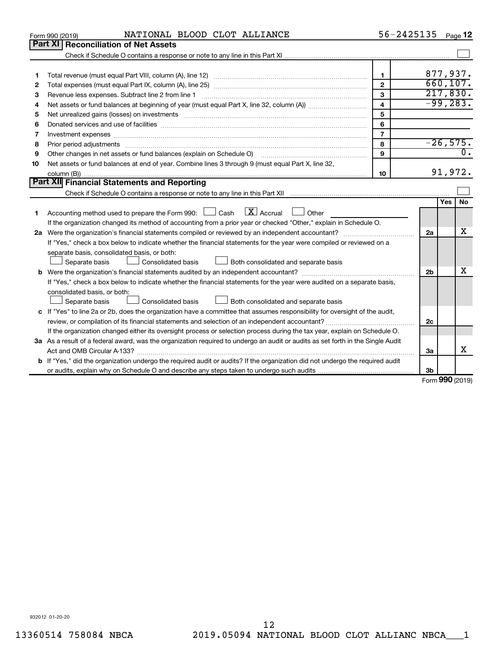|    | NATIONAL BLOOD CLOT ALLIANCE<br>Form 990 (2019)                                                                                                                                                                                | 56-2425135              |                                               |     | Page 12          |
|----|--------------------------------------------------------------------------------------------------------------------------------------------------------------------------------------------------------------------------------|-------------------------|-----------------------------------------------|-----|------------------|
|    | Part XI<br><b>Reconciliation of Net Assets</b>                                                                                                                                                                                 |                         |                                               |     |                  |
|    |                                                                                                                                                                                                                                |                         |                                               |     |                  |
|    |                                                                                                                                                                                                                                |                         |                                               |     |                  |
| 1  |                                                                                                                                                                                                                                | $\mathbf{1}$            | 877,937.                                      |     |                  |
| 2  |                                                                                                                                                                                                                                | $\overline{2}$          | 660, 107.                                     |     |                  |
| 3  |                                                                                                                                                                                                                                | 3                       | 217,830.                                      |     |                  |
| 4  |                                                                                                                                                                                                                                | $\overline{\mathbf{4}}$ | $-99, 283.$                                   |     |                  |
| 5  |                                                                                                                                                                                                                                | 5                       |                                               |     |                  |
| 6  |                                                                                                                                                                                                                                | 6                       |                                               |     |                  |
| 7  |                                                                                                                                                                                                                                | $\overline{7}$          |                                               |     |                  |
| 8  | Prior period adjustments material contents and content and content and content and content and content and content and content and content and content and content and content and content and content and content and content | 8                       | $-26,575.$                                    |     |                  |
| 9  | Other changes in net assets or fund balances (explain on Schedule O)                                                                                                                                                           | 9                       |                                               |     | $\overline{0}$ . |
| 10 | Net assets or fund balances at end of year. Combine lines 3 through 9 (must equal Part X, line 32,                                                                                                                             |                         |                                               |     |                  |
|    |                                                                                                                                                                                                                                | 10                      |                                               |     | 91,972.          |
|    | <b>Part XII Financial Statements and Reporting</b>                                                                                                                                                                             |                         |                                               |     |                  |
|    |                                                                                                                                                                                                                                |                         |                                               |     |                  |
|    |                                                                                                                                                                                                                                |                         |                                               | Yes | No               |
| 1. | $\boxed{\mathbf{X}}$ Accrual $\boxed{\phantom{0}}$ Other<br>Accounting method used to prepare the Form 990: [130] Cash                                                                                                         |                         |                                               |     |                  |
|    | If the organization changed its method of accounting from a prior year or checked "Other," explain in Schedule O.                                                                                                              |                         |                                               |     |                  |
|    |                                                                                                                                                                                                                                |                         | 2a                                            |     | x                |
|    | If "Yes," check a box below to indicate whether the financial statements for the year were compiled or reviewed on a                                                                                                           |                         |                                               |     |                  |
|    | separate basis, consolidated basis, or both:                                                                                                                                                                                   |                         |                                               |     |                  |
|    | <b>Consolidated basis</b><br>Both consolidated and separate basis<br>Separate basis                                                                                                                                            |                         |                                               |     |                  |
|    |                                                                                                                                                                                                                                |                         | 2 <sub>b</sub>                                |     | х                |
|    | If "Yes," check a box below to indicate whether the financial statements for the year were audited on a separate basis,                                                                                                        |                         |                                               |     |                  |
|    | consolidated basis, or both:                                                                                                                                                                                                   |                         |                                               |     |                  |
|    | Both consolidated and separate basis<br>Consolidated basis<br>Separate basis                                                                                                                                                   |                         |                                               |     |                  |
|    | c If "Yes" to line 2a or 2b, does the organization have a committee that assumes responsibility for oversight of the audit,                                                                                                    |                         |                                               |     |                  |
|    |                                                                                                                                                                                                                                |                         | 2c                                            |     |                  |
|    | If the organization changed either its oversight process or selection process during the tax year, explain on Schedule O.                                                                                                      |                         |                                               |     |                  |
|    | 3a As a result of a federal award, was the organization required to undergo an audit or audits as set forth in the Single Audit                                                                                                |                         |                                               |     |                  |
|    |                                                                                                                                                                                                                                |                         | За                                            |     | x                |
|    | <b>b</b> If "Yes," did the organization undergo the required audit or audits? If the organization did not undergo the required audit                                                                                           |                         |                                               |     |                  |
|    |                                                                                                                                                                                                                                |                         | 3 <sub>b</sub><br>$F_{\text{orm}}$ 990 (2010) |     |                  |

Form (2019) **990**

932012 01-20-20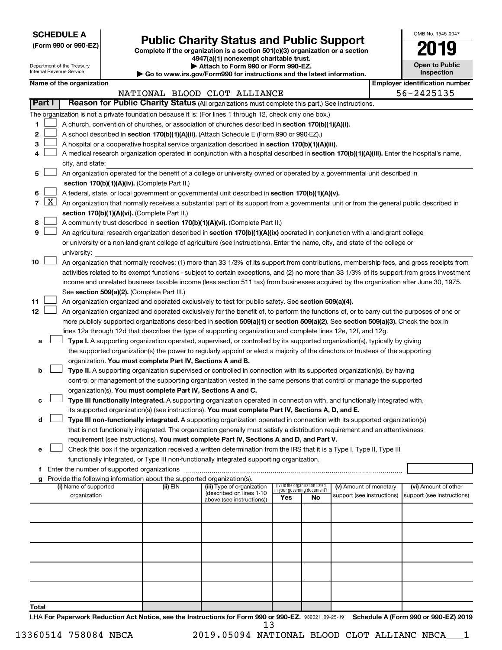**SCHEDULE A**

Department of the Treasury Internal Revenue Service

# Form 990 or 990-EZ)<br>
Complete if the organization is a section 501(c)(3) organization or a section<br> **Public Charity Status and Public Support**

**4947(a)(1) nonexempt charitable trust. | Attach to Form 990 or Form 990-EZ.** 

**| Go to www.irs.gov/Form990 for instructions and the latest information.**

| OMB No. 1545-0047                   |
|-------------------------------------|
| 2019                                |
| <b>Open to Public</b><br>Inspection |

|  |  |  | Name of the organization |  |
|--|--|--|--------------------------|--|
|--|--|--|--------------------------|--|

|        |                     | Name of the organization                                                                                                                      |          |                                                        |                                 |                             |                                                      | <b>Employer identification number</b>              |  |
|--------|---------------------|-----------------------------------------------------------------------------------------------------------------------------------------------|----------|--------------------------------------------------------|---------------------------------|-----------------------------|------------------------------------------------------|----------------------------------------------------|--|
|        |                     |                                                                                                                                               |          | NATIONAL BLOOD CLOT ALLIANCE                           |                                 |                             |                                                      | 56-2425135                                         |  |
| Part I |                     | Reason for Public Charity Status (All organizations must complete this part.) See instructions.                                               |          |                                                        |                                 |                             |                                                      |                                                    |  |
|        |                     | The organization is not a private foundation because it is: (For lines 1 through 12, check only one box.)                                     |          |                                                        |                                 |                             |                                                      |                                                    |  |
| 1      |                     | A church, convention of churches, or association of churches described in section 170(b)(1)(A)(i).                                            |          |                                                        |                                 |                             |                                                      |                                                    |  |
| 2      |                     | A school described in section 170(b)(1)(A)(ii). (Attach Schedule E (Form 990 or 990-EZ).)                                                     |          |                                                        |                                 |                             |                                                      |                                                    |  |
| 3      |                     | A hospital or a cooperative hospital service organization described in section 170(b)(1)(A)(iii).                                             |          |                                                        |                                 |                             |                                                      |                                                    |  |
|        |                     | A medical research organization operated in conjunction with a hospital described in section 170(b)(1)(A)(iii). Enter the hospital's name,    |          |                                                        |                                 |                             |                                                      |                                                    |  |
|        |                     | city, and state:                                                                                                                              |          |                                                        |                                 |                             |                                                      |                                                    |  |
| 5      |                     | An organization operated for the benefit of a college or university owned or operated by a governmental unit described in                     |          |                                                        |                                 |                             |                                                      |                                                    |  |
|        |                     | section 170(b)(1)(A)(iv). (Complete Part II.)                                                                                                 |          |                                                        |                                 |                             |                                                      |                                                    |  |
| 6      |                     | A federal, state, or local government or governmental unit described in section 170(b)(1)(A)(v).                                              |          |                                                        |                                 |                             |                                                      |                                                    |  |
| 7      | $\lfloor x \rfloor$ | An organization that normally receives a substantial part of its support from a governmental unit or from the general public described in     |          |                                                        |                                 |                             |                                                      |                                                    |  |
|        |                     | section 170(b)(1)(A)(vi). (Complete Part II.)                                                                                                 |          |                                                        |                                 |                             |                                                      |                                                    |  |
| 8      |                     | A community trust described in section 170(b)(1)(A)(vi). (Complete Part II.)                                                                  |          |                                                        |                                 |                             |                                                      |                                                    |  |
| 9      |                     | An agricultural research organization described in section 170(b)(1)(A)(ix) operated in conjunction with a land-grant college                 |          |                                                        |                                 |                             |                                                      |                                                    |  |
|        |                     | or university or a non-land-grant college of agriculture (see instructions). Enter the name, city, and state of the college or                |          |                                                        |                                 |                             |                                                      |                                                    |  |
|        |                     | university:                                                                                                                                   |          |                                                        |                                 |                             |                                                      |                                                    |  |
| 10     |                     | An organization that normally receives: (1) more than 33 1/3% of its support from contributions, membership fees, and gross receipts from     |          |                                                        |                                 |                             |                                                      |                                                    |  |
|        |                     | activities related to its exempt functions - subject to certain exceptions, and (2) no more than 33 1/3% of its support from gross investment |          |                                                        |                                 |                             |                                                      |                                                    |  |
|        |                     | income and unrelated business taxable income (less section 511 tax) from businesses acquired by the organization after June 30, 1975.         |          |                                                        |                                 |                             |                                                      |                                                    |  |
|        |                     | See section 509(a)(2). (Complete Part III.)                                                                                                   |          |                                                        |                                 |                             |                                                      |                                                    |  |
| 11     |                     | An organization organized and operated exclusively to test for public safety. See section 509(a)(4).                                          |          |                                                        |                                 |                             |                                                      |                                                    |  |
| 12     |                     | An organization organized and operated exclusively for the benefit of, to perform the functions of, or to carry out the purposes of one or    |          |                                                        |                                 |                             |                                                      |                                                    |  |
|        |                     | more publicly supported organizations described in section 509(a)(1) or section 509(a)(2). See section 509(a)(3). Check the box in            |          |                                                        |                                 |                             |                                                      |                                                    |  |
|        |                     | lines 12a through 12d that describes the type of supporting organization and complete lines 12e, 12f, and 12g.                                |          |                                                        |                                 |                             |                                                      |                                                    |  |
| а      |                     | Type I. A supporting organization operated, supervised, or controlled by its supported organization(s), typically by giving                   |          |                                                        |                                 |                             |                                                      |                                                    |  |
|        |                     | the supported organization(s) the power to regularly appoint or elect a majority of the directors or trustees of the supporting               |          |                                                        |                                 |                             |                                                      |                                                    |  |
|        |                     | organization. You must complete Part IV, Sections A and B.                                                                                    |          |                                                        |                                 |                             |                                                      |                                                    |  |
| b      |                     | Type II. A supporting organization supervised or controlled in connection with its supported organization(s), by having                       |          |                                                        |                                 |                             |                                                      |                                                    |  |
|        |                     | control or management of the supporting organization vested in the same persons that control or manage the supported                          |          |                                                        |                                 |                             |                                                      |                                                    |  |
|        |                     | organization(s). You must complete Part IV, Sections A and C.                                                                                 |          |                                                        |                                 |                             |                                                      |                                                    |  |
| с      |                     | Type III functionally integrated. A supporting organization operated in connection with, and functionally integrated with,                    |          |                                                        |                                 |                             |                                                      |                                                    |  |
|        |                     | its supported organization(s) (see instructions). You must complete Part IV, Sections A, D, and E.                                            |          |                                                        |                                 |                             |                                                      |                                                    |  |
| d      |                     | Type III non-functionally integrated. A supporting organization operated in connection with its supported organization(s)                     |          |                                                        |                                 |                             |                                                      |                                                    |  |
|        |                     | that is not functionally integrated. The organization generally must satisfy a distribution requirement and an attentiveness                  |          |                                                        |                                 |                             |                                                      |                                                    |  |
|        |                     | requirement (see instructions). You must complete Part IV, Sections A and D, and Part V.                                                      |          |                                                        |                                 |                             |                                                      |                                                    |  |
| е      |                     | Check this box if the organization received a written determination from the IRS that it is a Type I, Type II, Type III                       |          |                                                        |                                 |                             |                                                      |                                                    |  |
|        |                     | functionally integrated, or Type III non-functionally integrated supporting organization.                                                     |          |                                                        |                                 |                             |                                                      |                                                    |  |
|        |                     | f Enter the number of supported organizations                                                                                                 |          |                                                        |                                 |                             |                                                      |                                                    |  |
|        |                     | Provide the following information about the supported organization(s).                                                                        |          |                                                        | (iv) Is the organization listed |                             |                                                      |                                                    |  |
|        |                     | (i) Name of supported<br>organization                                                                                                         | (ii) EIN | (iii) Type of organization<br>(described on lines 1-10 |                                 | in your governing document? | (v) Amount of monetary<br>support (see instructions) | (vi) Amount of other<br>support (see instructions) |  |
|        |                     |                                                                                                                                               |          | above (see instructions))                              | Yes                             | No                          |                                                      |                                                    |  |
|        |                     |                                                                                                                                               |          |                                                        |                                 |                             |                                                      |                                                    |  |
|        |                     |                                                                                                                                               |          |                                                        |                                 |                             |                                                      |                                                    |  |
|        |                     |                                                                                                                                               |          |                                                        |                                 |                             |                                                      |                                                    |  |
|        |                     |                                                                                                                                               |          |                                                        |                                 |                             |                                                      |                                                    |  |
|        |                     |                                                                                                                                               |          |                                                        |                                 |                             |                                                      |                                                    |  |
|        |                     |                                                                                                                                               |          |                                                        |                                 |                             |                                                      |                                                    |  |
|        |                     |                                                                                                                                               |          |                                                        |                                 |                             |                                                      |                                                    |  |
|        |                     |                                                                                                                                               |          |                                                        |                                 |                             |                                                      |                                                    |  |
|        |                     |                                                                                                                                               |          |                                                        |                                 |                             |                                                      |                                                    |  |
|        |                     |                                                                                                                                               |          |                                                        |                                 |                             |                                                      |                                                    |  |
| Total  |                     |                                                                                                                                               |          |                                                        |                                 |                             |                                                      |                                                    |  |

LHA For Paperwork Reduction Act Notice, see the Instructions for Form 990 or 990-EZ. 932021 09-25-19 Schedule A (Form 990 or 990-EZ) 2019 13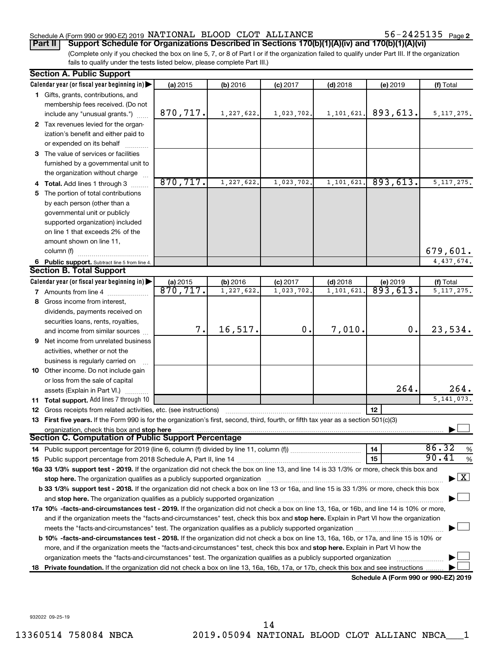## Schedule A (Form 990 or 990-EZ) 2019 NATIONAL BLOOD CLOT ALLIANCE  $56-2425135$  Page

56-2425135 Page 2

(Complete only if you checked the box on line 5, 7, or 8 of Part I or if the organization failed to qualify under Part III. If the organization fails to qualify under the tests listed below, please complete Part III.) **Part II** | Support Schedule for Organizations Described in Sections 170(b)(1)(A)(iv) and 170(b)(1)(A)(vi)

| <b>Section A. Public Support</b>                                                                                                               |           |            |            |            |          |               |
|------------------------------------------------------------------------------------------------------------------------------------------------|-----------|------------|------------|------------|----------|---------------|
| Calendar year (or fiscal year beginning in)                                                                                                    | (a) 2015  | (b) 2016   | $(c)$ 2017 | $(d)$ 2018 | (e) 2019 | (f) Total     |
| 1 Gifts, grants, contributions, and                                                                                                            |           |            |            |            |          |               |
| membership fees received. (Do not                                                                                                              |           |            |            |            |          |               |
| include any "unusual grants.")                                                                                                                 | 870,717.  | 1,227,622. | 1,023,702. | 1,101,621. | 893,613. | 5, 117, 275.  |
| 2 Tax revenues levied for the organ-                                                                                                           |           |            |            |            |          |               |
| ization's benefit and either paid to                                                                                                           |           |            |            |            |          |               |
| or expended on its behalf                                                                                                                      |           |            |            |            |          |               |
| 3 The value of services or facilities                                                                                                          |           |            |            |            |          |               |
| furnished by a governmental unit to                                                                                                            |           |            |            |            |          |               |
| the organization without charge                                                                                                                |           |            |            |            |          |               |
| 4 Total. Add lines 1 through 3                                                                                                                 | 870, 717. | 1,227,622. | 1,023,702  | 1,101,621. | 893,613. | 5, 117, 275.  |
| 5 The portion of total contributions                                                                                                           |           |            |            |            |          |               |
| by each person (other than a                                                                                                                   |           |            |            |            |          |               |
| governmental unit or publicly                                                                                                                  |           |            |            |            |          |               |
| supported organization) included                                                                                                               |           |            |            |            |          |               |
| on line 1 that exceeds 2% of the                                                                                                               |           |            |            |            |          |               |
| amount shown on line 11,                                                                                                                       |           |            |            |            |          |               |
| column (f)                                                                                                                                     |           |            |            |            |          | 679,601.      |
| 6 Public support. Subtract line 5 from line 4.                                                                                                 |           |            |            |            |          | 4,437,674.    |
| <b>Section B. Total Support</b>                                                                                                                |           |            |            |            |          |               |
| Calendar year (or fiscal year beginning in) $\blacktriangleright$                                                                              | (a) 2015  | (b) 2016   | $(c)$ 2017 | $(d)$ 2018 | (e) 2019 | (f) Total     |
| <b>7</b> Amounts from line 4                                                                                                                   | 870, 717. | 1,227,622. | 1,023,702  | 1,101,621  | 893,613. | 5, 117, 275.  |
| 8 Gross income from interest,                                                                                                                  |           |            |            |            |          |               |
| dividends, payments received on                                                                                                                |           |            |            |            |          |               |
| securities loans, rents, royalties,                                                                                                            |           |            |            |            |          |               |
| and income from similar sources                                                                                                                | 7.        | 16,517.    | 0.         | 7,010.     | 0.       | 23,534.       |
| 9 Net income from unrelated business                                                                                                           |           |            |            |            |          |               |
| activities, whether or not the                                                                                                                 |           |            |            |            |          |               |
| business is regularly carried on                                                                                                               |           |            |            |            |          |               |
| 10 Other income. Do not include gain                                                                                                           |           |            |            |            |          |               |
| or loss from the sale of capital                                                                                                               |           |            |            |            |          |               |
| assets (Explain in Part VI.)                                                                                                                   |           |            |            |            | 264.     | 264.          |
| 11 Total support. Add lines 7 through 10                                                                                                       |           |            |            |            |          | 5, 141, 073.  |
| <b>12</b> Gross receipts from related activities, etc. (see instructions)                                                                      |           |            |            |            | 12       |               |
| 13 First five years. If the Form 990 is for the organization's first, second, third, fourth, or fifth tax year as a section 501(c)(3)          |           |            |            |            |          |               |
|                                                                                                                                                |           |            |            |            |          |               |
| organization, check this box and stop here<br>Section C. Computation of Public Support Percentage                                              |           |            |            |            |          |               |
|                                                                                                                                                |           |            |            |            | 14       | 86.32<br>$\%$ |
|                                                                                                                                                |           |            |            |            | 15       | 90.41<br>$\%$ |
| 16a 33 1/3% support test - 2019. If the organization did not check the box on line 13, and line 14 is 33 1/3% or more, check this box and      |           |            |            |            |          |               |
|                                                                                                                                                |           |            |            |            |          | $\mathbf{X}$  |
| b 33 1/3% support test - 2018. If the organization did not check a box on line 13 or 16a, and line 15 is 33 1/3% or more, check this box       |           |            |            |            |          |               |
|                                                                                                                                                |           |            |            |            |          |               |
|                                                                                                                                                |           |            |            |            |          |               |
| 17a 10% -facts-and-circumstances test - 2019. If the organization did not check a box on line 13, 16a, or 16b, and line 14 is 10% or more,     |           |            |            |            |          |               |
| and if the organization meets the "facts-and-circumstances" test, check this box and stop here. Explain in Part VI how the organization        |           |            |            |            |          |               |
|                                                                                                                                                |           |            |            |            |          |               |
| <b>b 10%</b> -facts-and-circumstances test - 2018. If the organization did not check a box on line 13, 16a, 16b, or 17a, and line 15 is 10% or |           |            |            |            |          |               |
| more, and if the organization meets the "facts-and-circumstances" test, check this box and stop here. Explain in Part VI how the               |           |            |            |            |          |               |
| organization meets the "facts-and-circumstances" test. The organization qualifies as a publicly supported organization                         |           |            |            |            |          |               |
| 18 Private foundation. If the organization did not check a box on line 13, 16a, 16b, 17a, or 17b, check this box and see instructions.         |           |            |            |            |          |               |

**Schedule A (Form 990 or 990-EZ) 2019**

932022 09-25-19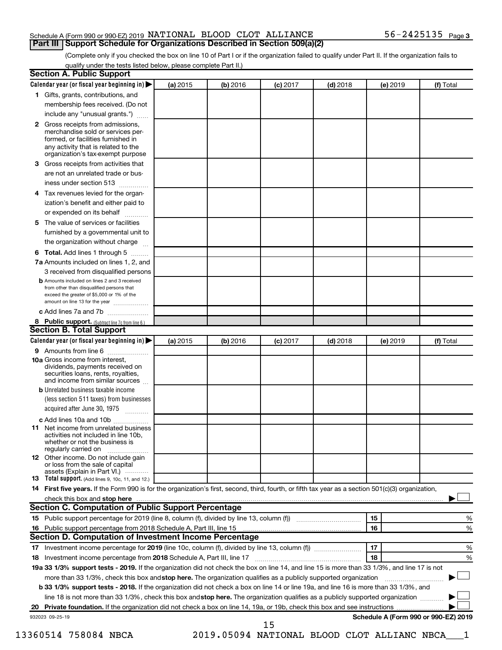## Schedule A (Form 990 or 990-EZ) 2019 NATIONAL BLOOD CLOT ALLIANCE  $56-2425135$  Page **Part III | Support Schedule for Organizations Described in Section 509(a)(2)**

(Complete only if you checked the box on line 10 of Part I or if the organization failed to qualify under Part II. If the organization fails to qualify under the tests listed below, please complete Part II.)

|   | Calendar year (or fiscal year beginning in)                                                                                                                                                                                   | (a) 2015 | (b) 2016 | $(c)$ 2017 | $(d)$ 2018                                  |    | (e) 2019 | (f) Total                            |
|---|-------------------------------------------------------------------------------------------------------------------------------------------------------------------------------------------------------------------------------|----------|----------|------------|---------------------------------------------|----|----------|--------------------------------------|
|   | 1 Gifts, grants, contributions, and                                                                                                                                                                                           |          |          |            |                                             |    |          |                                      |
|   | membership fees received. (Do not                                                                                                                                                                                             |          |          |            |                                             |    |          |                                      |
|   | include any "unusual grants.")                                                                                                                                                                                                |          |          |            |                                             |    |          |                                      |
|   | 2 Gross receipts from admissions,                                                                                                                                                                                             |          |          |            |                                             |    |          |                                      |
|   | merchandise sold or services per-                                                                                                                                                                                             |          |          |            |                                             |    |          |                                      |
|   | formed, or facilities furnished in                                                                                                                                                                                            |          |          |            |                                             |    |          |                                      |
|   | any activity that is related to the<br>organization's tax-exempt purpose                                                                                                                                                      |          |          |            |                                             |    |          |                                      |
| 3 | Gross receipts from activities that                                                                                                                                                                                           |          |          |            |                                             |    |          |                                      |
|   | are not an unrelated trade or bus-                                                                                                                                                                                            |          |          |            |                                             |    |          |                                      |
|   | iness under section 513                                                                                                                                                                                                       |          |          |            |                                             |    |          |                                      |
| 4 | Tax revenues levied for the organ-                                                                                                                                                                                            |          |          |            |                                             |    |          |                                      |
|   | ization's benefit and either paid to                                                                                                                                                                                          |          |          |            |                                             |    |          |                                      |
|   | or expended on its behalf<br>.                                                                                                                                                                                                |          |          |            |                                             |    |          |                                      |
| 5 | The value of services or facilities                                                                                                                                                                                           |          |          |            |                                             |    |          |                                      |
|   | furnished by a governmental unit to                                                                                                                                                                                           |          |          |            |                                             |    |          |                                      |
|   | the organization without charge                                                                                                                                                                                               |          |          |            |                                             |    |          |                                      |
| 6 | Total. Add lines 1 through 5                                                                                                                                                                                                  |          |          |            |                                             |    |          |                                      |
|   | 7a Amounts included on lines 1, 2, and                                                                                                                                                                                        |          |          |            |                                             |    |          |                                      |
|   | 3 received from disqualified persons                                                                                                                                                                                          |          |          |            |                                             |    |          |                                      |
|   | <b>b</b> Amounts included on lines 2 and 3 received                                                                                                                                                                           |          |          |            |                                             |    |          |                                      |
|   | from other than disqualified persons that<br>exceed the greater of \$5,000 or 1% of the                                                                                                                                       |          |          |            |                                             |    |          |                                      |
|   | amount on line 13 for the year                                                                                                                                                                                                |          |          |            |                                             |    |          |                                      |
|   | c Add lines 7a and 7b                                                                                                                                                                                                         |          |          |            |                                             |    |          |                                      |
|   | 8 Public support. (Subtract line 7c from line 6.)                                                                                                                                                                             |          |          |            |                                             |    |          |                                      |
|   | <b>Section B. Total Support</b>                                                                                                                                                                                               |          |          |            |                                             |    |          |                                      |
|   | Calendar year (or fiscal year beginning in)                                                                                                                                                                                   | (a) 2015 | (b) 2016 | $(c)$ 2017 | $(d)$ 2018                                  |    | (e) 2019 | (f) Total                            |
|   | <b>9</b> Amounts from line 6                                                                                                                                                                                                  |          |          |            |                                             |    |          |                                      |
|   | <b>10a</b> Gross income from interest,<br>dividends, payments received on<br>securities loans, rents, royalties,<br>and income from similar sources                                                                           |          |          |            |                                             |    |          |                                      |
|   | <b>b</b> Unrelated business taxable income                                                                                                                                                                                    |          |          |            |                                             |    |          |                                      |
|   | (less section 511 taxes) from businesses                                                                                                                                                                                      |          |          |            |                                             |    |          |                                      |
|   | acquired after June 30, 1975                                                                                                                                                                                                  |          |          |            |                                             |    |          |                                      |
|   |                                                                                                                                                                                                                               |          |          |            |                                             |    |          |                                      |
|   | c Add lines 10a and 10b<br><b>11</b> Net income from unrelated business                                                                                                                                                       |          |          |            |                                             |    |          |                                      |
|   | activities not included in line 10b.<br>whether or not the business is<br>regularly carried on                                                                                                                                |          |          |            |                                             |    |          |                                      |
|   | 12 Other income. Do not include gain                                                                                                                                                                                          |          |          |            |                                             |    |          |                                      |
|   | or loss from the sale of capital<br>assets (Explain in Part VI.)                                                                                                                                                              |          |          |            |                                             |    |          |                                      |
|   | 13 Total support. (Add lines 9, 10c, 11, and 12.)                                                                                                                                                                             |          |          |            |                                             |    |          |                                      |
|   | 14 First five years. If the Form 990 is for the organization's first, second, third, fourth, or fifth tax year as a section 501(c)(3) organization,                                                                           |          |          |            |                                             |    |          |                                      |
|   | check this box and stop here measurements and the contract of the state of the state of the state of the state of the state of the state of the state of the state of the state of the state of the state of the state of the |          |          |            |                                             |    |          |                                      |
|   | <b>Section C. Computation of Public Support Percentage</b>                                                                                                                                                                    |          |          |            |                                             |    |          |                                      |
|   |                                                                                                                                                                                                                               |          |          |            |                                             | 15 |          | %                                    |
|   |                                                                                                                                                                                                                               |          |          |            |                                             | 16 |          | %                                    |
|   | <b>Section D. Computation of Investment Income Percentage</b>                                                                                                                                                                 |          |          |            |                                             |    |          |                                      |
|   |                                                                                                                                                                                                                               |          |          |            |                                             | 17 |          | %                                    |
|   | 18 Investment income percentage from 2018 Schedule A, Part III, line 17                                                                                                                                                       |          |          |            |                                             | 18 |          | %                                    |
|   | 19a 33 1/3% support tests - 2019. If the organization did not check the box on line 14, and line 15 is more than 33 1/3%, and line 17 is not                                                                                  |          |          |            |                                             |    |          |                                      |
|   | more than 33 1/3%, check this box and stop here. The organization qualifies as a publicly supported organization                                                                                                              |          |          |            |                                             |    |          |                                      |
|   | <b>b 33 1/3% support tests - 2018.</b> If the organization did not check a box on line 14 or line 19a, and line 16 is more than 33 1/3%, and                                                                                  |          |          |            |                                             |    |          |                                      |
|   | line 18 is not more than 33 1/3%, check this box and stop here. The organization qualifies as a publicly supported organization                                                                                               |          |          |            |                                             |    |          |                                      |
|   |                                                                                                                                                                                                                               |          |          |            |                                             |    |          |                                      |
|   | 932023 09-25-19                                                                                                                                                                                                               |          |          |            |                                             |    |          | Schedule A (Form 990 or 990-EZ) 2019 |
|   |                                                                                                                                                                                                                               |          |          | 15         |                                             |    |          |                                      |
|   | 13360514 758084 NBCA                                                                                                                                                                                                          |          |          |            | 2019.05094 NATIONAL BLOOD CLOT ALLIANC NBCA |    |          |                                      |
|   |                                                                                                                                                                                                                               |          |          |            |                                             |    |          |                                      |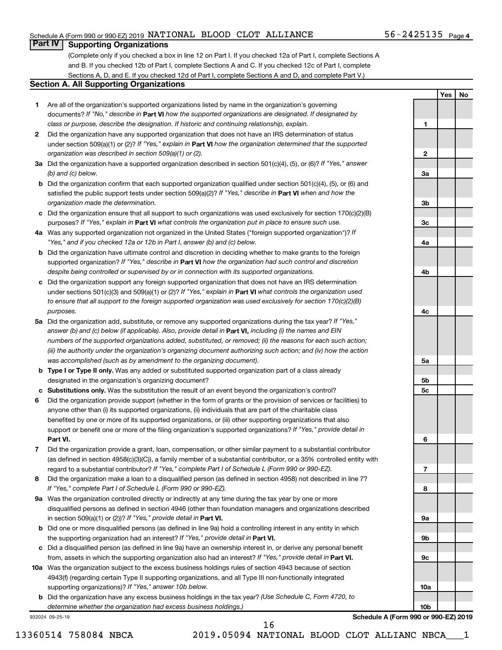## Schedule A (Form 990 or 990-EZ) 2019 NATIONAL BLOOD CLOT ALLIANCE  $56-2425135$  Page

## **Part IV Supporting Organizations**

(Complete only if you checked a box in line 12 on Part I. If you checked 12a of Part I, complete Sections A and B. If you checked 12b of Part I, complete Sections A and C. If you checked 12c of Part I, complete Sections A, D, and E. If you checked 12d of Part I, complete Sections A and D, and complete Part V.)

## **Section A. All Supporting Organizations**

- **1** Are all of the organization's supported organizations listed by name in the organization's governing documents? If "No," describe in Part VI how the supported organizations are designated. If designated by *class or purpose, describe the designation. If historic and continuing relationship, explain.*
- **2** Did the organization have any supported organization that does not have an IRS determination of status under section 509(a)(1) or (2)? If "Yes," explain in Part **VI** how the organization determined that the supported *organization was described in section 509(a)(1) or (2).*
- **3a** Did the organization have a supported organization described in section 501(c)(4), (5), or (6)? If "Yes," answer *(b) and (c) below.*
- **b** Did the organization confirm that each supported organization qualified under section 501(c)(4), (5), or (6) and satisfied the public support tests under section 509(a)(2)? If "Yes," describe in Part VI when and how the *organization made the determination.*
- **c** Did the organization ensure that all support to such organizations was used exclusively for section 170(c)(2)(B) purposes? If "Yes," explain in Part VI what controls the organization put in place to ensure such use.
- **4 a** *If* Was any supported organization not organized in the United States ("foreign supported organization")? *"Yes," and if you checked 12a or 12b in Part I, answer (b) and (c) below.*
- **b** Did the organization have ultimate control and discretion in deciding whether to make grants to the foreign supported organization? If "Yes," describe in Part VI how the organization had such control and discretion *despite being controlled or supervised by or in connection with its supported organizations.*
- **c** Did the organization support any foreign supported organization that does not have an IRS determination under sections 501(c)(3) and 509(a)(1) or (2)? If "Yes," explain in Part VI what controls the organization used *to ensure that all support to the foreign supported organization was used exclusively for section 170(c)(2)(B) purposes.*
- **5a** Did the organization add, substitute, or remove any supported organizations during the tax year? If "Yes," answer (b) and (c) below (if applicable). Also, provide detail in **Part VI,** including (i) the names and EIN *numbers of the supported organizations added, substituted, or removed; (ii) the reasons for each such action; (iii) the authority under the organization's organizing document authorizing such action; and (iv) how the action was accomplished (such as by amendment to the organizing document).*
- **b Type I or Type II only.** Was any added or substituted supported organization part of a class already designated in the organization's organizing document?
- **c Substitutions only.**  Was the substitution the result of an event beyond the organization's control?
- **6** Did the organization provide support (whether in the form of grants or the provision of services or facilities) to **Part VI.** support or benefit one or more of the filing organization's supported organizations? If "Yes," provide detail in anyone other than (i) its supported organizations, (ii) individuals that are part of the charitable class benefited by one or more of its supported organizations, or (iii) other supporting organizations that also
- **7** Did the organization provide a grant, loan, compensation, or other similar payment to a substantial contributor regard to a substantial contributor? If "Yes," complete Part I of Schedule L (Form 990 or 990-EZ). (as defined in section 4958(c)(3)(C)), a family member of a substantial contributor, or a 35% controlled entity with
- **8** Did the organization make a loan to a disqualified person (as defined in section 4958) not described in line 7? *If "Yes," complete Part I of Schedule L (Form 990 or 990-EZ).*
- **9 a** Was the organization controlled directly or indirectly at any time during the tax year by one or more in section 509(a)(1) or (2))? If "Yes," provide detail in **Part VI.** disqualified persons as defined in section 4946 (other than foundation managers and organizations described
- **b** Did one or more disqualified persons (as defined in line 9a) hold a controlling interest in any entity in which the supporting organization had an interest? If "Yes," provide detail in Part VI.
- **c** Did a disqualified person (as defined in line 9a) have an ownership interest in, or derive any personal benefit from, assets in which the supporting organization also had an interest? If "Yes," provide detail in Part VI.
- **10 a** Was the organization subject to the excess business holdings rules of section 4943 because of section supporting organizations)? If "Yes," answer 10b below. 4943(f) (regarding certain Type II supporting organizations, and all Type III non-functionally integrated
	- **b** Did the organization have any excess business holdings in the tax year? (Use Schedule C, Form 4720, to *determine whether the organization had excess business holdings.)*

932024 09-25-19



**Schedule A (Form 990 or 990-EZ) 2019**

**10a**

**10b**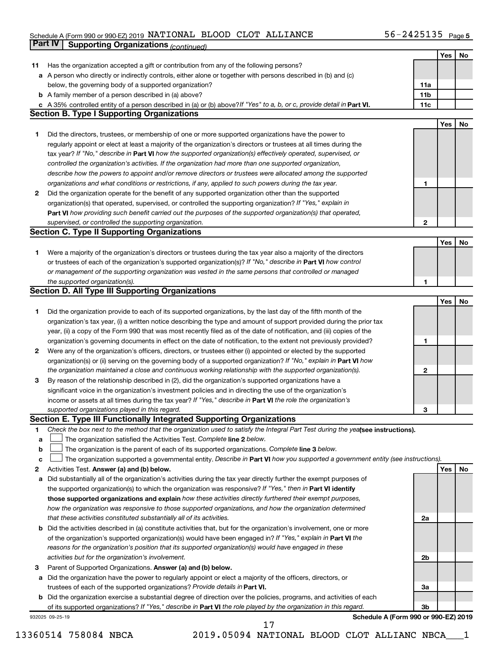### Schedule A (Form 990 or 990-EZ) 2019 Page NATIONAL BLOOD CLOT ALLIANCE 56-2425135

|    | Part IV<br><b>Supporting Organizations (continued)</b>                                                                                                                                                                                            |                 |     |    |
|----|---------------------------------------------------------------------------------------------------------------------------------------------------------------------------------------------------------------------------------------------------|-----------------|-----|----|
|    |                                                                                                                                                                                                                                                   |                 | Yes | No |
| 11 | Has the organization accepted a gift or contribution from any of the following persons?                                                                                                                                                           |                 |     |    |
|    | a A person who directly or indirectly controls, either alone or together with persons described in (b) and (c)                                                                                                                                    |                 |     |    |
|    | below, the governing body of a supported organization?                                                                                                                                                                                            | 11a             |     |    |
|    | <b>b</b> A family member of a person described in (a) above?                                                                                                                                                                                      | 11 <sub>b</sub> |     |    |
|    | c A 35% controlled entity of a person described in (a) or (b) above? If "Yes" to a, b, or c, provide detail in Part VI.                                                                                                                           | 11c             |     |    |
|    | <b>Section B. Type I Supporting Organizations</b>                                                                                                                                                                                                 |                 |     |    |
|    |                                                                                                                                                                                                                                                   |                 | Yes | No |
| 1  | Did the directors, trustees, or membership of one or more supported organizations have the power to                                                                                                                                               |                 |     |    |
|    | regularly appoint or elect at least a majority of the organization's directors or trustees at all times during the                                                                                                                                |                 |     |    |
|    | tax year? If "No," describe in Part VI how the supported organization(s) effectively operated, supervised, or                                                                                                                                     |                 |     |    |
|    | controlled the organization's activities. If the organization had more than one supported organization,                                                                                                                                           |                 |     |    |
|    | describe how the powers to appoint and/or remove directors or trustees were allocated among the supported                                                                                                                                         |                 |     |    |
|    | organizations and what conditions or restrictions, if any, applied to such powers during the tax year.                                                                                                                                            | 1               |     |    |
| 2  | Did the organization operate for the benefit of any supported organization other than the supported                                                                                                                                               |                 |     |    |
|    | organization(s) that operated, supervised, or controlled the supporting organization? If "Yes," explain in                                                                                                                                        |                 |     |    |
|    | Part VI how providing such benefit carried out the purposes of the supported organization(s) that operated,                                                                                                                                       |                 |     |    |
|    | supervised, or controlled the supporting organization.                                                                                                                                                                                            | $\mathbf{2}$    |     |    |
|    | <b>Section C. Type II Supporting Organizations</b>                                                                                                                                                                                                |                 |     |    |
|    |                                                                                                                                                                                                                                                   |                 | Yes | No |
| 1. | Were a majority of the organization's directors or trustees during the tax year also a majority of the directors                                                                                                                                  |                 |     |    |
|    | or trustees of each of the organization's supported organization(s)? If "No," describe in Part VI how control                                                                                                                                     |                 |     |    |
|    |                                                                                                                                                                                                                                                   |                 |     |    |
|    | or management of the supporting organization was vested in the same persons that controlled or managed                                                                                                                                            | 1               |     |    |
|    | the supported organization(s).<br><b>Section D. All Type III Supporting Organizations</b>                                                                                                                                                         |                 |     |    |
|    |                                                                                                                                                                                                                                                   |                 | Yes | No |
|    |                                                                                                                                                                                                                                                   |                 |     |    |
| 1  | Did the organization provide to each of its supported organizations, by the last day of the fifth month of the                                                                                                                                    |                 |     |    |
|    | organization's tax year, (i) a written notice describing the type and amount of support provided during the prior tax                                                                                                                             |                 |     |    |
|    | year, (ii) a copy of the Form 990 that was most recently filed as of the date of notification, and (iii) copies of the                                                                                                                            |                 |     |    |
|    | organization's governing documents in effect on the date of notification, to the extent not previously provided?                                                                                                                                  | 1               |     |    |
| 2  | Were any of the organization's officers, directors, or trustees either (i) appointed or elected by the supported                                                                                                                                  |                 |     |    |
|    | organization(s) or (ii) serving on the governing body of a supported organization? If "No," explain in Part VI how                                                                                                                                |                 |     |    |
|    | the organization maintained a close and continuous working relationship with the supported organization(s).                                                                                                                                       | 2               |     |    |
| 3  | By reason of the relationship described in (2), did the organization's supported organizations have a                                                                                                                                             |                 |     |    |
|    | significant voice in the organization's investment policies and in directing the use of the organization's                                                                                                                                        |                 |     |    |
|    | income or assets at all times during the tax year? If "Yes," describe in Part VI the role the organization's                                                                                                                                      |                 |     |    |
|    | supported organizations played in this regard.                                                                                                                                                                                                    | З               |     |    |
|    | Section E. Type III Functionally Integrated Supporting Organizations                                                                                                                                                                              |                 |     |    |
| 1  | Check the box next to the method that the organization used to satisfy the Integral Part Test during the yealsee instructions).                                                                                                                   |                 |     |    |
| а  | The organization satisfied the Activities Test. Complete line 2 below.                                                                                                                                                                            |                 |     |    |
| b  | The organization is the parent of each of its supported organizations. Complete line 3 below.                                                                                                                                                     |                 |     |    |
| с  | The organization supported a governmental entity. Describe in Part VI how you supported a government entity (see instructions).                                                                                                                   |                 | Yes |    |
| 2  | Activities Test. Answer (a) and (b) below.                                                                                                                                                                                                        |                 |     | No |
| а  | Did substantially all of the organization's activities during the tax year directly further the exempt purposes of<br>the supported organization(s) to which the organization was responsive? If "Yes," then in Part VI identify                  |                 |     |    |
|    | those supported organizations and explain how these activities directly furthered their exempt purposes,                                                                                                                                          |                 |     |    |
|    |                                                                                                                                                                                                                                                   |                 |     |    |
|    | how the organization was responsive to those supported organizations, and how the organization determined<br>that these activities constituted substantially all of its activities.                                                               | 2a              |     |    |
|    |                                                                                                                                                                                                                                                   |                 |     |    |
| b  | Did the activities described in (a) constitute activities that, but for the organization's involvement, one or more                                                                                                                               |                 |     |    |
|    | of the organization's supported organization(s) would have been engaged in? If "Yes," explain in Part VI the                                                                                                                                      |                 |     |    |
|    | reasons for the organization's position that its supported organization(s) would have engaged in these<br>activities but for the organization's involvement.                                                                                      | 2b              |     |    |
|    |                                                                                                                                                                                                                                                   |                 |     |    |
| 3  | Parent of Supported Organizations. Answer (a) and (b) below.                                                                                                                                                                                      |                 |     |    |
| а  | Did the organization have the power to regularly appoint or elect a majority of the officers, directors, or                                                                                                                                       | За              |     |    |
|    | trustees of each of the supported organizations? Provide details in Part VI.                                                                                                                                                                      |                 |     |    |
|    | <b>b</b> Did the organization exercise a substantial degree of direction over the policies, programs, and activities of each<br>of its supported organizations? If "Yes," describe in Part VI the role played by the organization in this regard. | 3b              |     |    |
|    | Schedule A (Form 990 or 990-EZ) 2019<br>932025 09-25-19                                                                                                                                                                                           |                 |     |    |
|    |                                                                                                                                                                                                                                                   |                 |     |    |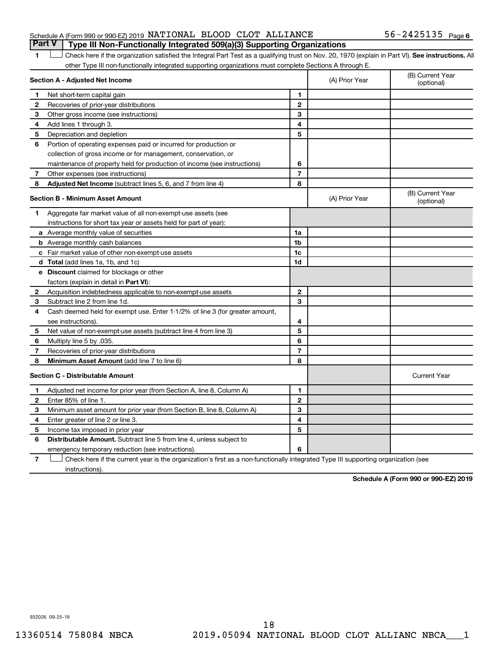## Schedule A (Form 990 or 990-EZ) 2019 NATIONAL BLOOD CLOT ALLIANCE  $56-2425135$  Page **Part V Type III Non-Functionally Integrated 509(a)(3) Supporting Organizations**

1 **Letter See instructions.** All Check here if the organization satisfied the Integral Part Test as a qualifying trust on Nov. 20, 1970 (explain in Part VI). See instructions. All other Type III non-functionally integrated supporting organizations must complete Sections A through E.

|              | Section A - Adjusted Net Income                                              |                | (A) Prior Year | (B) Current Year<br>(optional) |
|--------------|------------------------------------------------------------------------------|----------------|----------------|--------------------------------|
| 1            | Net short-term capital gain                                                  | 1              |                |                                |
| 2            | Recoveries of prior-year distributions                                       | $\mathbf{2}$   |                |                                |
| 3            | Other gross income (see instructions)                                        | 3              |                |                                |
| 4            | Add lines 1 through 3.                                                       | 4              |                |                                |
| 5            | Depreciation and depletion                                                   | 5              |                |                                |
| 6            | Portion of operating expenses paid or incurred for production or             |                |                |                                |
|              | collection of gross income or for management, conservation, or               |                |                |                                |
|              | maintenance of property held for production of income (see instructions)     | 6              |                |                                |
| 7            | Other expenses (see instructions)                                            | $\overline{7}$ |                |                                |
| 8            | Adjusted Net Income (subtract lines 5, 6, and 7 from line 4)                 | 8              |                |                                |
|              | <b>Section B - Minimum Asset Amount</b>                                      |                | (A) Prior Year | (B) Current Year<br>(optional) |
| 1            | Aggregate fair market value of all non-exempt-use assets (see                |                |                |                                |
|              | instructions for short tax year or assets held for part of year):            |                |                |                                |
|              | a Average monthly value of securities                                        | 1a             |                |                                |
|              | <b>b</b> Average monthly cash balances                                       | 1 <sub>b</sub> |                |                                |
|              | c Fair market value of other non-exempt-use assets                           | 1 <sub>c</sub> |                |                                |
|              | <b>d</b> Total (add lines 1a, 1b, and 1c)                                    | 1d             |                |                                |
|              | e Discount claimed for blockage or other                                     |                |                |                                |
|              | factors (explain in detail in <b>Part VI</b> ):                              |                |                |                                |
| 2            | Acquisition indebtedness applicable to non-exempt-use assets                 | $\mathbf{2}$   |                |                                |
| 3            | Subtract line 2 from line 1d.                                                | 3              |                |                                |
| 4            | Cash deemed held for exempt use. Enter 1-1/2% of line 3 (for greater amount, |                |                |                                |
|              | see instructions).                                                           | 4              |                |                                |
| 5            | Net value of non-exempt-use assets (subtract line 4 from line 3)             | 5              |                |                                |
| 6            | Multiply line 5 by .035.                                                     | 6              |                |                                |
| 7            | Recoveries of prior-year distributions                                       | $\overline{7}$ |                |                                |
| 8            | Minimum Asset Amount (add line 7 to line 6)                                  | 8              |                |                                |
|              | <b>Section C - Distributable Amount</b>                                      |                |                | <b>Current Year</b>            |
| 1            | Adjusted net income for prior year (from Section A, line 8, Column A)        | 1              |                |                                |
| $\mathbf{2}$ | Enter 85% of line 1.                                                         | $\overline{2}$ |                |                                |
| 3            | Minimum asset amount for prior year (from Section B, line 8, Column A)       | 3              |                |                                |
| 4            | Enter greater of line 2 or line 3.                                           | 4              |                |                                |
| 5            | Income tax imposed in prior year                                             | 5              |                |                                |
| 6            | Distributable Amount. Subtract line 5 from line 4, unless subject to         |                |                |                                |
|              | emergency temporary reduction (see instructions).                            | 6              |                |                                |
|              |                                                                              |                |                |                                |

**7** Check here if the current year is the organization's first as a non-functionally integrated Type III supporting organization (see † instructions).

**Schedule A (Form 990 or 990-EZ) 2019**

932026 09-25-19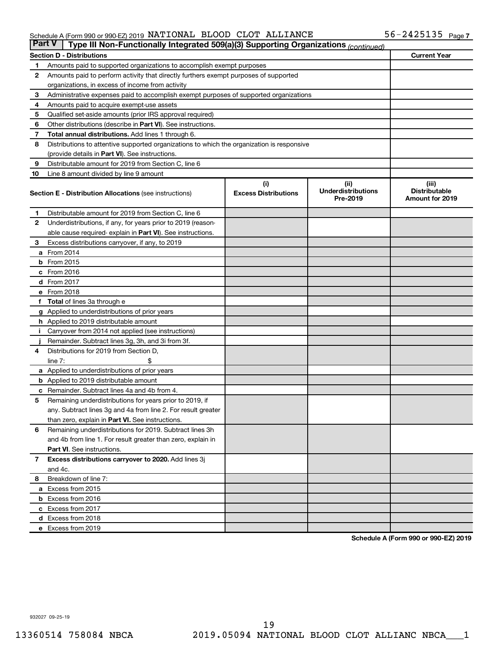## Schedule A (Form 990 or 990-EZ) 2019 NATIONAL BLOOD CLOT ALLIANCE  $56-2425135$  Page

| <b>Part V</b> | Type III Non-Functionally Integrated 509(a)(3) Supporting Organizations (continued)        |                             |                                       |                                                |
|---------------|--------------------------------------------------------------------------------------------|-----------------------------|---------------------------------------|------------------------------------------------|
|               | <b>Section D - Distributions</b>                                                           |                             |                                       | <b>Current Year</b>                            |
| 1             | Amounts paid to supported organizations to accomplish exempt purposes                      |                             |                                       |                                                |
| $\mathbf{2}$  | Amounts paid to perform activity that directly furthers exempt purposes of supported       |                             |                                       |                                                |
|               | organizations, in excess of income from activity                                           |                             |                                       |                                                |
| 3             | Administrative expenses paid to accomplish exempt purposes of supported organizations      |                             |                                       |                                                |
| 4             | Amounts paid to acquire exempt-use assets                                                  |                             |                                       |                                                |
| 5             | Qualified set-aside amounts (prior IRS approval required)                                  |                             |                                       |                                                |
| 6             | Other distributions (describe in <b>Part VI</b> ). See instructions.                       |                             |                                       |                                                |
| 7             | Total annual distributions. Add lines 1 through 6.                                         |                             |                                       |                                                |
| 8             | Distributions to attentive supported organizations to which the organization is responsive |                             |                                       |                                                |
|               | (provide details in Part VI). See instructions.                                            |                             |                                       |                                                |
| 9             | Distributable amount for 2019 from Section C, line 6                                       |                             |                                       |                                                |
| 10            | Line 8 amount divided by line 9 amount                                                     |                             |                                       |                                                |
|               |                                                                                            | (i)                         | (ii)                                  | (iii)                                          |
|               | <b>Section E - Distribution Allocations (see instructions)</b>                             | <b>Excess Distributions</b> | <b>Underdistributions</b><br>Pre-2019 | <b>Distributable</b><br><b>Amount for 2019</b> |
| 1             | Distributable amount for 2019 from Section C, line 6                                       |                             |                                       |                                                |
| $\mathbf{2}$  | Underdistributions, if any, for years prior to 2019 (reason-                               |                             |                                       |                                                |
|               | able cause required-explain in Part VI). See instructions.                                 |                             |                                       |                                                |
| 3             | Excess distributions carryover, if any, to 2019                                            |                             |                                       |                                                |
|               | a From 2014                                                                                |                             |                                       |                                                |
|               | <b>b</b> From 2015                                                                         |                             |                                       |                                                |
|               | c From 2016                                                                                |                             |                                       |                                                |
|               | <b>d</b> From 2017                                                                         |                             |                                       |                                                |
|               | e From 2018                                                                                |                             |                                       |                                                |
|               | f Total of lines 3a through e                                                              |                             |                                       |                                                |
|               | <b>g</b> Applied to underdistributions of prior years                                      |                             |                                       |                                                |
|               | h Applied to 2019 distributable amount                                                     |                             |                                       |                                                |
| Ť.            | Carryover from 2014 not applied (see instructions)                                         |                             |                                       |                                                |
|               | Remainder. Subtract lines 3g, 3h, and 3i from 3f.                                          |                             |                                       |                                                |
| 4             | Distributions for 2019 from Section D,                                                     |                             |                                       |                                                |
|               | line $7:$                                                                                  |                             |                                       |                                                |
|               | a Applied to underdistributions of prior years                                             |                             |                                       |                                                |
|               | <b>b</b> Applied to 2019 distributable amount                                              |                             |                                       |                                                |
| с             | Remainder. Subtract lines 4a and 4b from 4.                                                |                             |                                       |                                                |
| 5             | Remaining underdistributions for years prior to 2019, if                                   |                             |                                       |                                                |
|               | any. Subtract lines 3g and 4a from line 2. For result greater                              |                             |                                       |                                                |
|               | than zero, explain in Part VI. See instructions.                                           |                             |                                       |                                                |
| 6             | Remaining underdistributions for 2019. Subtract lines 3h                                   |                             |                                       |                                                |
|               | and 4b from line 1. For result greater than zero, explain in                               |                             |                                       |                                                |
|               | <b>Part VI.</b> See instructions.                                                          |                             |                                       |                                                |
| $\mathbf{7}$  | Excess distributions carryover to 2020. Add lines 3j                                       |                             |                                       |                                                |
|               | and 4c.                                                                                    |                             |                                       |                                                |
| 8             | Breakdown of line 7:                                                                       |                             |                                       |                                                |
|               | a Excess from 2015                                                                         |                             |                                       |                                                |
|               | <b>b</b> Excess from 2016                                                                  |                             |                                       |                                                |
|               | c Excess from 2017                                                                         |                             |                                       |                                                |
|               | d Excess from 2018                                                                         |                             |                                       |                                                |
|               | e Excess from 2019                                                                         |                             |                                       |                                                |

**Schedule A (Form 990 or 990-EZ) 2019**

932027 09-25-19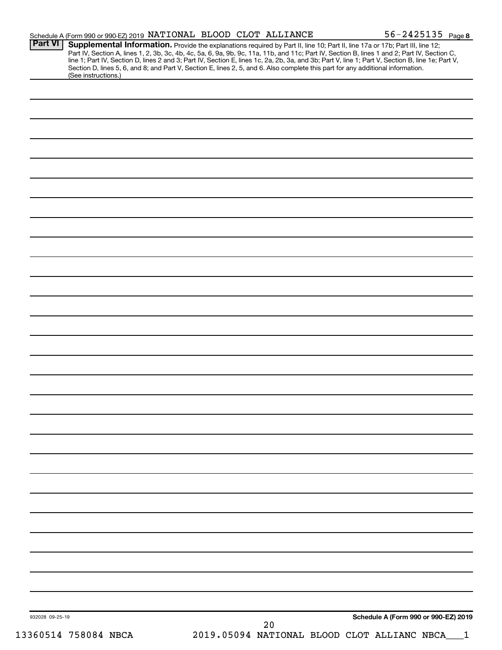| Schedule A (Form 990 or 990-EZ) 2019 NATIONAL BLOOD CLOT ALLIANCE<br><b>Part VI</b>                                                                    |    | $56 - 2425135$ Page 8<br>Supplemental Information. Provide the explanations required by Part II, line 10; Part II, line 17a or 17b; Part III, line 12; |
|--------------------------------------------------------------------------------------------------------------------------------------------------------|----|--------------------------------------------------------------------------------------------------------------------------------------------------------|
|                                                                                                                                                        |    | Part IV, Section A, lines 1, 2, 3b, 3c, 4b, 4c, 5a, 6, 9a, 9b, 9c, 11a, 11b, and 11c; Part IV, Section B, lines 1 and 2; Part IV, Section C,           |
|                                                                                                                                                        |    | line 1; Part IV, Section D, lines 2 and 3; Part IV, Section E, lines 1c, 2a, 2b, 3a, and 3b; Part V, line 1; Part V, Section B, line 1e; Part V,       |
| Section D, lines 5, 6, and 8; and Part V, Section E, lines 2, 5, and 6. Also complete this part for any additional information.<br>(See instructions.) |    |                                                                                                                                                        |
|                                                                                                                                                        |    |                                                                                                                                                        |
|                                                                                                                                                        |    |                                                                                                                                                        |
|                                                                                                                                                        |    |                                                                                                                                                        |
|                                                                                                                                                        |    |                                                                                                                                                        |
|                                                                                                                                                        |    |                                                                                                                                                        |
|                                                                                                                                                        |    |                                                                                                                                                        |
|                                                                                                                                                        |    |                                                                                                                                                        |
|                                                                                                                                                        |    |                                                                                                                                                        |
|                                                                                                                                                        |    |                                                                                                                                                        |
|                                                                                                                                                        |    |                                                                                                                                                        |
|                                                                                                                                                        |    |                                                                                                                                                        |
|                                                                                                                                                        |    |                                                                                                                                                        |
|                                                                                                                                                        |    |                                                                                                                                                        |
|                                                                                                                                                        |    |                                                                                                                                                        |
|                                                                                                                                                        |    |                                                                                                                                                        |
|                                                                                                                                                        |    |                                                                                                                                                        |
|                                                                                                                                                        |    |                                                                                                                                                        |
|                                                                                                                                                        |    |                                                                                                                                                        |
|                                                                                                                                                        |    |                                                                                                                                                        |
|                                                                                                                                                        |    |                                                                                                                                                        |
|                                                                                                                                                        |    |                                                                                                                                                        |
|                                                                                                                                                        |    |                                                                                                                                                        |
|                                                                                                                                                        |    |                                                                                                                                                        |
|                                                                                                                                                        |    |                                                                                                                                                        |
|                                                                                                                                                        |    |                                                                                                                                                        |
|                                                                                                                                                        |    |                                                                                                                                                        |
|                                                                                                                                                        |    |                                                                                                                                                        |
|                                                                                                                                                        |    |                                                                                                                                                        |
|                                                                                                                                                        |    |                                                                                                                                                        |
|                                                                                                                                                        |    |                                                                                                                                                        |
|                                                                                                                                                        |    |                                                                                                                                                        |
|                                                                                                                                                        |    |                                                                                                                                                        |
|                                                                                                                                                        |    |                                                                                                                                                        |
|                                                                                                                                                        |    |                                                                                                                                                        |
|                                                                                                                                                        |    |                                                                                                                                                        |
|                                                                                                                                                        |    |                                                                                                                                                        |
|                                                                                                                                                        |    |                                                                                                                                                        |
|                                                                                                                                                        |    |                                                                                                                                                        |
|                                                                                                                                                        |    |                                                                                                                                                        |
|                                                                                                                                                        |    |                                                                                                                                                        |
|                                                                                                                                                        |    |                                                                                                                                                        |
|                                                                                                                                                        |    |                                                                                                                                                        |
|                                                                                                                                                        |    |                                                                                                                                                        |
|                                                                                                                                                        |    |                                                                                                                                                        |
|                                                                                                                                                        |    |                                                                                                                                                        |
|                                                                                                                                                        |    |                                                                                                                                                        |
|                                                                                                                                                        |    |                                                                                                                                                        |
|                                                                                                                                                        |    |                                                                                                                                                        |
|                                                                                                                                                        |    |                                                                                                                                                        |
|                                                                                                                                                        |    |                                                                                                                                                        |
|                                                                                                                                                        |    |                                                                                                                                                        |
|                                                                                                                                                        |    |                                                                                                                                                        |
|                                                                                                                                                        |    |                                                                                                                                                        |
|                                                                                                                                                        |    |                                                                                                                                                        |
| 932028 09-25-19                                                                                                                                        | 20 | Schedule A (Form 990 or 990-EZ) 2019                                                                                                                   |
|                                                                                                                                                        |    |                                                                                                                                                        |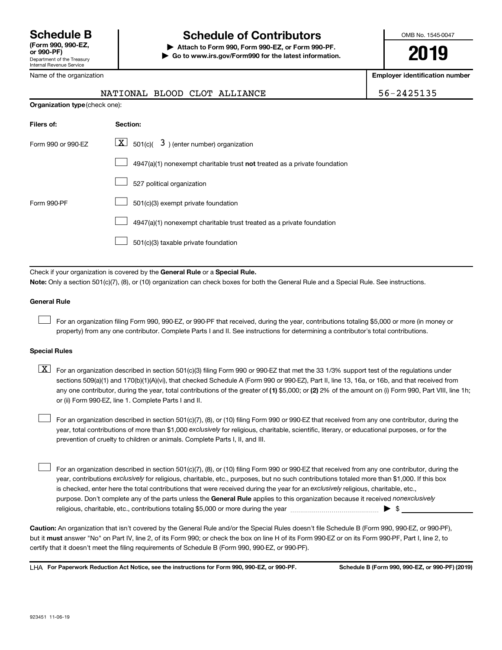## **Schedule B Schedule of Contributors**

**or 990-PF) | Attach to Form 990, Form 990-EZ, or Form 990-PF. | Go to www.irs.gov/Form990 for the latest information.** OMB No. 1545-0047

**2019**

**Employer identification number**

| 56-2425135 |  |
|------------|--|
|------------|--|

| Name of the organization |  |
|--------------------------|--|
|--------------------------|--|

| <b>Organization type</b> (check one): |                                                                           |  |
|---------------------------------------|---------------------------------------------------------------------------|--|
| Filers of:                            | Section:                                                                  |  |
| Form 990 or 990-EZ                    | $\boxed{\textbf{X}}$ 501(c)( 3) (enter number) organization               |  |
|                                       | 4947(a)(1) nonexempt charitable trust not treated as a private foundation |  |
|                                       | 527 political organization                                                |  |
| Form 990-PF                           | 501(c)(3) exempt private foundation                                       |  |
|                                       | 4947(a)(1) nonexempt charitable trust treated as a private foundation     |  |
|                                       | 501(c)(3) taxable private foundation                                      |  |
|                                       |                                                                           |  |

NATIONAL BLOOD CLOT ALLIANCE

Check if your organization is covered by the General Rule or a Special Rule. **Note:**  Only a section 501(c)(7), (8), or (10) organization can check boxes for both the General Rule and a Special Rule. See instructions.

## **General Rule**

 $\mathcal{L}^{\text{eff}}$ 

For an organization filing Form 990, 990-EZ, or 990-PF that received, during the year, contributions totaling \$5,000 or more (in money or property) from any one contributor. Complete Parts I and II. See instructions for determining a contributor's total contributions.

### **Special Rules**

any one contributor, during the year, total contributions of the greater of (1) \$5,000; or (2) 2% of the amount on (i) Form 990, Part VIII, line 1h;  $\boxed{\text{X}}$  For an organization described in section 501(c)(3) filing Form 990 or 990-EZ that met the 33 1/3% support test of the regulations under sections 509(a)(1) and 170(b)(1)(A)(vi), that checked Schedule A (Form 990 or 990-EZ), Part II, line 13, 16a, or 16b, and that received from or (ii) Form 990-EZ, line 1. Complete Parts I and II.

year, total contributions of more than \$1,000 *exclusively* for religious, charitable, scientific, literary, or educational purposes, or for the For an organization described in section 501(c)(7), (8), or (10) filing Form 990 or 990-EZ that received from any one contributor, during the prevention of cruelty to children or animals. Complete Parts I, II, and III.  $\mathcal{L}^{\text{eff}}$ 

purpose. Don't complete any of the parts unless the General Rule applies to this organization because it received nonexclusively year, contributions exclusively for religious, charitable, etc., purposes, but no such contributions totaled more than \$1,000. If this box is checked, enter here the total contributions that were received during the year for an exclusively religious, charitable, etc., For an organization described in section 501(c)(7), (8), or (10) filing Form 990 or 990-EZ that received from any one contributor, during the religious, charitable, etc., contributions totaling \$5,000 or more during the year  $~\ldots\ldots\ldots\ldots\ldots\ldots\ldots\ldots\ldots\blacktriangleright~$ \$  $\mathcal{L}^{\text{eff}}$ 

**Caution:**  An organization that isn't covered by the General Rule and/or the Special Rules doesn't file Schedule B (Form 990, 990-EZ, or 990-PF),  **must** but it answer "No" on Part IV, line 2, of its Form 990; or check the box on line H of its Form 990-EZ or on its Form 990-PF, Part I, line 2, to certify that it doesn't meet the filing requirements of Schedule B (Form 990, 990-EZ, or 990-PF).

**For Paperwork Reduction Act Notice, see the instructions for Form 990, 990-EZ, or 990-PF. Schedule B (Form 990, 990-EZ, or 990-PF) (2019)** LHA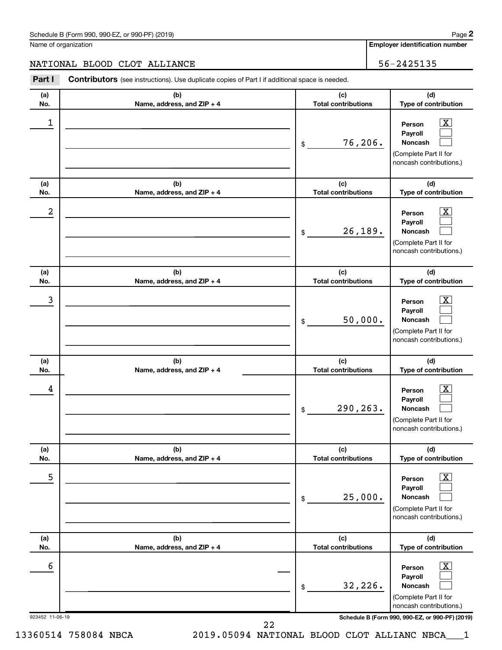Name of organization

**(d)**

 $\boxed{\text{X}}$  $\Box$  $\Box$ 

**Employer identification number**

## NATIONAL BLOOD CLOT ALLIANCE | 56-2425135

**(a) No. (b) Name, address, and ZIP + 4 (c) Total contributions Type of contribution Person Payroll Noncash (a) No. (b) Name, address, and ZIP + 4 (c) Total contributions** Part I Contributors (see instructions). Use duplicate copies of Part I if additional space is needed. \$ (Complete Part II for noncash contributions.)  $\begin{array}{|c|c|c|c|c|}\hline \ \text{1} & \text{Person} & \text{X} \ \hline \end{array}$ 76,206.

| (a)             | (b)                               | (c)                               | (d)                                                                                                         |
|-----------------|-----------------------------------|-----------------------------------|-------------------------------------------------------------------------------------------------------------|
| No.             | Name, address, and ZIP + 4        | <b>Total contributions</b>        | Type of contribution                                                                                        |
| $\overline{a}$  |                                   | 26,189.<br>\$                     | $\boxed{\textbf{X}}$<br>Person<br>Payroll<br>Noncash<br>(Complete Part II for<br>noncash contributions.)    |
| (a)<br>No.      | (b)<br>Name, address, and ZIP + 4 | (c)<br><b>Total contributions</b> | (d)<br>Type of contribution                                                                                 |
| 3               |                                   | 50,000.<br>\$                     | $\boxed{\mathbf{X}}$<br>Person<br>Payroll<br>Noncash<br>(Complete Part II for<br>noncash contributions.)    |
| (a)<br>No.      | (b)<br>Name, address, and ZIP + 4 | (c)<br><b>Total contributions</b> | (d)<br>Type of contribution                                                                                 |
| 4               |                                   | 290,263.<br>\$                    | $\boxed{\mathbf{X}}$<br>Person<br>Payroll<br>Noncash<br>(Complete Part II for<br>noncash contributions.)    |
| (a)<br>No.      | (b)<br>Name, address, and ZIP + 4 | (c)<br><b>Total contributions</b> | (d)<br>Type of contribution                                                                                 |
| 5               |                                   | 25,000.<br>\$                     | $\overline{\mathbf{X}}$<br>Person<br>Payroll<br>Noncash<br>(Complete Part II for<br>noncash contributions.) |
| (a)<br>No.      | (b)<br>Name, address, and ZIP + 4 | (c)<br><b>Total contributions</b> | (d)<br>Type of contribution                                                                                 |
| 6               |                                   | 32,226.<br>\$                     | $\boxed{\textbf{X}}$<br>Person<br>Payroll<br>Noncash<br>(Complete Part II for<br>noncash contributions.)    |
| 923452 11-06-19 | ົາ                                |                                   | Schedule B (Form 990, 990-EZ, or 990-PF) (2019)                                                             |

13360514 758084 NBCA 2019.05094 NATIONAL BLOOD CLOT ALLIANC NBCA\_\_\_1

22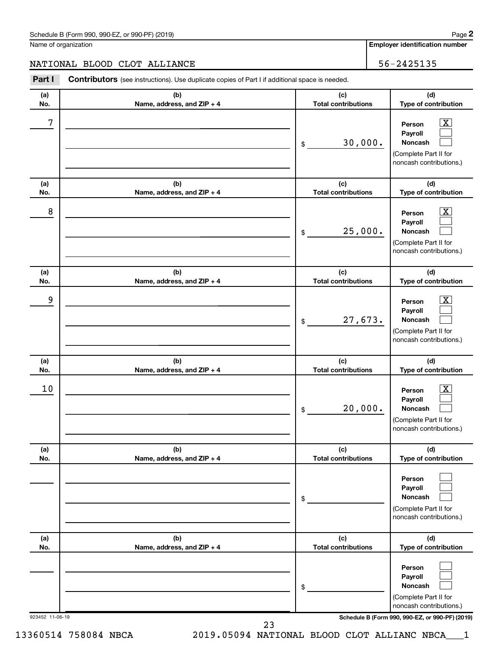Name of organization

**Employer identification number**

|            | NATIONAL BLOOD CLOT ALLIANCE                                                                   |                                   | 56-2425135                                                                                   |
|------------|------------------------------------------------------------------------------------------------|-----------------------------------|----------------------------------------------------------------------------------------------|
| Part I     | Contributors (see instructions). Use duplicate copies of Part I if additional space is needed. |                                   |                                                                                              |
| (a)<br>No. | (b)<br>Name, address, and ZIP + 4                                                              | (c)<br><b>Total contributions</b> | (d)<br>Type of contribution                                                                  |
| 7          |                                                                                                | 30,000.<br>\$                     | x<br>Person<br>Payroll<br><b>Noncash</b><br>(Complete Part II for<br>noncash contributions.) |
| (a)<br>No. | (b)<br>Name, address, and ZIP + 4                                                              | (c)<br><b>Total contributions</b> | (d)<br>Type of contribution                                                                  |
| 8          |                                                                                                | 25,000.<br>\$                     | x<br>Person<br>Payroll<br><b>Noncash</b><br>(Complete Part II for<br>noncash contributions.) |
| (a)<br>No. | (b)<br>Name, address, and ZIP + 4                                                              | (c)<br><b>Total contributions</b> | (d)<br>Type of contribution                                                                  |
| 9          |                                                                                                | 27,673.<br>\$                     | X.<br>Person<br>Payroll<br>Noncash<br>(Complete Part II for<br>noncash contributions.)       |
| (a)<br>No. | (b)<br>Name, address, and ZIP + 4                                                              | (c)<br><b>Total contributions</b> | (d)<br>Type of contribution                                                                  |
| 10         |                                                                                                | 20,000.<br>\$                     | X.<br>Person<br>Payroll<br>Noncash<br>(Complete Part II for<br>noncash contributions.)       |
| (a)<br>No. | (b)<br>Name, address, and ZIP + 4                                                              | (c)<br><b>Total contributions</b> | (d)<br>Type of contribution                                                                  |
|            |                                                                                                | \$                                | Person<br>Payroll<br><b>Noncash</b><br>(Complete Part II for<br>noncash contributions.)      |
| (a)<br>No. | (b)<br>Name, address, and ZIP + 4                                                              | (c)<br><b>Total contributions</b> | (d)<br>Type of contribution                                                                  |
|            |                                                                                                | \$                                | Person<br>Payroll<br>Noncash<br>(Complete Part II for<br>noncash contributions.)             |

923452 11-06-19 **Schedule B (Form 990, 990-EZ, or 990-PF) (2019)**

23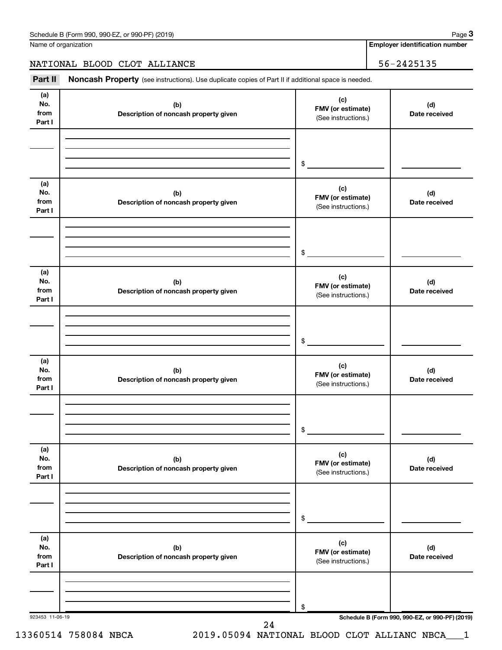Name of organization

**Employer identification number**

## NATIONAL BLOOD CLOT ALLIANCE 36-2425135

Part II Noncash Property (see instructions). Use duplicate copies of Part II if additional space is needed.

| (a)<br>No.                   | (b)                                          | (c)                                             | (d)                  |
|------------------------------|----------------------------------------------|-------------------------------------------------|----------------------|
| from<br>Part I               | Description of noncash property given        | FMV (or estimate)<br>(See instructions.)        | Date received        |
|                              |                                              |                                                 |                      |
|                              |                                              | $\frac{1}{2}$                                   |                      |
| (a)<br>No.<br>from<br>Part I | (b)<br>Description of noncash property given | (c)<br>FMV (or estimate)<br>(See instructions.) | (d)<br>Date received |
|                              |                                              |                                                 |                      |
|                              |                                              | $\frac{1}{2}$                                   |                      |
| (a)<br>No.<br>from<br>Part I | (b)<br>Description of noncash property given | (c)<br>FMV (or estimate)<br>(See instructions.) | (d)<br>Date received |
|                              |                                              |                                                 |                      |
|                              |                                              | $\frac{1}{2}$                                   |                      |
| (a)<br>No.<br>from<br>Part I | (b)<br>Description of noncash property given | (c)<br>FMV (or estimate)<br>(See instructions.) | (d)<br>Date received |
|                              |                                              |                                                 |                      |
|                              |                                              | $\circ$                                         |                      |
| (a)<br>No.<br>from<br>Part I | (b)<br>Description of noncash property given | (c)<br>FMV (or estimate)<br>(See instructions.) | (d)<br>Date received |
|                              |                                              |                                                 |                      |
|                              |                                              | \$                                              |                      |
| (a)<br>No.<br>from<br>Part I | (b)<br>Description of noncash property given | (c)<br>FMV (or estimate)<br>(See instructions.) | (d)<br>Date received |
|                              |                                              |                                                 |                      |
|                              |                                              | \$                                              |                      |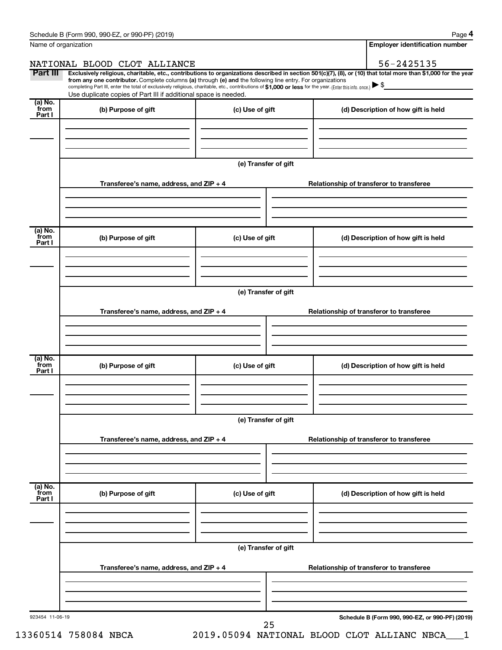|                           | Name of organization                                                                                                                                                                                                                                                                                                                                                                                                                                                                                        |                      | <b>Employer identification number</b>           |
|---------------------------|-------------------------------------------------------------------------------------------------------------------------------------------------------------------------------------------------------------------------------------------------------------------------------------------------------------------------------------------------------------------------------------------------------------------------------------------------------------------------------------------------------------|----------------------|-------------------------------------------------|
|                           | NATIONAL BLOOD CLOT ALLIANCE                                                                                                                                                                                                                                                                                                                                                                                                                                                                                |                      | 56-2425135                                      |
| Part III                  | Exclusively religious, charitable, etc., contributions to organizations described in section 501(c)(7), (8), or (10) that total more than \$1,000 for the year<br>from any one contributor. Complete columns (a) through (e) and the following line entry. For organizations<br>completing Part III, enter the total of exclusively religious, charitable, etc., contributions of \$1,000 or less for the year. (Enter this info. once.)<br>Use duplicate copies of Part III if additional space is needed. |                      |                                                 |
| (a) No.                   |                                                                                                                                                                                                                                                                                                                                                                                                                                                                                                             |                      |                                                 |
| from<br>Part I            | (b) Purpose of gift                                                                                                                                                                                                                                                                                                                                                                                                                                                                                         | (c) Use of gift      | (d) Description of how gift is held             |
|                           |                                                                                                                                                                                                                                                                                                                                                                                                                                                                                                             | (e) Transfer of gift |                                                 |
|                           | Transferee's name, address, and ZIP + 4                                                                                                                                                                                                                                                                                                                                                                                                                                                                     |                      | Relationship of transferor to transferee        |
| (a) No.<br>from           | (b) Purpose of gift                                                                                                                                                                                                                                                                                                                                                                                                                                                                                         | (c) Use of gift      | (d) Description of how gift is held             |
| Part I                    |                                                                                                                                                                                                                                                                                                                                                                                                                                                                                                             |                      |                                                 |
|                           |                                                                                                                                                                                                                                                                                                                                                                                                                                                                                                             | (e) Transfer of gift |                                                 |
|                           | Transferee's name, address, and $ZIP + 4$                                                                                                                                                                                                                                                                                                                                                                                                                                                                   |                      | Relationship of transferor to transferee        |
| (a) No.                   |                                                                                                                                                                                                                                                                                                                                                                                                                                                                                                             |                      |                                                 |
| from<br>Part I            | (b) Purpose of gift                                                                                                                                                                                                                                                                                                                                                                                                                                                                                         | (c) Use of gift      | (d) Description of how gift is held             |
|                           |                                                                                                                                                                                                                                                                                                                                                                                                                                                                                                             | (e) Transfer of gift |                                                 |
|                           | Transferee's name, address, and $ZIP + 4$                                                                                                                                                                                                                                                                                                                                                                                                                                                                   |                      | Relationship of transferor to transferee        |
| (a) No.<br>from<br>Part I | (b) Purpose of gift                                                                                                                                                                                                                                                                                                                                                                                                                                                                                         | (c) Use of gift      | (d) Description of how gift is held             |
|                           |                                                                                                                                                                                                                                                                                                                                                                                                                                                                                                             |                      |                                                 |
|                           |                                                                                                                                                                                                                                                                                                                                                                                                                                                                                                             | (e) Transfer of gift |                                                 |
|                           | Transferee's name, address, and $ZIP + 4$                                                                                                                                                                                                                                                                                                                                                                                                                                                                   |                      | Relationship of transferor to transferee        |
|                           |                                                                                                                                                                                                                                                                                                                                                                                                                                                                                                             |                      |                                                 |
| 923454 11-06-19           |                                                                                                                                                                                                                                                                                                                                                                                                                                                                                                             | 25                   | Schedule B (Form 990, 990-EZ, or 990-PF) (2019) |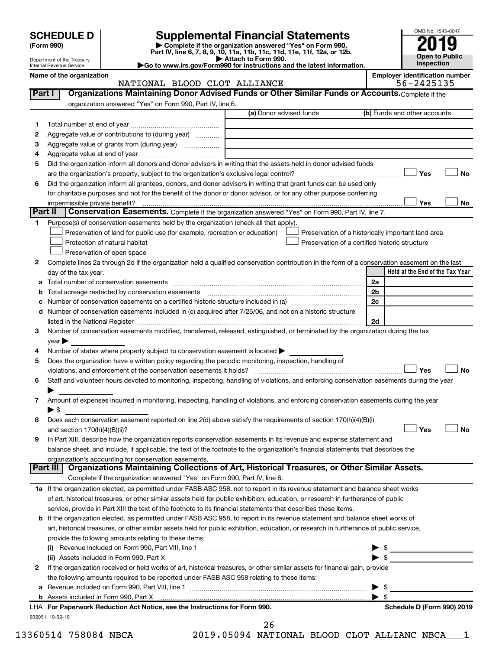| (Form 990) |  |
|------------|--|
|------------|--|

# **SCHEDULE D Supplemental Financial Statements**<br> **Form 990 2019**<br> **Part IV** line 6.7.8.9.10, 11a, 11b, 11d, 11d, 11d, 11d, 11d, 12a, 0r, 12b

**(Form 990) | Complete if the organization answered "Yes" on Form 990, Part IV, line 6, 7, 8, 9, 10, 11a, 11b, 11c, 11d, 11e, 11f, 12a, or 12b.**

**| Attach to Form 990. |Go to www.irs.gov/Form990 for instructions and the latest information.**



Department of the Treasury Internal Revenue Service **Name of the organization Employer identification number**

## NATIONAL BLOOD CLOT ALLIANCE 56-2425135

| 1       |                                                                                                                                                                                                                               | organization answered "Yes" on Form 990, Part IV, line 6.<br>(a) Donor advised funds | (b) Funds and other accounts                       |
|---------|-------------------------------------------------------------------------------------------------------------------------------------------------------------------------------------------------------------------------------|--------------------------------------------------------------------------------------|----------------------------------------------------|
|         |                                                                                                                                                                                                                               |                                                                                      |                                                    |
| 2       | Aggregate value of contributions to (during year)                                                                                                                                                                             |                                                                                      |                                                    |
| 3       | Aggregate value of grants from (during year)                                                                                                                                                                                  |                                                                                      |                                                    |
| 4       |                                                                                                                                                                                                                               |                                                                                      |                                                    |
| 5       | Did the organization inform all donors and donor advisors in writing that the assets held in donor advised funds                                                                                                              |                                                                                      |                                                    |
|         |                                                                                                                                                                                                                               |                                                                                      | Yes                                                |
| 6       | Did the organization inform all grantees, donors, and donor advisors in writing that grant funds can be used only                                                                                                             |                                                                                      |                                                    |
|         | for charitable purposes and not for the benefit of the donor or donor advisor, or for any other purpose conferring                                                                                                            |                                                                                      |                                                    |
|         |                                                                                                                                                                                                                               |                                                                                      | Yes                                                |
| Part II | Conservation Easements. Complete if the organization answered "Yes" on Form 990, Part IV, line 7.                                                                                                                             |                                                                                      |                                                    |
| 1.      | Purpose(s) of conservation easements held by the organization (check all that apply).                                                                                                                                         |                                                                                      |                                                    |
|         | Preservation of land for public use (for example, recreation or education)                                                                                                                                                    |                                                                                      | Preservation of a historically important land area |
|         | Protection of natural habitat                                                                                                                                                                                                 |                                                                                      | Preservation of a certified historic structure     |
|         | Preservation of open space                                                                                                                                                                                                    |                                                                                      |                                                    |
| 2       | Complete lines 2a through 2d if the organization held a qualified conservation contribution in the form of a conservation easement on the last                                                                                |                                                                                      |                                                    |
|         | day of the tax year.                                                                                                                                                                                                          |                                                                                      | Held at the End of the Tax Year                    |
| а       |                                                                                                                                                                                                                               |                                                                                      | 2a                                                 |
|         |                                                                                                                                                                                                                               |                                                                                      | 2 <sub>b</sub>                                     |
|         |                                                                                                                                                                                                                               |                                                                                      | 2c                                                 |
| d       | Number of conservation easements included in (c) acquired after 7/25/06, and not on a historic structure                                                                                                                      |                                                                                      |                                                    |
|         | listed in the National Register [111] Marshall Register [11] Marshall Register [11] Marshall Register [11] Marshall Register [11] Marshall Register [11] Marshall Register [11] Marshall Register [11] Marshall Register [11] |                                                                                      | 2d                                                 |
| 3       | Number of conservation easements modified, transferred, released, extinguished, or terminated by the organization during the tax                                                                                              |                                                                                      |                                                    |
|         | $year \blacktriangleright$                                                                                                                                                                                                    |                                                                                      |                                                    |
| 4       | Number of states where property subject to conservation easement is located >                                                                                                                                                 |                                                                                      |                                                    |
| 5       | Does the organization have a written policy regarding the periodic monitoring, inspection, handling of                                                                                                                        |                                                                                      |                                                    |
|         |                                                                                                                                                                                                                               |                                                                                      | Yes                                                |
| 6       | Staff and volunteer hours devoted to monitoring, inspecting, handling of violations, and enforcing conservation easements during the year                                                                                     |                                                                                      |                                                    |
|         |                                                                                                                                                                                                                               |                                                                                      |                                                    |
| 7       | Amount of expenses incurred in monitoring, inspecting, handling of violations, and enforcing conservation easements during the year                                                                                           |                                                                                      |                                                    |
|         | $\blacktriangleright$ s                                                                                                                                                                                                       |                                                                                      |                                                    |
| 8       | Does each conservation easement reported on line 2(d) above satisfy the requirements of section 170(h)(4)(B)(i)                                                                                                               |                                                                                      |                                                    |
|         |                                                                                                                                                                                                                               |                                                                                      | Yes                                                |
|         |                                                                                                                                                                                                                               |                                                                                      |                                                    |
|         |                                                                                                                                                                                                                               |                                                                                      |                                                    |
| 9       | In Part XIII, describe how the organization reports conservation easements in its revenue and expense statement and                                                                                                           |                                                                                      |                                                    |
|         | balance sheet, and include, if applicable, the text of the footnote to the organization's financial statements that describes the                                                                                             |                                                                                      |                                                    |
|         | organization's accounting for conservation easements.                                                                                                                                                                         |                                                                                      |                                                    |
|         | Organizations Maintaining Collections of Art, Historical Treasures, or Other Similar Assets.<br>Part III                                                                                                                      |                                                                                      |                                                    |
|         | Complete if the organization answered "Yes" on Form 990, Part IV, line 8.                                                                                                                                                     |                                                                                      |                                                    |
|         | 1a If the organization elected, as permitted under FASB ASC 958, not to report in its revenue statement and balance sheet works                                                                                               |                                                                                      |                                                    |
|         | of art, historical treasures, or other similar assets held for public exhibition, education, or research in furtherance of public                                                                                             |                                                                                      |                                                    |
|         | service, provide in Part XIII the text of the footnote to its financial statements that describes these items.                                                                                                                |                                                                                      |                                                    |
|         | b If the organization elected, as permitted under FASB ASC 958, to report in its revenue statement and balance sheet works of                                                                                                 |                                                                                      |                                                    |
|         | art, historical treasures, or other similar assets held for public exhibition, education, or research in furtherance of public service,                                                                                       |                                                                                      |                                                    |
|         | provide the following amounts relating to these items:                                                                                                                                                                        |                                                                                      |                                                    |
|         |                                                                                                                                                                                                                               |                                                                                      |                                                    |
|         | (ii) Assets included in Form 990, Part X                                                                                                                                                                                      |                                                                                      | $\mathsf{\$}$                                      |
|         | If the organization received or held works of art, historical treasures, or other similar assets for financial gain, provide                                                                                                  |                                                                                      |                                                    |
| 2       | the following amounts required to be reported under FASB ASC 958 relating to these items:                                                                                                                                     |                                                                                      |                                                    |
| а       |                                                                                                                                                                                                                               |                                                                                      | -\$                                                |
|         |                                                                                                                                                                                                                               |                                                                                      | - \$                                               |
|         | LHA For Paperwork Reduction Act Notice, see the Instructions for Form 990.                                                                                                                                                    |                                                                                      | Schedule D (Form 990) 2019                         |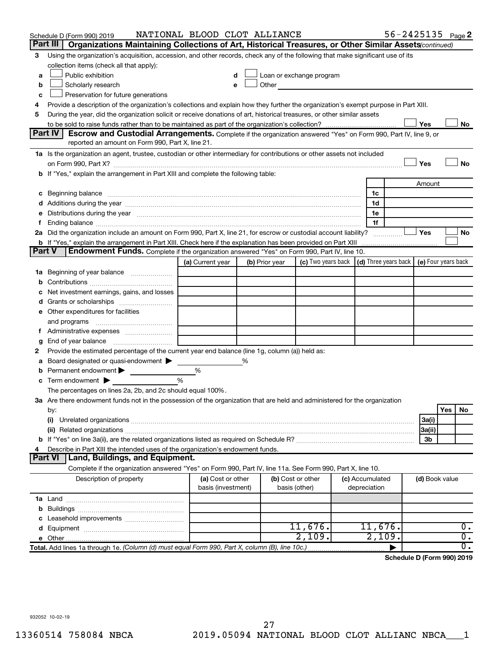|               | Schedule D (Form 990) 2019                                                                                                                                                                                                          | NATIONAL BLOOD CLOT ALLIANCE |   |                |                                                                                                               |  |                 | $56 - 2425135$ Page 2 |                |     |                  |
|---------------|-------------------------------------------------------------------------------------------------------------------------------------------------------------------------------------------------------------------------------------|------------------------------|---|----------------|---------------------------------------------------------------------------------------------------------------|--|-----------------|-----------------------|----------------|-----|------------------|
|               | Part III  <br>Organizations Maintaining Collections of Art, Historical Treasures, or Other Similar Assets (continued)                                                                                                               |                              |   |                |                                                                                                               |  |                 |                       |                |     |                  |
| 3             | Using the organization's acquisition, accession, and other records, check any of the following that make significant use of its                                                                                                     |                              |   |                |                                                                                                               |  |                 |                       |                |     |                  |
|               | collection items (check all that apply):                                                                                                                                                                                            |                              |   |                |                                                                                                               |  |                 |                       |                |     |                  |
| a             | Public exhibition                                                                                                                                                                                                                   |                              |   |                | Loan or exchange program                                                                                      |  |                 |                       |                |     |                  |
| b             | Scholarly research                                                                                                                                                                                                                  |                              |   |                | Other and the contract of the contract of the contract of the contract of the contract of the contract of the |  |                 |                       |                |     |                  |
| с             | Preservation for future generations                                                                                                                                                                                                 |                              |   |                |                                                                                                               |  |                 |                       |                |     |                  |
| 4             | Provide a description of the organization's collections and explain how they further the organization's exempt purpose in Part XIII.                                                                                                |                              |   |                |                                                                                                               |  |                 |                       |                |     |                  |
| 5             | During the year, did the organization solicit or receive donations of art, historical treasures, or other similar assets                                                                                                            |                              |   |                |                                                                                                               |  |                 |                       |                |     |                  |
|               |                                                                                                                                                                                                                                     |                              |   |                |                                                                                                               |  |                 |                       | Yes            |     | No               |
|               | Part IV<br><b>Escrow and Custodial Arrangements.</b> Complete if the organization answered "Yes" on Form 990, Part IV, line 9, or                                                                                                   |                              |   |                |                                                                                                               |  |                 |                       |                |     |                  |
|               | reported an amount on Form 990, Part X, line 21.                                                                                                                                                                                    |                              |   |                |                                                                                                               |  |                 |                       |                |     |                  |
|               | 1a Is the organization an agent, trustee, custodian or other intermediary for contributions or other assets not included                                                                                                            |                              |   |                |                                                                                                               |  |                 |                       |                |     |                  |
|               |                                                                                                                                                                                                                                     |                              |   |                |                                                                                                               |  |                 |                       | Yes            |     | No               |
|               | b If "Yes," explain the arrangement in Part XIII and complete the following table:                                                                                                                                                  |                              |   |                |                                                                                                               |  |                 |                       |                |     |                  |
|               |                                                                                                                                                                                                                                     |                              |   |                |                                                                                                               |  |                 |                       | Amount         |     |                  |
|               | c Beginning balance <b>communications</b> and a construction of the construction of the construction of the construction of the construction of the construction of the construction of the construction of the construction of the |                              |   |                |                                                                                                               |  | 1c<br>1d        |                       |                |     |                  |
|               | e Distributions during the year manufactured and continuum and continuum and continuum and continuum and continuum and continuum and continuum and continuum and continuum and continuum and continuum and continuum and conti      |                              |   |                |                                                                                                               |  | 1е              |                       |                |     |                  |
|               |                                                                                                                                                                                                                                     |                              |   |                |                                                                                                               |  | 1f              |                       |                |     |                  |
|               | 2a Did the organization include an amount on Form 990, Part X, line 21, for escrow or custodial account liability?                                                                                                                  |                              |   |                |                                                                                                               |  |                 |                       | Yes            |     | No               |
|               |                                                                                                                                                                                                                                     |                              |   |                |                                                                                                               |  |                 |                       |                |     |                  |
| <b>Part V</b> | Endowment Funds. Complete if the organization answered "Yes" on Form 990, Part IV, line 10.                                                                                                                                         |                              |   |                |                                                                                                               |  |                 |                       |                |     |                  |
|               |                                                                                                                                                                                                                                     | (a) Current year             |   | (b) Prior year | (c) Two years back $\vert$ (d) Three years back $\vert$ (e) Four years back                                   |  |                 |                       |                |     |                  |
|               | 1a Beginning of year balance                                                                                                                                                                                                        |                              |   |                |                                                                                                               |  |                 |                       |                |     |                  |
| b             |                                                                                                                                                                                                                                     |                              |   |                |                                                                                                               |  |                 |                       |                |     |                  |
|               | Net investment earnings, gains, and losses                                                                                                                                                                                          |                              |   |                |                                                                                                               |  |                 |                       |                |     |                  |
|               | d Grants or scholarships                                                                                                                                                                                                            |                              |   |                |                                                                                                               |  |                 |                       |                |     |                  |
|               | e Other expenditures for facilities                                                                                                                                                                                                 |                              |   |                |                                                                                                               |  |                 |                       |                |     |                  |
|               | and programs                                                                                                                                                                                                                        |                              |   |                |                                                                                                               |  |                 |                       |                |     |                  |
|               |                                                                                                                                                                                                                                     |                              |   |                |                                                                                                               |  |                 |                       |                |     |                  |
| g             |                                                                                                                                                                                                                                     |                              |   |                |                                                                                                               |  |                 |                       |                |     |                  |
| 2             | Provide the estimated percentage of the current year end balance (line 1g, column (a)) held as:                                                                                                                                     |                              |   |                |                                                                                                               |  |                 |                       |                |     |                  |
| а             | Board designated or quasi-endowment >                                                                                                                                                                                               |                              | % |                |                                                                                                               |  |                 |                       |                |     |                  |
| b             | Permanent endowment                                                                                                                                                                                                                 | %                            |   |                |                                                                                                               |  |                 |                       |                |     |                  |
|               | $c$ Term endowment $\blacktriangleright$                                                                                                                                                                                            | %                            |   |                |                                                                                                               |  |                 |                       |                |     |                  |
|               | The percentages on lines 2a, 2b, and 2c should equal 100%.                                                                                                                                                                          |                              |   |                |                                                                                                               |  |                 |                       |                |     |                  |
|               | 3a Are there endowment funds not in the possession of the organization that are held and administered for the organization                                                                                                          |                              |   |                |                                                                                                               |  |                 |                       |                |     |                  |
|               | by:                                                                                                                                                                                                                                 |                              |   |                |                                                                                                               |  |                 |                       |                | Yes | No               |
|               | (i)                                                                                                                                                                                                                                 |                              |   |                |                                                                                                               |  |                 |                       | 3a(i)          |     |                  |
|               | (ii) Related organizations [11] Related organizations [11] Maximum material contract to the contract of the contract of the contract of the contract of the contract of the contract of the contract of the contract of the co      |                              |   |                |                                                                                                               |  |                 |                       | 3a(ii)         |     |                  |
| 4             |                                                                                                                                                                                                                                     |                              |   |                |                                                                                                               |  |                 |                       | 3b             |     |                  |
|               | Describe in Part XIII the intended uses of the organization's endowment funds.<br><b>Part VI</b><br><b>Land, Buildings, and Equipment.</b>                                                                                          |                              |   |                |                                                                                                               |  |                 |                       |                |     |                  |
|               | Complete if the organization answered "Yes" on Form 990, Part IV, line 11a. See Form 990, Part X, line 10.                                                                                                                          |                              |   |                |                                                                                                               |  |                 |                       |                |     |                  |
|               | Description of property                                                                                                                                                                                                             | (a) Cost or other            |   |                | (b) Cost or other                                                                                             |  | (c) Accumulated |                       | (d) Book value |     |                  |
|               |                                                                                                                                                                                                                                     | basis (investment)           |   |                | basis (other)                                                                                                 |  | depreciation    |                       |                |     |                  |
|               |                                                                                                                                                                                                                                     |                              |   |                |                                                                                                               |  |                 |                       |                |     |                  |
| b             |                                                                                                                                                                                                                                     |                              |   |                |                                                                                                               |  |                 |                       |                |     |                  |
| С             |                                                                                                                                                                                                                                     |                              |   |                |                                                                                                               |  |                 |                       |                |     |                  |
|               |                                                                                                                                                                                                                                     |                              |   |                | 11,676.                                                                                                       |  | 11,676.         |                       |                |     | 0.               |
|               |                                                                                                                                                                                                                                     |                              |   |                | 2,109.                                                                                                        |  | 2,109.          |                       |                |     | $\overline{0}$ . |
|               | Total. Add lines 1a through 1e. (Column (d) must equal Form 990, Part X, column (B), line 10c.)                                                                                                                                     |                              |   |                |                                                                                                               |  |                 |                       |                |     | $\overline{0}$ . |
|               |                                                                                                                                                                                                                                     |                              |   |                |                                                                                                               |  |                 |                       |                |     |                  |

**Schedule D (Form 990) 2019**

932052 10-02-19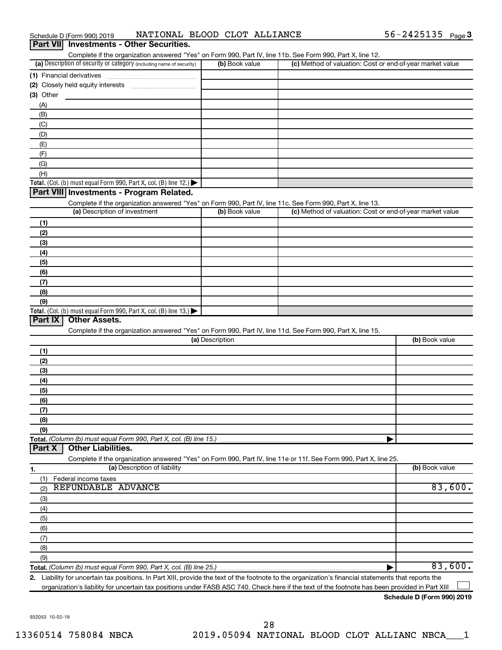| Schedule D (Form 990) 2019                      | NATIONAL BLOOD CLOT ALLIANCE | $56 - 2425135$ Page 3 |  |
|-------------------------------------------------|------------------------------|-----------------------|--|
| <b>Part VII</b> Investments - Other Securities. |                              |                       |  |

| Complete if the organization answered "Yes" on Form 990, Part IV, line 11b. See Form 990, Part X, line 12.                                        |                 |                                                           |                |
|---------------------------------------------------------------------------------------------------------------------------------------------------|-----------------|-----------------------------------------------------------|----------------|
| (a) Description of security or category (including name of security)                                                                              | (b) Book value  | (c) Method of valuation: Cost or end-of-year market value |                |
| (1) Financial derivatives                                                                                                                         |                 |                                                           |                |
|                                                                                                                                                   |                 |                                                           |                |
| (3) Other                                                                                                                                         |                 |                                                           |                |
| (A)                                                                                                                                               |                 |                                                           |                |
| (B)                                                                                                                                               |                 |                                                           |                |
| (C)                                                                                                                                               |                 |                                                           |                |
| (D)                                                                                                                                               |                 |                                                           |                |
| (E)                                                                                                                                               |                 |                                                           |                |
| (F)                                                                                                                                               |                 |                                                           |                |
| (G)                                                                                                                                               |                 |                                                           |                |
| (H)                                                                                                                                               |                 |                                                           |                |
| <b>Total.</b> (Col. (b) must equal Form 990, Part X, col. (B) line 12.) $\blacktriangleright$                                                     |                 |                                                           |                |
| Part VIII Investments - Program Related.                                                                                                          |                 |                                                           |                |
| Complete if the organization answered "Yes" on Form 990, Part IV, line 11c. See Form 990, Part X, line 13.                                        |                 |                                                           |                |
| (a) Description of investment                                                                                                                     | (b) Book value  | (c) Method of valuation: Cost or end-of-year market value |                |
| (1)                                                                                                                                               |                 |                                                           |                |
| (2)                                                                                                                                               |                 |                                                           |                |
| (3)                                                                                                                                               |                 |                                                           |                |
| (4)                                                                                                                                               |                 |                                                           |                |
| (5)                                                                                                                                               |                 |                                                           |                |
| (6)                                                                                                                                               |                 |                                                           |                |
| (7)                                                                                                                                               |                 |                                                           |                |
| (8)                                                                                                                                               |                 |                                                           |                |
| (9)                                                                                                                                               |                 |                                                           |                |
| <b>Total.</b> (Col. (b) must equal Form 990, Part X, col. (B) line $13$ .)                                                                        |                 |                                                           |                |
| Part $ X $<br><b>Other Assets.</b>                                                                                                                |                 |                                                           |                |
| Complete if the organization answered "Yes" on Form 990, Part IV, line 11d. See Form 990, Part X, line 15.                                        |                 |                                                           |                |
|                                                                                                                                                   | (a) Description |                                                           | (b) Book value |
| (1)                                                                                                                                               |                 |                                                           |                |
| (2)                                                                                                                                               |                 |                                                           |                |
| (3)                                                                                                                                               |                 |                                                           |                |
| (4)                                                                                                                                               |                 |                                                           |                |
| (5)                                                                                                                                               |                 |                                                           |                |
| (6)                                                                                                                                               |                 |                                                           |                |
| (7)                                                                                                                                               |                 |                                                           |                |
| (8)                                                                                                                                               |                 |                                                           |                |
| (9)                                                                                                                                               |                 |                                                           |                |
| Total. (Column (b) must equal Form 990, Part X, col. (B) line 15.)                                                                                |                 |                                                           |                |
| <b>Other Liabilities.</b><br>Part X                                                                                                               |                 |                                                           |                |
| Complete if the organization answered "Yes" on Form 990, Part IV, line 11e or 11f. See Form 990, Part X, line 25.                                 |                 |                                                           |                |
| (a) Description of liability                                                                                                                      |                 |                                                           | (b) Book value |
| 1.                                                                                                                                                |                 |                                                           |                |
| Federal income taxes<br>(1)<br>REFUNDABLE ADVANCE                                                                                                 |                 |                                                           | 83,600.        |
| (2)                                                                                                                                               |                 |                                                           |                |
| (3)                                                                                                                                               |                 |                                                           |                |
| (4)                                                                                                                                               |                 |                                                           |                |
| (5)                                                                                                                                               |                 |                                                           |                |
| (6)                                                                                                                                               |                 |                                                           |                |
| (7)                                                                                                                                               |                 |                                                           |                |
| (8)                                                                                                                                               |                 |                                                           |                |
| (9)                                                                                                                                               |                 |                                                           |                |
| <b>Total.</b> (Column (b) must equal Form 990, Part X, col. (B) line 25.) <i>manageronana communimana con</i>                                     |                 |                                                           | 83,600.        |
| 2 Liability for uncertain tax positions In Part XIII provide the text of the footpote to the organization's financial statements that reports the |                 |                                                           |                |

**2.** Liability for uncertain tax positions. In Part XIII, provide the text of the footnote to the organization's financial statements that reports the organization's liability for uncertain tax positions under FASB ASC 740. Check here if the text of the footnote has been provided in Part XIII.

**Schedule D (Form 990) 2019**

 $\Box$ 

932053 10-02-19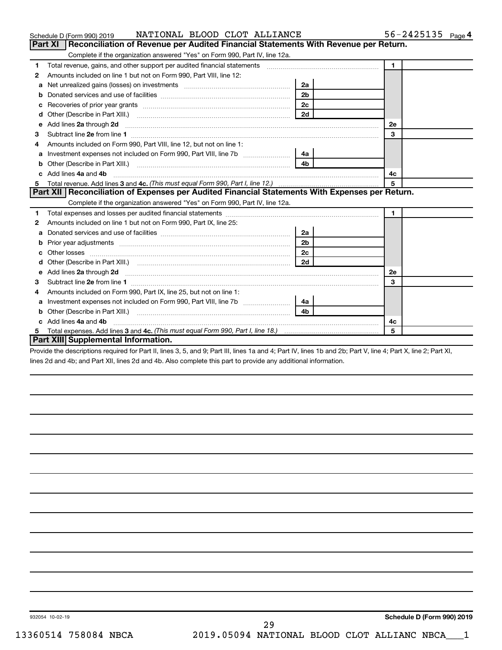|    | NATIONAL BLOOD CLOT ALLIANCE<br>Schedule D (Form 990) 2019                                                                                                                                                                           |                |                | $56 - 2425135$ Page 4 |  |
|----|--------------------------------------------------------------------------------------------------------------------------------------------------------------------------------------------------------------------------------------|----------------|----------------|-----------------------|--|
|    | Reconciliation of Revenue per Audited Financial Statements With Revenue per Return.<br>Part XI                                                                                                                                       |                |                |                       |  |
|    | Complete if the organization answered "Yes" on Form 990, Part IV, line 12a.                                                                                                                                                          |                |                |                       |  |
| 1  | Total revenue, gains, and other support per audited financial statements [11] [11] Total revenue, [21] Total revenue of the support per audited financial statements                                                                 |                | $\mathbf{1}$   |                       |  |
| 2  | Amounts included on line 1 but not on Form 990, Part VIII, line 12:                                                                                                                                                                  |                |                |                       |  |
| a  |                                                                                                                                                                                                                                      | 2a             |                |                       |  |
|    |                                                                                                                                                                                                                                      | 2 <sub>b</sub> |                |                       |  |
| с  |                                                                                                                                                                                                                                      | 2 <sub>c</sub> |                |                       |  |
| d  |                                                                                                                                                                                                                                      | 2d             |                |                       |  |
| е  | Add lines 2a through 2d <b>continuum contract and contract and contract and contract and contract and contract and contract and contract and contract and contract and contract and contract and contract and contract and contr</b> |                | <b>2e</b>      |                       |  |
| 3  |                                                                                                                                                                                                                                      |                | 3              |                       |  |
| 4  | Amounts included on Form 990, Part VIII, line 12, but not on line 1:                                                                                                                                                                 |                |                |                       |  |
|    |                                                                                                                                                                                                                                      | 4a l           |                |                       |  |
| b  |                                                                                                                                                                                                                                      | 4 <sub>b</sub> |                |                       |  |
|    | Add lines 4a and 4b                                                                                                                                                                                                                  |                | 4с             |                       |  |
| 5. |                                                                                                                                                                                                                                      |                | 5              |                       |  |
|    | Part XII Reconciliation of Expenses per Audited Financial Statements With Expenses per Return.                                                                                                                                       |                |                |                       |  |
|    | Complete if the organization answered "Yes" on Form 990, Part IV, line 12a.                                                                                                                                                          |                |                |                       |  |
| 1  |                                                                                                                                                                                                                                      |                | $\blacksquare$ |                       |  |
| 2  | Amounts included on line 1 but not on Form 990, Part IX, line 25:                                                                                                                                                                    |                |                |                       |  |
| a  |                                                                                                                                                                                                                                      | 2a             |                |                       |  |
| b  |                                                                                                                                                                                                                                      | 2 <sub>b</sub> |                |                       |  |
|    |                                                                                                                                                                                                                                      | 2c             |                |                       |  |
|    |                                                                                                                                                                                                                                      | 2d             |                |                       |  |
| е  | Add lines 2a through 2d <b>must be a constructed as the constant of the constant of the constant of the construction</b>                                                                                                             |                | 2е             |                       |  |
| 3  |                                                                                                                                                                                                                                      |                | 3              |                       |  |
| 4  | Amounts included on Form 990, Part IX, line 25, but not on line 1:                                                                                                                                                                   |                |                |                       |  |
| а  | Investment expenses not included on Form 990, Part VIII, line 7b [11, 11, 11, 11, 11]                                                                                                                                                | 4a             |                |                       |  |
|    |                                                                                                                                                                                                                                      | 4b.            |                |                       |  |
|    | c Add lines 4a and 4b                                                                                                                                                                                                                |                | 4c             |                       |  |
| 5. |                                                                                                                                                                                                                                      |                | 5              |                       |  |
|    | Part XIII Supplemental Information.                                                                                                                                                                                                  |                |                |                       |  |

Provide the descriptions required for Part II, lines 3, 5, and 9; Part III, lines 1a and 4; Part IV, lines 1b and 2b; Part V, line 4; Part X, line 2; Part XI, lines 2d and 4b; and Part XII, lines 2d and 4b. Also complete this part to provide any additional information.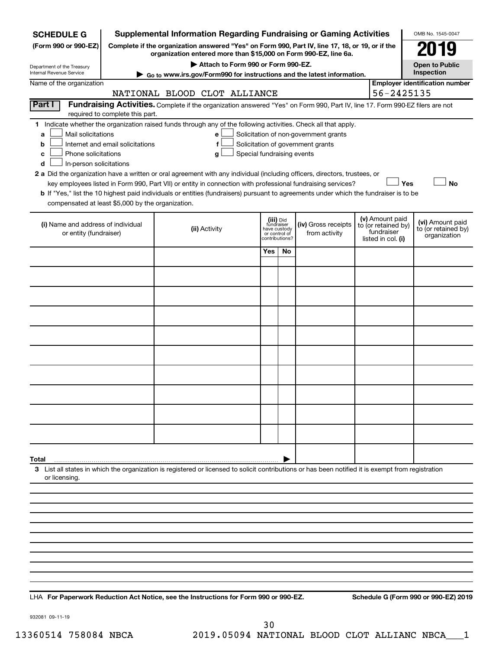| <b>SCHEDULE G</b>                                                                                                                                                                                                                                                                                                                                                                                                                                                                                                                                                                                                                                                                                                                                                                                                                                                                |                                                                                                                                                                     | <b>Supplemental Information Regarding Fundraising or Gaming Activities</b>                                                                         |                                                          |                |                                      |  |                                                                            | OMB No. 1545-0047                                       |  |  |
|----------------------------------------------------------------------------------------------------------------------------------------------------------------------------------------------------------------------------------------------------------------------------------------------------------------------------------------------------------------------------------------------------------------------------------------------------------------------------------------------------------------------------------------------------------------------------------------------------------------------------------------------------------------------------------------------------------------------------------------------------------------------------------------------------------------------------------------------------------------------------------|---------------------------------------------------------------------------------------------------------------------------------------------------------------------|----------------------------------------------------------------------------------------------------------------------------------------------------|----------------------------------------------------------|----------------|--------------------------------------|--|----------------------------------------------------------------------------|---------------------------------------------------------|--|--|
| (Form 990 or 990-EZ)                                                                                                                                                                                                                                                                                                                                                                                                                                                                                                                                                                                                                                                                                                                                                                                                                                                             | Complete if the organization answered "Yes" on Form 990, Part IV, line 17, 18, or 19, or if the<br>organization entered more than \$15,000 on Form 990-EZ, line 6a. |                                                                                                                                                    |                                                          |                |                                      |  |                                                                            |                                                         |  |  |
| Department of the Treasury                                                                                                                                                                                                                                                                                                                                                                                                                                                                                                                                                                                                                                                                                                                                                                                                                                                       | Attach to Form 990 or Form 990-EZ.<br><b>Open to Public</b><br>Inspection                                                                                           |                                                                                                                                                    |                                                          |                |                                      |  |                                                                            |                                                         |  |  |
| Internal Revenue Service                                                                                                                                                                                                                                                                                                                                                                                                                                                                                                                                                                                                                                                                                                                                                                                                                                                         |                                                                                                                                                                     | Go to www.irs.gov/Form990 for instructions and the latest information.                                                                             |                                                          |                |                                      |  |                                                                            |                                                         |  |  |
| Name of the organization                                                                                                                                                                                                                                                                                                                                                                                                                                                                                                                                                                                                                                                                                                                                                                                                                                                         |                                                                                                                                                                     | NATIONAL BLOOD CLOT ALLIANCE                                                                                                                       |                                                          |                |                                      |  | 56-2425135                                                                 | <b>Employer identification number</b>                   |  |  |
| Part I                                                                                                                                                                                                                                                                                                                                                                                                                                                                                                                                                                                                                                                                                                                                                                                                                                                                           | Fundraising Activities. Complete if the organization answered "Yes" on Form 990, Part IV, line 17. Form 990-EZ filers are not                                       |                                                                                                                                                    |                                                          |                |                                      |  |                                                                            |                                                         |  |  |
| required to complete this part.<br>Indicate whether the organization raised funds through any of the following activities. Check all that apply.<br>1.<br>Mail solicitations<br>Solicitation of non-government grants<br>a<br>e<br>Internet and email solicitations<br>Solicitation of government grants<br>f<br>b<br>Phone solicitations<br>Special fundraising events<br>с<br>g<br>In-person solicitations<br>d<br>2 a Did the organization have a written or oral agreement with any individual (including officers, directors, trustees, or<br><b>No</b><br>key employees listed in Form 990, Part VII) or entity in connection with professional fundraising services?<br>Yes<br>b If "Yes," list the 10 highest paid individuals or entities (fundraisers) pursuant to agreements under which the fundraiser is to be<br>compensated at least \$5,000 by the organization. |                                                                                                                                                                     |                                                                                                                                                    |                                                          |                |                                      |  |                                                                            |                                                         |  |  |
| (i) Name and address of individual<br>or entity (fundraiser)                                                                                                                                                                                                                                                                                                                                                                                                                                                                                                                                                                                                                                                                                                                                                                                                                     |                                                                                                                                                                     | (ii) Activity                                                                                                                                      | (iii) Did<br>fundraiser<br>have custody<br>or control of | contributions? | (iv) Gross receipts<br>from activity |  | (v) Amount paid<br>to (or retained by)<br>fundraiser<br>listed in col. (i) | (vi) Amount paid<br>to (or retained by)<br>organization |  |  |
|                                                                                                                                                                                                                                                                                                                                                                                                                                                                                                                                                                                                                                                                                                                                                                                                                                                                                  |                                                                                                                                                                     |                                                                                                                                                    | Yes                                                      | No             |                                      |  |                                                                            |                                                         |  |  |
|                                                                                                                                                                                                                                                                                                                                                                                                                                                                                                                                                                                                                                                                                                                                                                                                                                                                                  |                                                                                                                                                                     |                                                                                                                                                    |                                                          |                |                                      |  |                                                                            |                                                         |  |  |
|                                                                                                                                                                                                                                                                                                                                                                                                                                                                                                                                                                                                                                                                                                                                                                                                                                                                                  |                                                                                                                                                                     |                                                                                                                                                    |                                                          |                |                                      |  |                                                                            |                                                         |  |  |
|                                                                                                                                                                                                                                                                                                                                                                                                                                                                                                                                                                                                                                                                                                                                                                                                                                                                                  |                                                                                                                                                                     |                                                                                                                                                    |                                                          |                |                                      |  |                                                                            |                                                         |  |  |
|                                                                                                                                                                                                                                                                                                                                                                                                                                                                                                                                                                                                                                                                                                                                                                                                                                                                                  |                                                                                                                                                                     |                                                                                                                                                    |                                                          |                |                                      |  |                                                                            |                                                         |  |  |
|                                                                                                                                                                                                                                                                                                                                                                                                                                                                                                                                                                                                                                                                                                                                                                                                                                                                                  |                                                                                                                                                                     |                                                                                                                                                    |                                                          |                |                                      |  |                                                                            |                                                         |  |  |
|                                                                                                                                                                                                                                                                                                                                                                                                                                                                                                                                                                                                                                                                                                                                                                                                                                                                                  |                                                                                                                                                                     |                                                                                                                                                    |                                                          |                |                                      |  |                                                                            |                                                         |  |  |
|                                                                                                                                                                                                                                                                                                                                                                                                                                                                                                                                                                                                                                                                                                                                                                                                                                                                                  |                                                                                                                                                                     |                                                                                                                                                    |                                                          |                |                                      |  |                                                                            |                                                         |  |  |
|                                                                                                                                                                                                                                                                                                                                                                                                                                                                                                                                                                                                                                                                                                                                                                                                                                                                                  |                                                                                                                                                                     |                                                                                                                                                    |                                                          |                |                                      |  |                                                                            |                                                         |  |  |
|                                                                                                                                                                                                                                                                                                                                                                                                                                                                                                                                                                                                                                                                                                                                                                                                                                                                                  |                                                                                                                                                                     |                                                                                                                                                    |                                                          |                |                                      |  |                                                                            |                                                         |  |  |
|                                                                                                                                                                                                                                                                                                                                                                                                                                                                                                                                                                                                                                                                                                                                                                                                                                                                                  |                                                                                                                                                                     |                                                                                                                                                    |                                                          |                |                                      |  |                                                                            |                                                         |  |  |
| Total<br>or licensing.                                                                                                                                                                                                                                                                                                                                                                                                                                                                                                                                                                                                                                                                                                                                                                                                                                                           |                                                                                                                                                                     | 3 List all states in which the organization is registered or licensed to solicit contributions or has been notified it is exempt from registration |                                                          |                |                                      |  |                                                                            |                                                         |  |  |
|                                                                                                                                                                                                                                                                                                                                                                                                                                                                                                                                                                                                                                                                                                                                                                                                                                                                                  |                                                                                                                                                                     |                                                                                                                                                    |                                                          |                |                                      |  |                                                                            |                                                         |  |  |
|                                                                                                                                                                                                                                                                                                                                                                                                                                                                                                                                                                                                                                                                                                                                                                                                                                                                                  |                                                                                                                                                                     |                                                                                                                                                    |                                                          |                |                                      |  |                                                                            |                                                         |  |  |
|                                                                                                                                                                                                                                                                                                                                                                                                                                                                                                                                                                                                                                                                                                                                                                                                                                                                                  |                                                                                                                                                                     |                                                                                                                                                    |                                                          |                |                                      |  |                                                                            |                                                         |  |  |
|                                                                                                                                                                                                                                                                                                                                                                                                                                                                                                                                                                                                                                                                                                                                                                                                                                                                                  |                                                                                                                                                                     |                                                                                                                                                    |                                                          |                |                                      |  |                                                                            |                                                         |  |  |
|                                                                                                                                                                                                                                                                                                                                                                                                                                                                                                                                                                                                                                                                                                                                                                                                                                                                                  |                                                                                                                                                                     |                                                                                                                                                    |                                                          |                |                                      |  |                                                                            |                                                         |  |  |
|                                                                                                                                                                                                                                                                                                                                                                                                                                                                                                                                                                                                                                                                                                                                                                                                                                                                                  |                                                                                                                                                                     |                                                                                                                                                    |                                                          |                |                                      |  |                                                                            |                                                         |  |  |
|                                                                                                                                                                                                                                                                                                                                                                                                                                                                                                                                                                                                                                                                                                                                                                                                                                                                                  |                                                                                                                                                                     |                                                                                                                                                    |                                                          |                |                                      |  |                                                                            |                                                         |  |  |
|                                                                                                                                                                                                                                                                                                                                                                                                                                                                                                                                                                                                                                                                                                                                                                                                                                                                                  |                                                                                                                                                                     |                                                                                                                                                    |                                                          |                |                                      |  |                                                                            |                                                         |  |  |

**For Paperwork Reduction Act Notice, see the Instructions for Form 990 or 990-EZ. Schedule G (Form 990 or 990-EZ) 2019** LHA

932081 09-11-19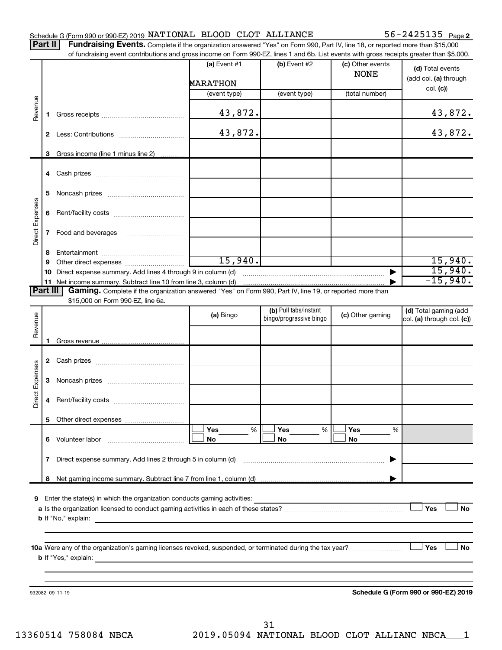## Schedule G (Form 990 or 990-EZ) 2019  $\texttt{NATIONAL}$  BLOOD CLOT  $\texttt{ALLIANCE}$  56 - 2425135  $\texttt{Page}$

Part II | Fundraising Events. Complete if the organization answered "Yes" on Form 990, Part IV, line 18, or reported more than \$15,000 of fundraising event contributions and gross income on Form 990-EZ, lines 1 and 6b. List events with gross receipts greater than \$5,000.

|                 |        |                                                                                                                                                 | (a) Event #1                                                                              | $(b)$ Event #2          | (c) Other events<br><b>NONE</b> | (d) Total events<br>(add col. (a) through |
|-----------------|--------|-------------------------------------------------------------------------------------------------------------------------------------------------|-------------------------------------------------------------------------------------------|-------------------------|---------------------------------|-------------------------------------------|
|                 |        |                                                                                                                                                 | <b>MARATHON</b>                                                                           |                         |                                 | col. (c)                                  |
|                 |        |                                                                                                                                                 | (event type)                                                                              | (event type)            | (total number)                  |                                           |
| Revenue         | 1.     |                                                                                                                                                 | 43,872.                                                                                   |                         |                                 | 43,872.                                   |
|                 | 2      |                                                                                                                                                 | 43,872.                                                                                   |                         |                                 | 43,872.                                   |
|                 |        |                                                                                                                                                 |                                                                                           |                         |                                 |                                           |
|                 |        | 3 Gross income (line 1 minus line 2)                                                                                                            |                                                                                           |                         |                                 |                                           |
|                 |        |                                                                                                                                                 |                                                                                           |                         |                                 |                                           |
|                 | 5      |                                                                                                                                                 |                                                                                           |                         |                                 |                                           |
| Direct Expenses | 6      |                                                                                                                                                 |                                                                                           |                         |                                 |                                           |
|                 | 7      | Food and beverages                                                                                                                              |                                                                                           |                         |                                 |                                           |
|                 |        |                                                                                                                                                 |                                                                                           |                         |                                 |                                           |
|                 | 8<br>9 |                                                                                                                                                 | 15,940.                                                                                   |                         |                                 | 15,940.                                   |
|                 | 10     | Direct expense summary. Add lines 4 through 9 in column (d)                                                                                     |                                                                                           |                         | $\blacktriangleright$           | 15,940.                                   |
|                 |        | 11 Net income summary. Subtract line 10 from line 3, column (d)                                                                                 |                                                                                           |                         |                                 | $-15,940.$                                |
| <b>Part III</b> |        | Gaming. Complete if the organization answered "Yes" on Form 990, Part IV, line 19, or reported more than                                        |                                                                                           |                         |                                 |                                           |
|                 |        | \$15,000 on Form 990-EZ, line 6a.                                                                                                               |                                                                                           |                         |                                 |                                           |
|                 |        |                                                                                                                                                 | (a) Bingo                                                                                 | (b) Pull tabs/instant   | (c) Other gaming                | (d) Total gaming (add                     |
| Revenue         |        |                                                                                                                                                 |                                                                                           | bingo/progressive bingo |                                 | col. (a) through col. (c))                |
|                 |        |                                                                                                                                                 |                                                                                           |                         |                                 |                                           |
|                 |        |                                                                                                                                                 |                                                                                           |                         |                                 |                                           |
|                 |        |                                                                                                                                                 |                                                                                           |                         |                                 |                                           |
|                 |        |                                                                                                                                                 |                                                                                           |                         |                                 |                                           |
|                 |        |                                                                                                                                                 |                                                                                           |                         |                                 |                                           |
|                 | 3      |                                                                                                                                                 |                                                                                           |                         |                                 |                                           |
| Direct Expenses | 4      |                                                                                                                                                 |                                                                                           |                         |                                 |                                           |
|                 |        |                                                                                                                                                 |                                                                                           |                         |                                 |                                           |
|                 |        |                                                                                                                                                 | Yes<br>%                                                                                  | Yes<br>%                | Yes<br>%                        |                                           |
|                 | 6      | Volunteer labor                                                                                                                                 | No                                                                                        | No                      | No                              |                                           |
|                 |        |                                                                                                                                                 |                                                                                           |                         |                                 |                                           |
|                 | 7      | Direct expense summary. Add lines 2 through 5 in column (d)                                                                                     |                                                                                           |                         |                                 |                                           |
|                 | 8      |                                                                                                                                                 |                                                                                           |                         |                                 |                                           |
|                 |        |                                                                                                                                                 |                                                                                           |                         |                                 |                                           |
| 9               |        | Enter the state(s) in which the organization conducts gaming activities:                                                                        |                                                                                           |                         |                                 |                                           |
|                 |        |                                                                                                                                                 |                                                                                           |                         |                                 | Yes<br>No                                 |
|                 |        | <b>b</b> If "No," explain:                                                                                                                      | the control of the control of the control of the control of the control of the control of |                         |                                 |                                           |
|                 |        |                                                                                                                                                 |                                                                                           |                         |                                 |                                           |
|                 |        |                                                                                                                                                 |                                                                                           |                         |                                 |                                           |
|                 |        |                                                                                                                                                 |                                                                                           | Yes<br>No               |                                 |                                           |
|                 |        | <b>b</b> If "Yes," explain:<br>and the control of the control of the control of the control of the control of the control of the control of the |                                                                                           |                         |                                 |                                           |
|                 |        |                                                                                                                                                 |                                                                                           |                         |                                 |                                           |
|                 |        |                                                                                                                                                 |                                                                                           |                         |                                 |                                           |
|                 |        | 932082 09-11-19                                                                                                                                 |                                                                                           |                         |                                 | Schedule G (Form 990 or 990-EZ) 2019      |
|                 |        |                                                                                                                                                 |                                                                                           |                         |                                 |                                           |
|                 |        |                                                                                                                                                 |                                                                                           |                         |                                 |                                           |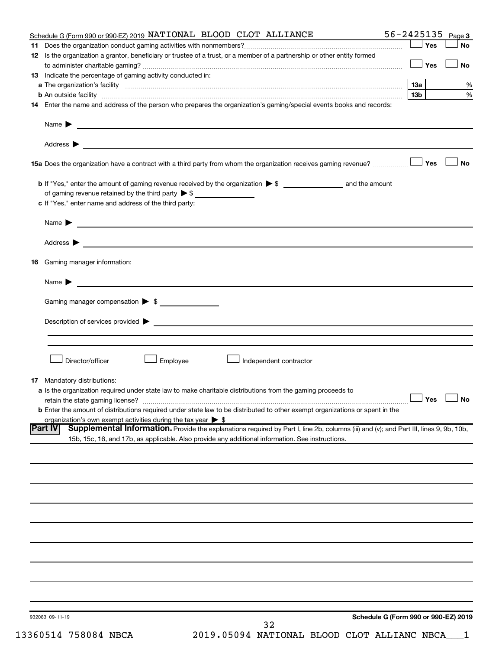|    | Schedule G (Form 990 or 990-EZ) 2019 NATIONAL BLOOD CLOT ALLIANCE                                                                                                                                                                                                  | 56-2425135                                   | Page 3    |
|----|--------------------------------------------------------------------------------------------------------------------------------------------------------------------------------------------------------------------------------------------------------------------|----------------------------------------------|-----------|
|    |                                                                                                                                                                                                                                                                    | Yes                                          | <b>No</b> |
|    | 12 Is the organization a grantor, beneficiary or trustee of a trust, or a member of a partnership or other entity formed                                                                                                                                           | Yes                                          | No        |
|    | 13 Indicate the percentage of gaming activity conducted in:                                                                                                                                                                                                        |                                              |           |
|    |                                                                                                                                                                                                                                                                    | 1За                                          | %         |
|    | <b>b</b> An outside facility <i>www.communicality www.communicality.communicality www.communicality www.communicality www.communicality www.communicality.com</i>                                                                                                  | 13 <sub>b</sub>                              | %         |
|    | 14 Enter the name and address of the person who prepares the organization's gaming/special events books and records:                                                                                                                                               |                                              |           |
|    | Name $\blacktriangleright$<br><u>and the state of the state of the state of the state of the state of the state of the state of the state of the state of the state of the state of the state of the state of the state of the state of the state of the state</u> |                                              |           |
|    |                                                                                                                                                                                                                                                                    |                                              |           |
|    |                                                                                                                                                                                                                                                                    |                                              | <b>No</b> |
|    |                                                                                                                                                                                                                                                                    |                                              |           |
|    | of gaming revenue retained by the third party $\triangleright$ \$                                                                                                                                                                                                  |                                              |           |
|    | c If "Yes," enter name and address of the third party:                                                                                                                                                                                                             |                                              |           |
|    | <u>and the state of the state of the state of the state of the state of the state of the state of the state of the state of the state of the state of the state of the state of the state of the state of the state of the state</u><br>Name $\blacktriangleright$ |                                              |           |
|    |                                                                                                                                                                                                                                                                    |                                              |           |
| 16 | Gaming manager information:                                                                                                                                                                                                                                        |                                              |           |
|    | Name $\blacktriangleright$                                                                                                                                                                                                                                         |                                              |           |
|    |                                                                                                                                                                                                                                                                    |                                              |           |
|    | Gaming manager compensation > \$                                                                                                                                                                                                                                   |                                              |           |
|    | Description of services provided <b>by the contract of the contract of the contract of services provided by the contract of the contract of the contract of the contract of the contract of the contract of the contract of th</b>                                 |                                              |           |
|    |                                                                                                                                                                                                                                                                    |                                              |           |
|    | Director/officer<br>Employee<br>Independent contractor                                                                                                                                                                                                             |                                              |           |
|    | <b>17</b> Mandatory distributions:                                                                                                                                                                                                                                 |                                              |           |
|    | a Is the organization required under state law to make charitable distributions from the gaming proceeds to                                                                                                                                                        |                                              |           |
|    | retain the state gaming license?                                                                                                                                                                                                                                   | $\mathbin{\sqcup}$ Yes $\mathbin{\sqcup}$ No |           |
|    | <b>b</b> Enter the amount of distributions required under state law to be distributed to other exempt organizations or spent in the                                                                                                                                |                                              |           |
|    | organization's own exempt activities during the tax year $\triangleright$ \$                                                                                                                                                                                       |                                              |           |
|    | Supplemental Information. Provide the explanations required by Part I, line 2b, columns (iii) and (v); and Part III, lines 9, 9b, 10b,<br> Part IV<br>15b, 15c, 16, and 17b, as applicable. Also provide any additional information. See instructions.             |                                              |           |
|    |                                                                                                                                                                                                                                                                    |                                              |           |
|    |                                                                                                                                                                                                                                                                    |                                              |           |
|    |                                                                                                                                                                                                                                                                    |                                              |           |
|    |                                                                                                                                                                                                                                                                    |                                              |           |
|    |                                                                                                                                                                                                                                                                    |                                              |           |
|    |                                                                                                                                                                                                                                                                    |                                              |           |
|    |                                                                                                                                                                                                                                                                    |                                              |           |
|    |                                                                                                                                                                                                                                                                    |                                              |           |
|    |                                                                                                                                                                                                                                                                    |                                              |           |
|    |                                                                                                                                                                                                                                                                    |                                              |           |
|    | 932083 09-11-19<br>32                                                                                                                                                                                                                                              | Schedule G (Form 990 or 990-EZ) 2019         |           |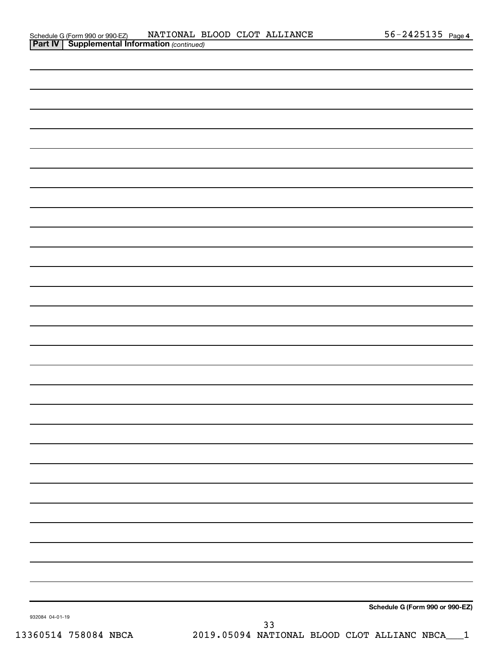| 932084 04-01-19 |  |    | Schedule G (Form 990 or 990-EZ) |
|-----------------|--|----|---------------------------------|
|                 |  | 33 |                                 |